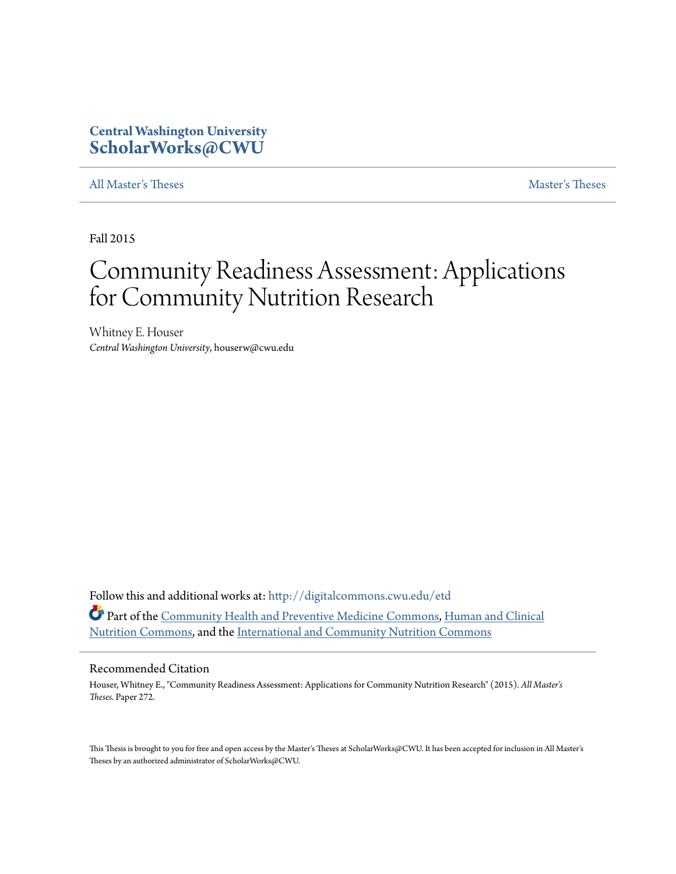# **Central Washington University [ScholarWorks@CWU](http://digitalcommons.cwu.edu?utm_source=digitalcommons.cwu.edu%2Fetd%2F272&utm_medium=PDF&utm_campaign=PDFCoverPages)**

# [All Master's Theses](http://digitalcommons.cwu.edu/etd?utm_source=digitalcommons.cwu.edu%2Fetd%2F272&utm_medium=PDF&utm_campaign=PDFCoverPages) **[Master's Theses](http://digitalcommons.cwu.edu/all_theses?utm_source=digitalcommons.cwu.edu%2Fetd%2F272&utm_medium=PDF&utm_campaign=PDFCoverPages)** Master's Theses

Fall 2015

# Community Readiness Assessment: Applications for Community Nutrition Research

Whitney E. Houser *Central Washington University*, houserw@cwu.edu

Follow this and additional works at: [http://digitalcommons.cwu.edu/etd](http://digitalcommons.cwu.edu/etd?utm_source=digitalcommons.cwu.edu%2Fetd%2F272&utm_medium=PDF&utm_campaign=PDFCoverPages) Part of the [Community Health and Preventive Medicine Commons,](http://network.bepress.com/hgg/discipline/744?utm_source=digitalcommons.cwu.edu%2Fetd%2F272&utm_medium=PDF&utm_campaign=PDFCoverPages) [Human and Clinical](http://network.bepress.com/hgg/discipline/97?utm_source=digitalcommons.cwu.edu%2Fetd%2F272&utm_medium=PDF&utm_campaign=PDFCoverPages) [Nutrition Commons](http://network.bepress.com/hgg/discipline/97?utm_source=digitalcommons.cwu.edu%2Fetd%2F272&utm_medium=PDF&utm_campaign=PDFCoverPages), and the [International and Community Nutrition Commons](http://network.bepress.com/hgg/discipline/98?utm_source=digitalcommons.cwu.edu%2Fetd%2F272&utm_medium=PDF&utm_campaign=PDFCoverPages)

## Recommended Citation

Houser, Whitney E., "Community Readiness Assessment: Applications for Community Nutrition Research" (2015). *All Master's Theses.* Paper 272.

This Thesis is brought to you for free and open access by the Master's Theses at ScholarWorks@CWU. It has been accepted for inclusion in All Master's Theses by an authorized administrator of ScholarWorks@CWU.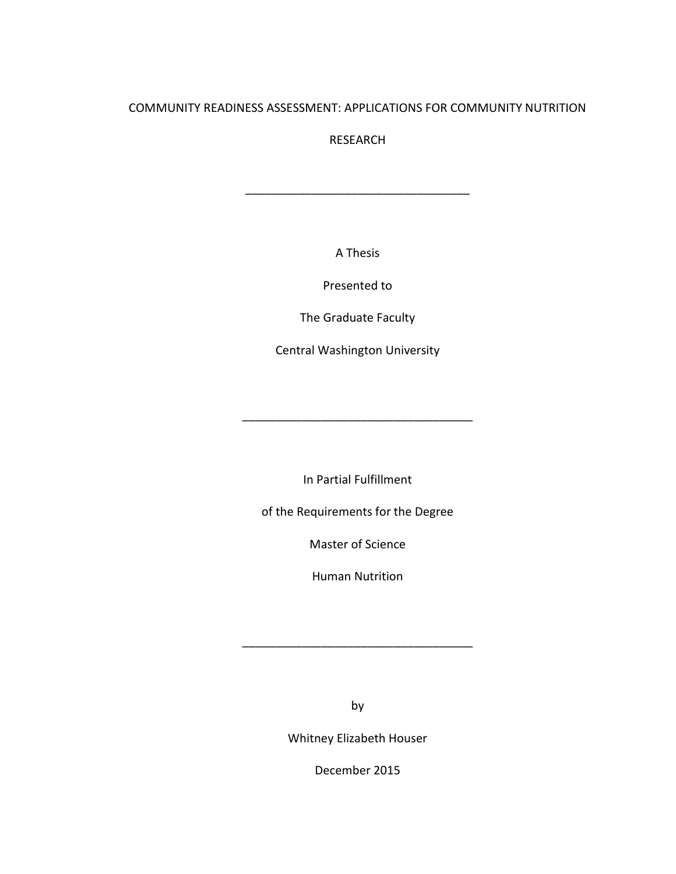# COMMUNITY READINESS ASSESSMENT: APPLICATIONS FOR COMMUNITY NUTRITION

RESEARCH

\_\_\_\_\_\_\_\_\_\_\_\_\_\_\_\_\_\_\_\_\_\_\_\_\_\_\_\_\_\_\_\_\_\_

A Thesis

Presented to

The Graduate Faculty

Central Washington University

In Partial Fulfillment

\_\_\_\_\_\_\_\_\_\_\_\_\_\_\_\_\_\_\_\_\_\_\_\_\_\_\_\_\_\_\_\_\_\_\_

of the Requirements for the Degree

Master of Science

Human Nutrition

\_\_\_\_\_\_\_\_\_\_\_\_\_\_\_\_\_\_\_\_\_\_\_\_\_\_\_\_\_\_\_\_\_\_\_

by

Whitney Elizabeth Houser

December 2015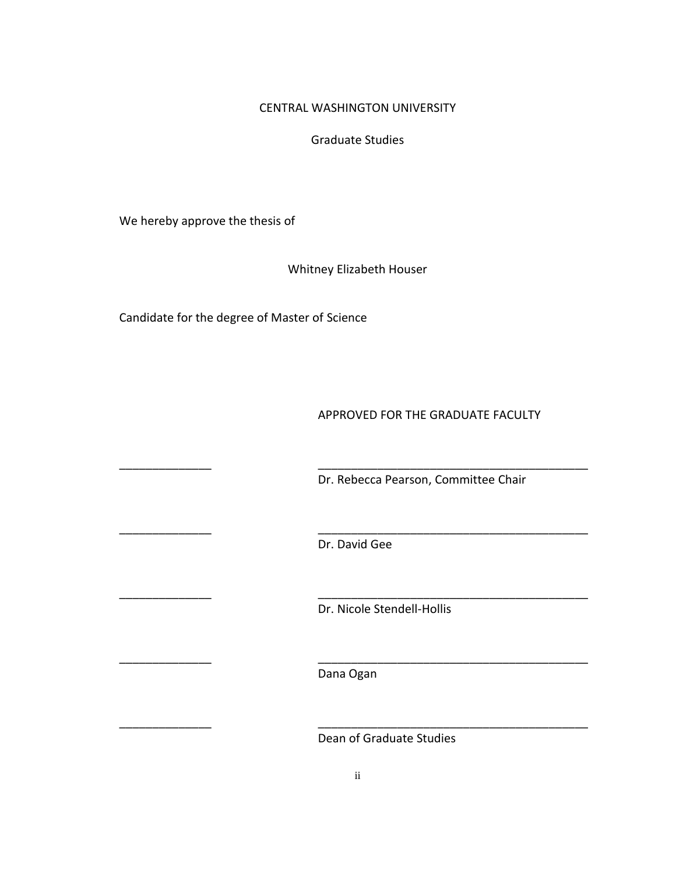# CENTRAL WASHINGTON UNIVERSITY

# Graduate Studies

We hereby approve the thesis of

Whitney Elizabeth Houser

Candidate for the degree of Master of Science

APPROVED FOR THE GRADUATE FACULTY

Dr. Rebecca Pearson, Committee Chair

\_\_\_\_\_\_\_\_\_\_\_\_\_\_ \_\_\_\_\_\_\_\_\_\_\_\_\_\_\_\_\_\_\_\_\_\_\_\_\_\_\_\_\_\_\_\_\_\_\_\_\_\_\_\_\_ Dr. David Gee

\_\_\_\_\_\_\_\_\_\_\_\_\_\_ \_\_\_\_\_\_\_\_\_\_\_\_\_\_\_\_\_\_\_\_\_\_\_\_\_\_\_\_\_\_\_\_\_\_\_\_\_\_\_\_\_

\_\_\_\_\_\_\_\_\_\_\_\_\_\_ \_\_\_\_\_\_\_\_\_\_\_\_\_\_\_\_\_\_\_\_\_\_\_\_\_\_\_\_\_\_\_\_\_\_\_\_\_\_\_\_\_

Dr. Nicole Stendell-Hollis

\_\_\_\_\_\_\_\_\_\_\_\_\_\_ \_\_\_\_\_\_\_\_\_\_\_\_\_\_\_\_\_\_\_\_\_\_\_\_\_\_\_\_\_\_\_\_\_\_\_\_\_\_\_\_\_ Dana Ogan

Dean of Graduate Studies

\_\_\_\_\_\_\_\_\_\_\_\_\_\_ \_\_\_\_\_\_\_\_\_\_\_\_\_\_\_\_\_\_\_\_\_\_\_\_\_\_\_\_\_\_\_\_\_\_\_\_\_\_\_\_\_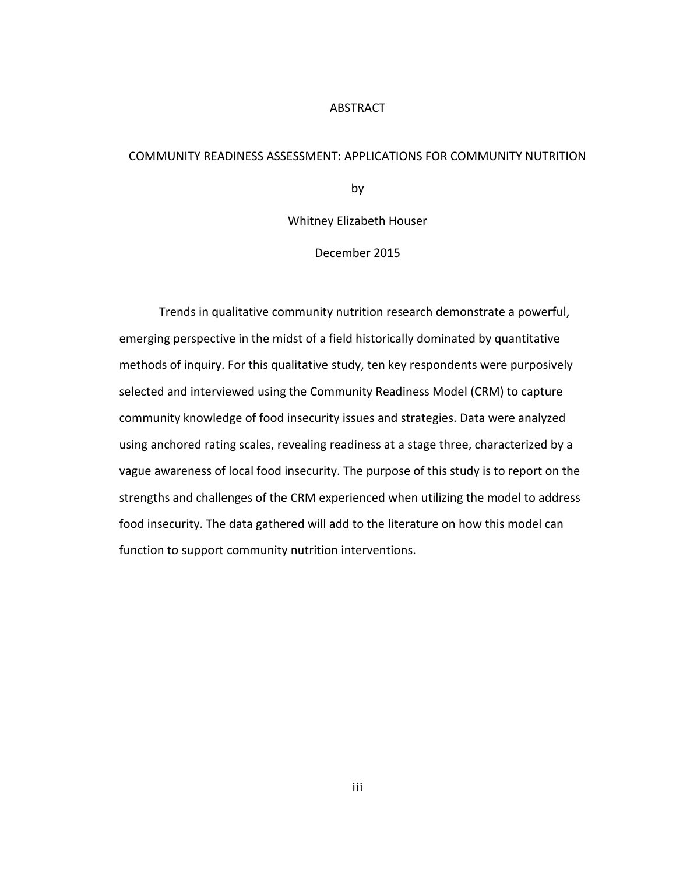#### ABSTRACT

## COMMUNITY READINESS ASSESSMENT: APPLICATIONS FOR COMMUNITY NUTRITION

by

Whitney Elizabeth Houser

December 2015

Trends in qualitative community nutrition research demonstrate a powerful, emerging perspective in the midst of a field historically dominated by quantitative methods of inquiry. For this qualitative study, ten key respondents were purposively selected and interviewed using the Community Readiness Model (CRM) to capture community knowledge of food insecurity issues and strategies. Data were analyzed using anchored rating scales, revealing readiness at a stage three, characterized by a vague awareness of local food insecurity. The purpose of this study is to report on the strengths and challenges of the CRM experienced when utilizing the model to address food insecurity. The data gathered will add to the literature on how this model can function to support community nutrition interventions.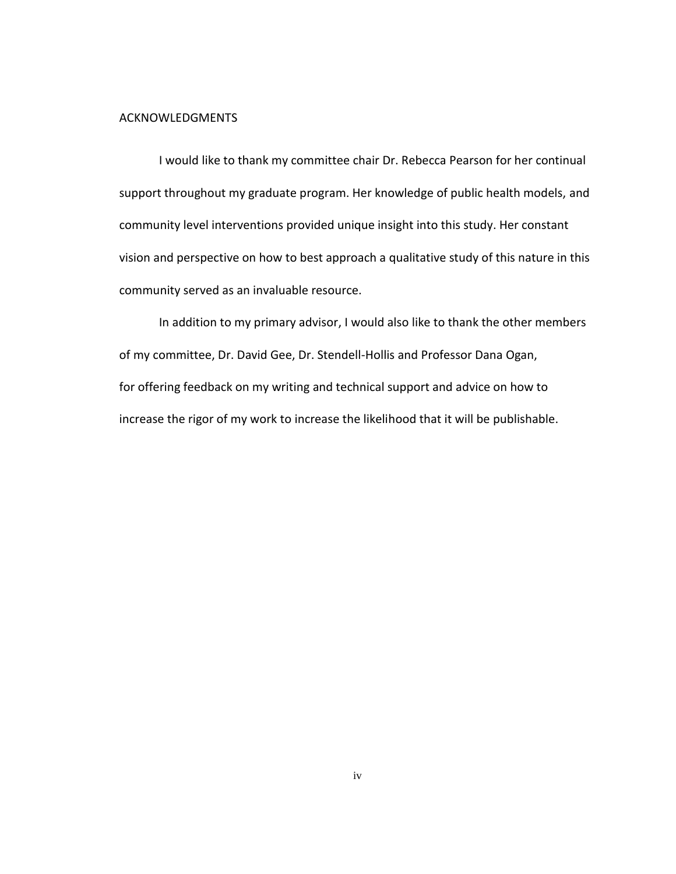# ACKNOWLEDGMENTS

I would like to thank my committee chair Dr. Rebecca Pearson for her continual support throughout my graduate program. Her knowledge of public health models, and community level interventions provided unique insight into this study. Her constant vision and perspective on how to best approach a qualitative study of this nature in this community served as an invaluable resource.

In addition to my primary advisor, I would also like to thank the other members of my committee, Dr. David Gee, Dr. Stendell-Hollis and Professor Dana Ogan, for offering feedback on my writing and technical support and advice on how to increase the rigor of my work to increase the likelihood that it will be publishable.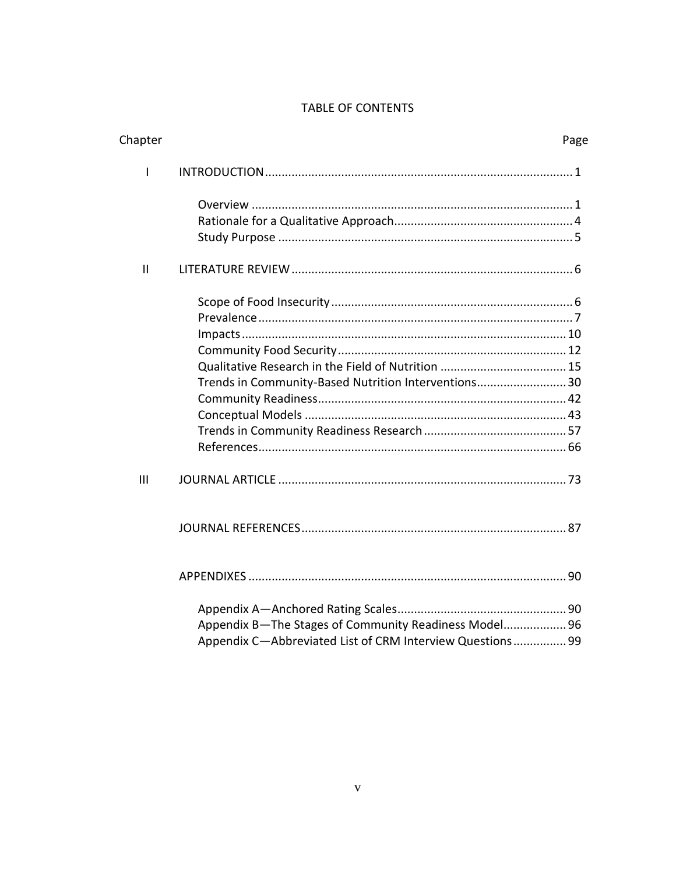# TABLE OF CONTENTS

| Chapter       | Page                                                                                                               |
|---------------|--------------------------------------------------------------------------------------------------------------------|
| Т             |                                                                                                                    |
|               |                                                                                                                    |
|               |                                                                                                                    |
| $\mathsf{II}$ |                                                                                                                    |
|               |                                                                                                                    |
|               |                                                                                                                    |
|               |                                                                                                                    |
|               |                                                                                                                    |
|               | Trends in Community-Based Nutrition Interventions 30                                                               |
|               |                                                                                                                    |
|               |                                                                                                                    |
|               |                                                                                                                    |
|               |                                                                                                                    |
| III           |                                                                                                                    |
|               |                                                                                                                    |
|               |                                                                                                                    |
|               | Appendix B-The Stages of Community Readiness Model 96<br>Appendix C-Abbreviated List of CRM Interview Questions 99 |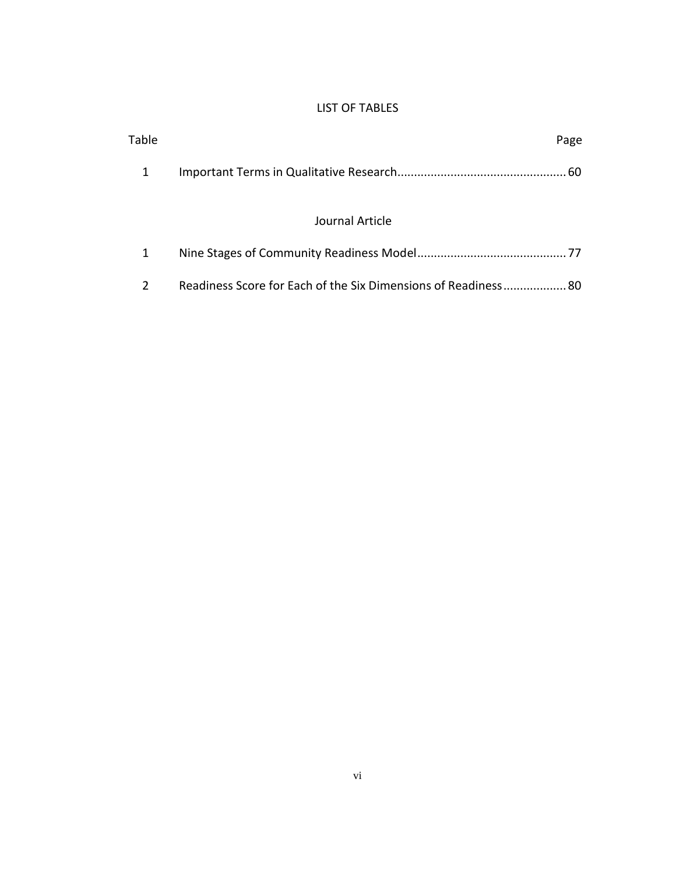# LIST OF TABLES

| Table | Page                                                           |
|-------|----------------------------------------------------------------|
| 1     | -60                                                            |
|       | Journal Article                                                |
| 1     |                                                                |
| 2     | Readiness Score for Each of the Six Dimensions of Readiness 80 |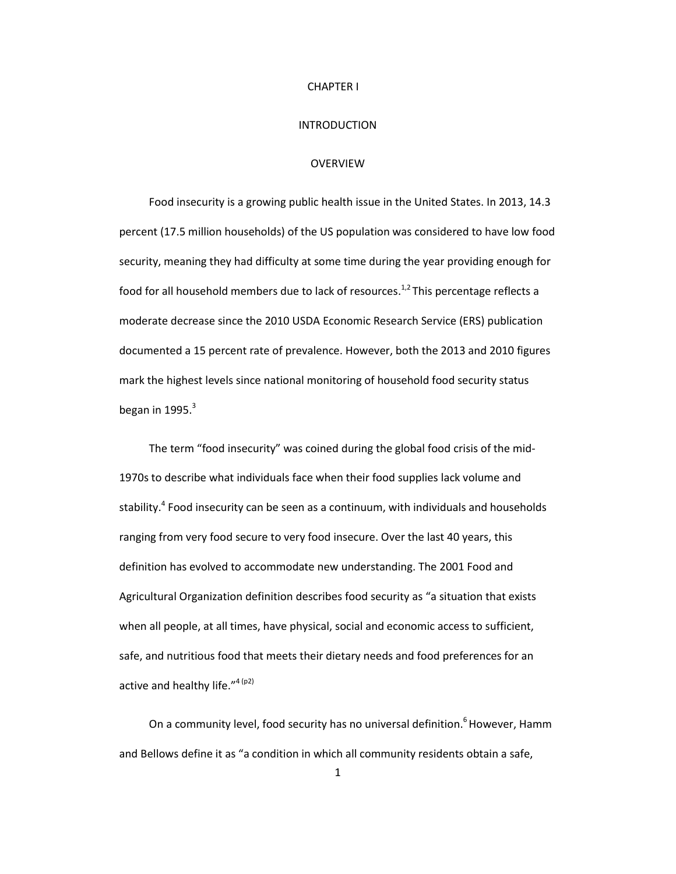#### CHAPTER I

#### INTRODUCTION

#### OVERVIEW

Food insecurity is a growing public health issue in the United States. In 2013, 14.3 percent (17.5 million households) of the US population was considered to have low food security, meaning they had difficulty at some time during the year providing enough for food for all household members due to lack of resources.<sup>1,2</sup> This percentage reflects a moderate decrease since the 2010 USDA Economic Research Service (ERS) publication documented a 15 percent rate of prevalence. However, both the 2013 and 2010 figures mark the highest levels since national monitoring of household food security status began in 1995. $^3$ 

The term "food insecurity" was coined during the global food crisis of the mid-1970s to describe what individuals face when their food supplies lack volume and stability. 4 Food insecurity can be seen as a continuum, with individuals and households ranging from very food secure to very food insecure. Over the last 40 years, this definition has evolved to accommodate new understanding. The 2001 Food and Agricultural Organization definition describes food security as "a situation that exists when all people, at all times, have physical, social and economic access to sufficient, safe, and nutritious food that meets their dietary needs and food preferences for an active and healthy life."<sup>4 (p2)</sup>

On a community level, food security has no universal definition.<sup>6</sup> However, Hamm and Bellows define it as "a condition in which all community residents obtain a safe,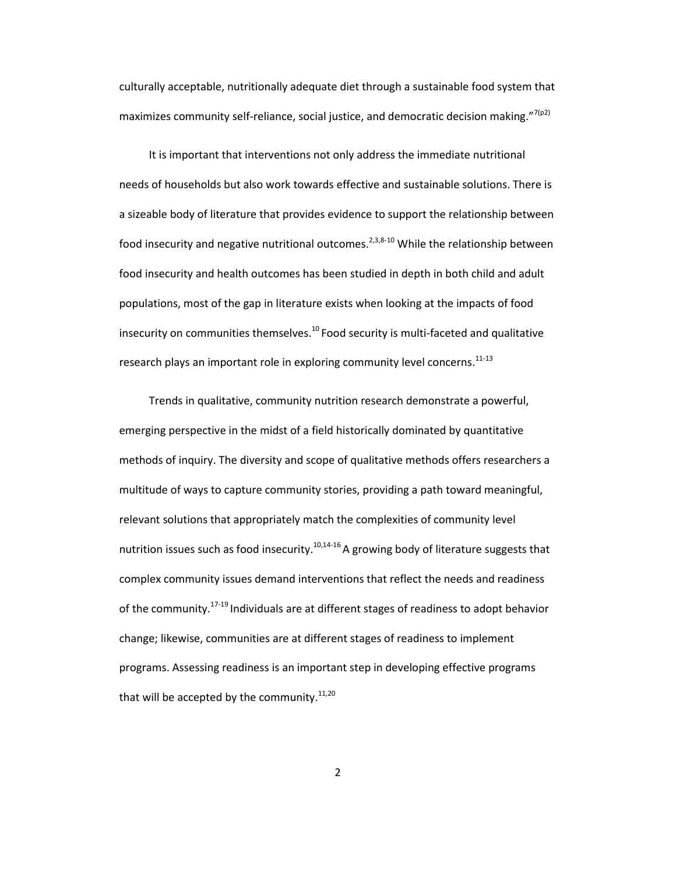culturally acceptable, nutritionally adequate diet through a sustainable food system that maximizes community self-reliance, social justice, and democratic decision making."<sup>7(p2)</sup>

It is important that interventions not only address the immediate nutritional needs of households but also work towards effective and sustainable solutions. There is a sizeable body of literature that provides evidence to support the relationship between food insecurity and negative nutritional outcomes.<sup>2,3,8-10</sup> While the relationship between food insecurity and health outcomes has been studied in depth in both child and adult populations, most of the gap in literature exists when looking at the impacts of food insecurity on communities themselves.<sup>10</sup> Food security is multi-faceted and qualitative research plays an important role in exploring community level concerns.<sup>11-13</sup>

Trends in qualitative, community nutrition research demonstrate a powerful, emerging perspective in the midst of a field historically dominated by quantitative methods of inquiry. The diversity and scope of qualitative methods offers researchers a multitude of ways to capture community stories, providing a path toward meaningful, relevant solutions that appropriately match the complexities of community level nutrition issues such as food insecurity.<sup>10,14-16</sup> A growing body of literature suggests that complex community issues demand interventions that reflect the needs and readiness of the community.<sup>17-19</sup> Individuals are at different stages of readiness to adopt behavior change; likewise, communities are at different stages of readiness to implement programs. Assessing readiness is an important step in developing effective programs that will be accepted by the community.<sup>11,20</sup>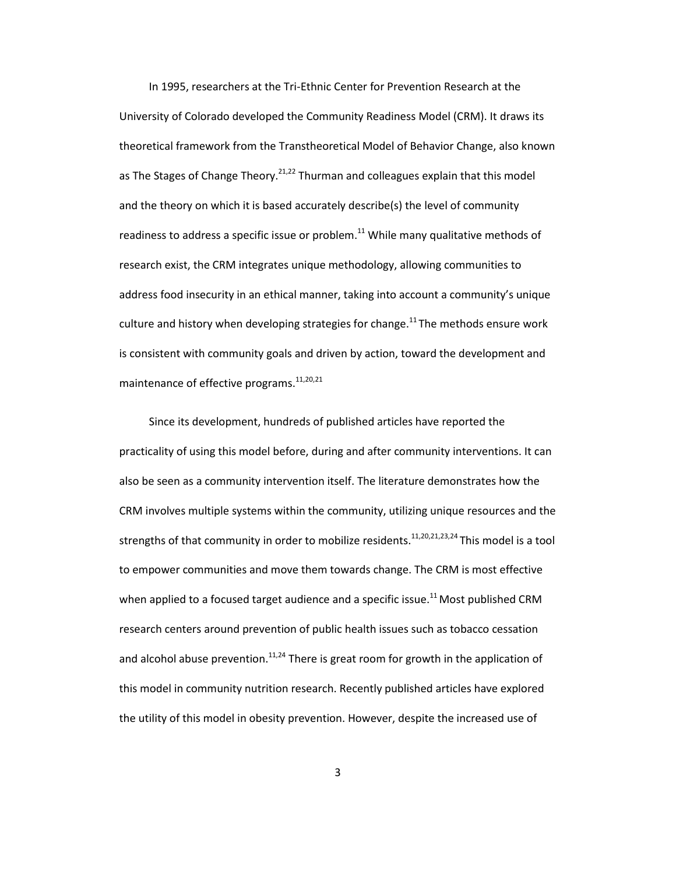In 1995, researchers at the Tri-Ethnic Center for Prevention Research at the University of Colorado developed the Community Readiness Model (CRM). It draws its theoretical framework from the Transtheoretical Model of Behavior Change, also known as The Stages of Change Theory.<sup>21,22</sup> Thurman and colleagues explain that this model and the theory on which it is based accurately describe(s) the level of community readiness to address a specific issue or problem. $^{11}$  While many qualitative methods of research exist, the CRM integrates unique methodology, allowing communities to address food insecurity in an ethical manner, taking into account a community's unique culture and history when developing strategies for change.<sup>11</sup> The methods ensure work is consistent with community goals and driven by action, toward the development and maintenance of effective programs.<sup>11,20,21</sup>

Since its development, hundreds of published articles have reported the practicality of using this model before, during and after community interventions. It can also be seen as a community intervention itself. The literature demonstrates how the CRM involves multiple systems within the community, utilizing unique resources and the strengths of that community in order to mobilize residents.<sup>11,20,21,23,24</sup> This model is a tool to empower communities and move them towards change. The CRM is most effective when applied to a focused target audience and a specific issue.<sup>11</sup> Most published CRM research centers around prevention of public health issues such as tobacco cessation and alcohol abuse prevention.<sup>11,24</sup> There is great room for growth in the application of this model in community nutrition research. Recently published articles have explored the utility of this model in obesity prevention. However, despite the increased use of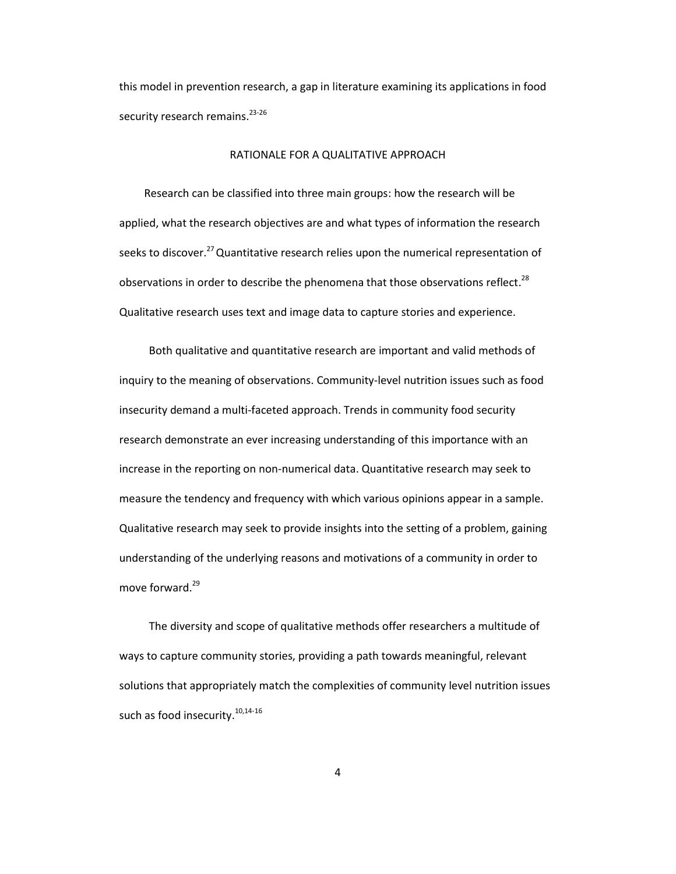this model in prevention research, a gap in literature examining its applications in food security research remains.<sup>23-26</sup>

#### RATIONALE FOR A QUALITATIVE APPROACH

Research can be classified into three main groups: how the research will be applied, what the research objectives are and what types of information the research seeks to discover.<sup>27</sup> Quantitative research relies upon the numerical representation of observations in order to describe the phenomena that those observations reflect.<sup>28</sup> Qualitative research uses text and image data to capture stories and experience.

Both qualitative and quantitative research are important and valid methods of inquiry to the meaning of observations. Community-level nutrition issues such as food insecurity demand a multi-faceted approach. Trends in community food security research demonstrate an ever increasing understanding of this importance with an increase in the reporting on non-numerical data. Quantitative research may seek to measure the tendency and frequency with which various opinions appear in a sample. Qualitative research may seek to provide insights into the setting of a problem, gaining understanding of the underlying reasons and motivations of a community in order to move forward. 29

The diversity and scope of qualitative methods offer researchers a multitude of ways to capture community stories, providing a path towards meaningful, relevant solutions that appropriately match the complexities of community level nutrition issues such as food insecurity.<sup>10,14-16</sup>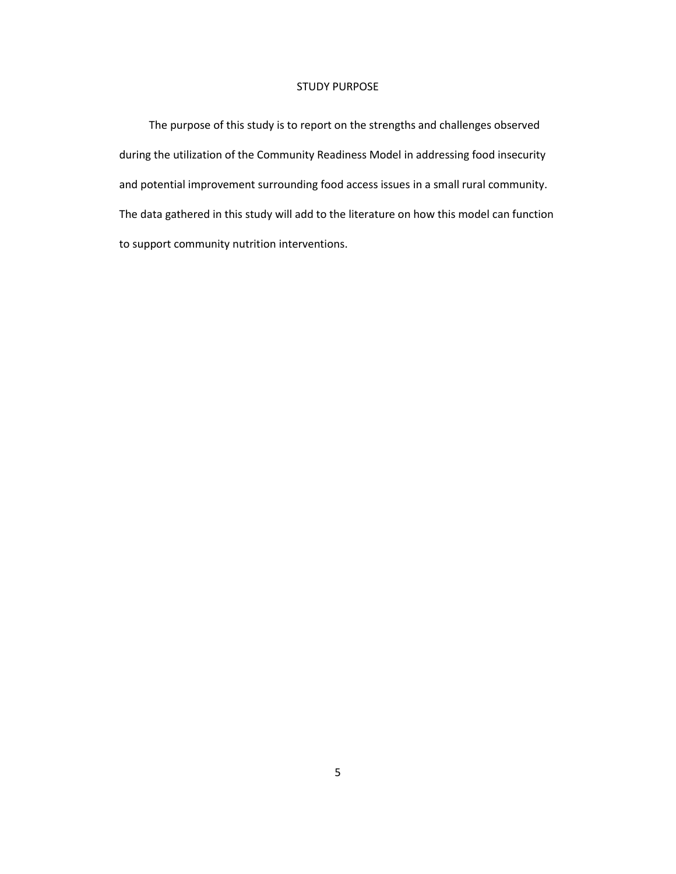## STUDY PURPOSE

The purpose of this study is to report on the strengths and challenges observed during the utilization of the Community Readiness Model in addressing food insecurity and potential improvement surrounding food access issues in a small rural community. The data gathered in this study will add to the literature on how this model can function to support community nutrition interventions.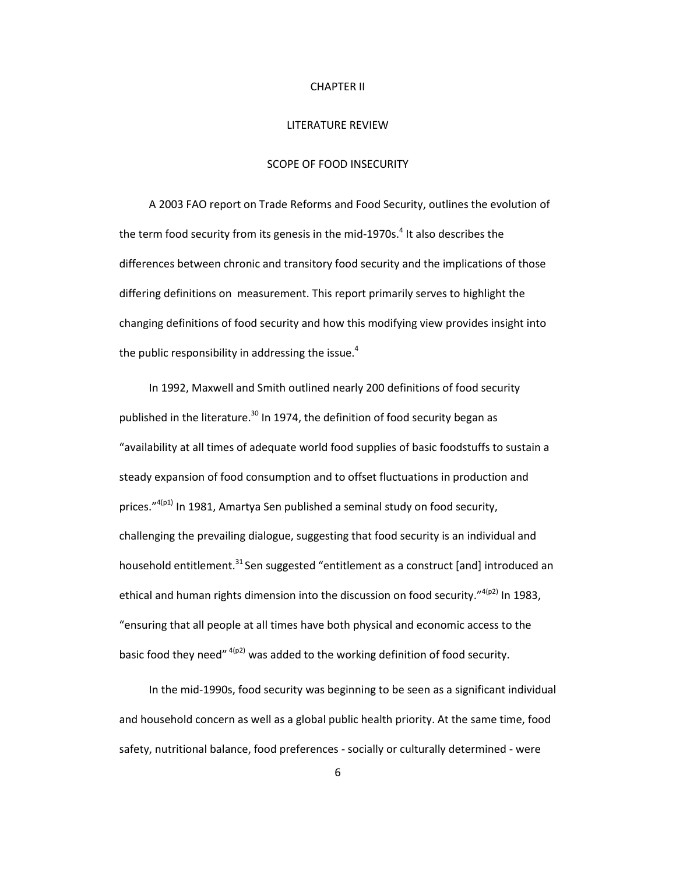#### CHAPTER II

#### LITERATURE REVIEW

## SCOPE OF FOOD INSECURITY

A 2003 FAO report on Trade Reforms and Food Security, outlines the evolution of the term food security from its genesis in the mid-1970s.<sup>4</sup> It also describes the differences between chronic and transitory food security and the implications of those differing definitions on measurement. This report primarily serves to highlight the changing definitions of food security and how this modifying view provides insight into the public responsibility in addressing the issue.<sup>4</sup>

In 1992, Maxwell and Smith outlined nearly 200 definitions of food security published in the literature.<sup>30</sup> In 1974, the definition of food security began as "availability at all times of adequate world food supplies of basic foodstuffs to sustain a steady expansion of food consumption and to offset fluctuations in production and prices."<sup>4(p1)</sup> In 1981, Amartya Sen published a seminal study on food security, challenging the prevailing dialogue, suggesting that food security is an individual and household entitlement.<sup>31</sup> Sen suggested "entitlement as a construct [and] introduced an ethical and human rights dimension into the discussion on food security."<sup>4(p2)</sup> In 1983, "ensuring that all people at all times have both physical and economic access to the basic food they need"  $4(p^2)$  was added to the working definition of food security.

In the mid-1990s, food security was beginning to be seen as a significant individual and household concern as well as a global public health priority. At the same time, food safety, nutritional balance, food preferences - socially or culturally determined - were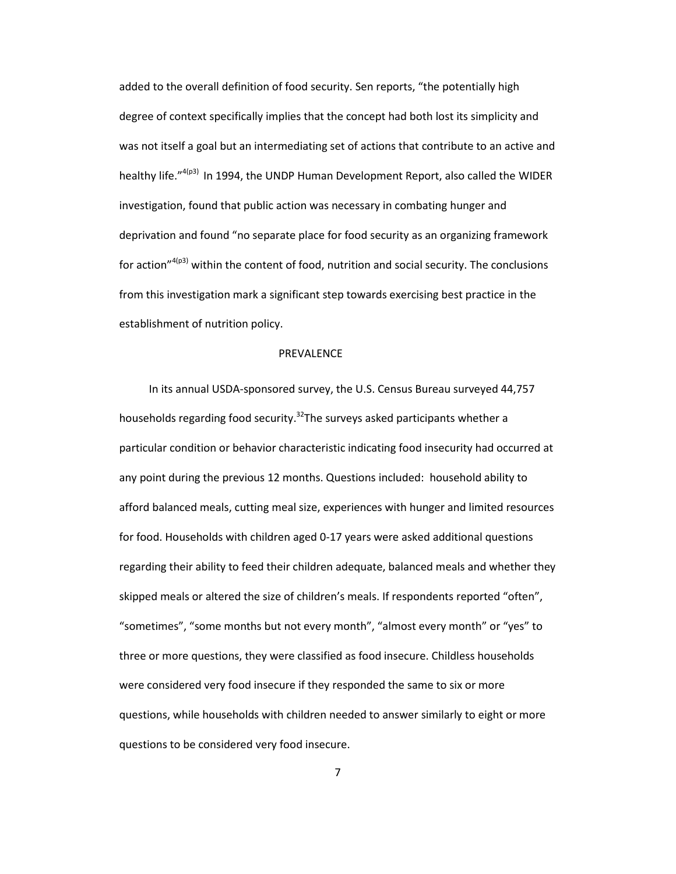added to the overall definition of food security. Sen reports, "the potentially high degree of context specifically implies that the concept had both lost its simplicity and was not itself a goal but an intermediating set of actions that contribute to an active and healthy life."<sup>4(p3)</sup> In 1994, the UNDP Human Development Report, also called the WIDER investigation, found that public action was necessary in combating hunger and deprivation and found "no separate place for food security as an organizing framework for action<sup>"4(p3)</sup> within the content of food, nutrition and social security. The conclusions from this investigation mark a significant step towards exercising best practice in the establishment of nutrition policy.

#### PREVALENCE

In its annual USDA-sponsored survey, the U.S. Census Bureau surveyed 44,757 households regarding food security.<sup>32</sup>The surveys asked participants whether a particular condition or behavior characteristic indicating food insecurity had occurred at any point during the previous 12 months. Questions included: household ability to afford balanced meals, cutting meal size, experiences with hunger and limited resources for food. Households with children aged 0-17 years were asked additional questions regarding their ability to feed their children adequate, balanced meals and whether they skipped meals or altered the size of children's meals. If respondents reported "often", "sometimes", "some months but not every month", "almost every month" or "yes" to three or more questions, they were classified as food insecure. Childless households were considered very food insecure if they responded the same to six or more questions, while households with children needed to answer similarly to eight or more questions to be considered very food insecure.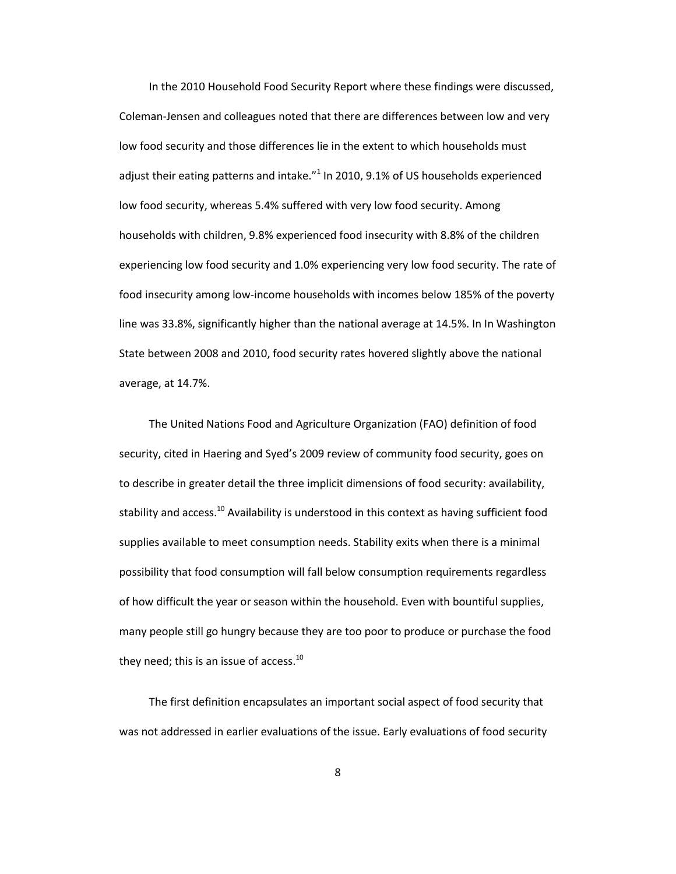In the 2010 Household Food Security Report where these findings were discussed, Coleman-Jensen and colleagues noted that there are differences between low and very low food security and those differences lie in the extent to which households must adjust their eating patterns and intake."<sup>1</sup> In 2010, 9.1% of US households experienced low food security, whereas 5.4% suffered with very low food security. Among households with children, 9.8% experienced food insecurity with 8.8% of the children experiencing low food security and 1.0% experiencing very low food security. The rate of food insecurity among low-income households with incomes below 185% of the poverty line was 33.8%, significantly higher than the national average at 14.5%. In In Washington State between 2008 and 2010, food security rates hovered slightly above the national average, at 14.7%.

The United Nations Food and Agriculture Organization (FAO) definition of food security, cited in Haering and Syed's 2009 review of community food security, goes on to describe in greater detail the three implicit dimensions of food security: availability, stability and access.<sup>10</sup> Availability is understood in this context as having sufficient food supplies available to meet consumption needs. Stability exits when there is a minimal possibility that food consumption will fall below consumption requirements regardless of how difficult the year or season within the household. Even with bountiful supplies, many people still go hungry because they are too poor to produce or purchase the food they need; this is an issue of access.<sup>10</sup>

The first definition encapsulates an important social aspect of food security that was not addressed in earlier evaluations of the issue. Early evaluations of food security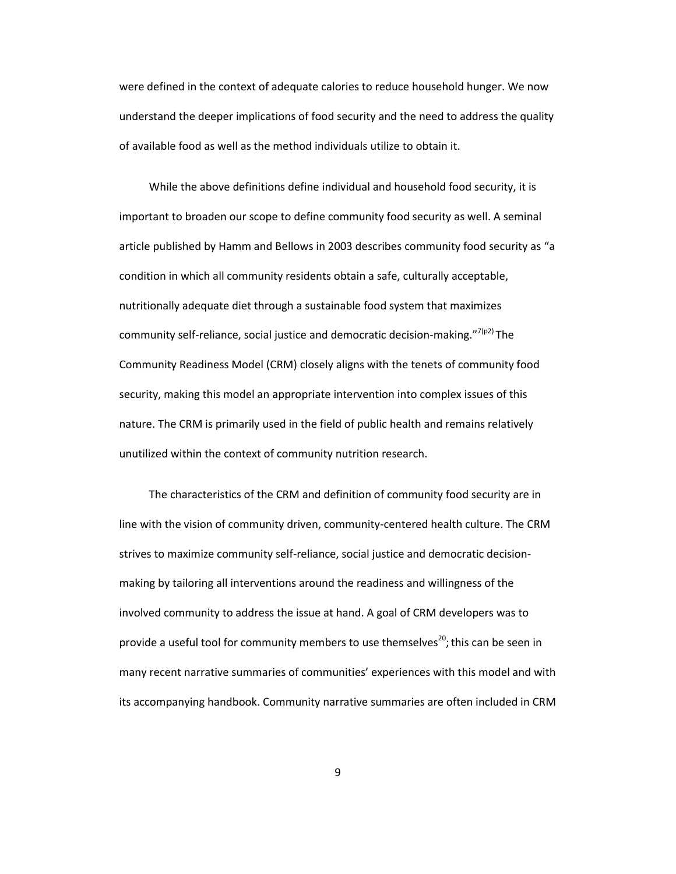were defined in the context of adequate calories to reduce household hunger. We now understand the deeper implications of food security and the need to address the quality of available food as well as the method individuals utilize to obtain it.

While the above definitions define individual and household food security, it is important to broaden our scope to define community food security as well. A seminal article published by Hamm and Bellows in 2003 describes community food security as "a condition in which all community residents obtain a safe, culturally acceptable, nutritionally adequate diet through a sustainable food system that maximizes community self-reliance, social justice and democratic decision-making."<sup>7(p2)</sup>The Community Readiness Model (CRM) closely aligns with the tenets of community food security, making this model an appropriate intervention into complex issues of this nature. The CRM is primarily used in the field of public health and remains relatively unutilized within the context of community nutrition research.

The characteristics of the CRM and definition of community food security are in line with the vision of community driven, community-centered health culture. The CRM strives to maximize community self-reliance, social justice and democratic decisionmaking by tailoring all interventions around the readiness and willingness of the involved community to address the issue at hand. A goal of CRM developers was to provide a useful tool for community members to use themselves<sup>20</sup>; this can be seen in many recent narrative summaries of communities' experiences with this model and with its accompanying handbook. Community narrative summaries are often included in CRM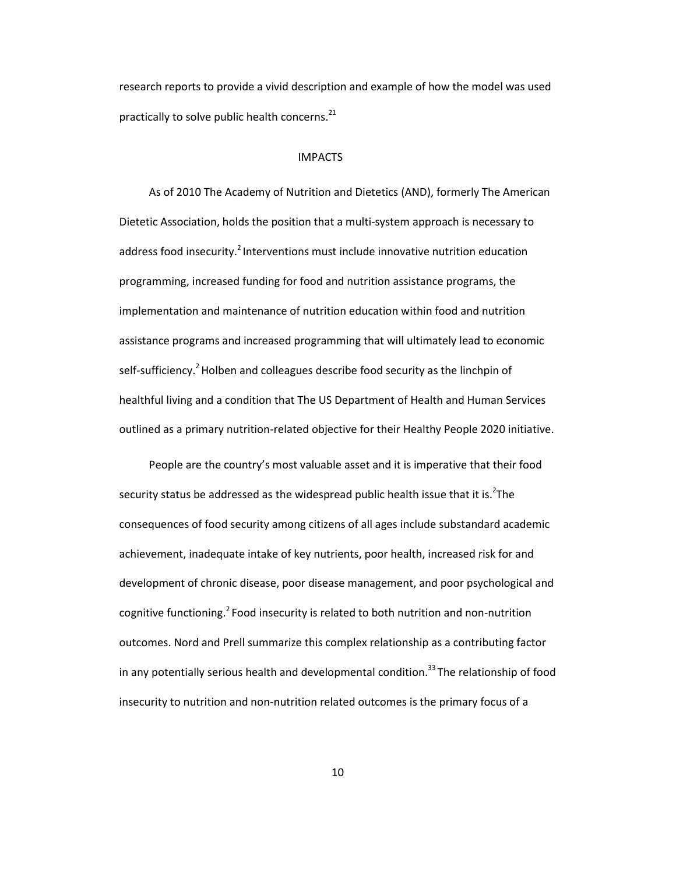research reports to provide a vivid description and example of how the model was used practically to solve public health concerns.<sup>21</sup>

#### IMPACTS

As of 2010 The Academy of Nutrition and Dietetics (AND), formerly The American Dietetic Association, holds the position that a multi-system approach is necessary to address food insecurity.<sup>2</sup> Interventions must include innovative nutrition education programming, increased funding for food and nutrition assistance programs, the implementation and maintenance of nutrition education within food and nutrition assistance programs and increased programming that will ultimately lead to economic self-sufficiency.<sup>2</sup> Holben and colleagues describe food security as the linchpin of healthful living and a condition that The US Department of Health and Human Services outlined as a primary nutrition-related objective for their Healthy People 2020 initiative.

People are the country's most valuable asset and it is imperative that their food security status be addressed as the widespread public health issue that it is.<sup>2</sup>The consequences of food security among citizens of all ages include substandard academic achievement, inadequate intake of key nutrients, poor health, increased risk for and development of chronic disease, poor disease management, and poor psychological and cognitive functioning.<sup>2</sup> Food insecurity is related to both nutrition and non-nutrition outcomes. Nord and Prell summarize this complex relationship as a contributing factor in any potentially serious health and developmental condition.<sup>33</sup> The relationship of food insecurity to nutrition and non-nutrition related outcomes is the primary focus of a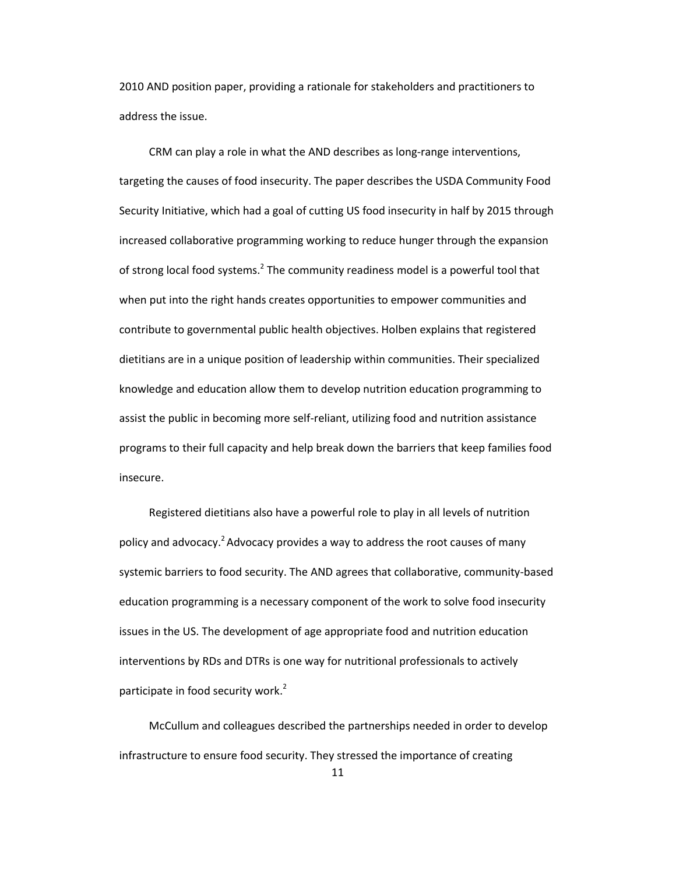2010 AND position paper, providing a rationale for stakeholders and practitioners to address the issue.

CRM can play a role in what the AND describes as long-range interventions, targeting the causes of food insecurity. The paper describes the USDA Community Food Security Initiative, which had a goal of cutting US food insecurity in half by 2015 through increased collaborative programming working to reduce hunger through the expansion of strong local food systems.<sup>2</sup> The community readiness model is a powerful tool that when put into the right hands creates opportunities to empower communities and contribute to governmental public health objectives. Holben explains that registered dietitians are in a unique position of leadership within communities. Their specialized knowledge and education allow them to develop nutrition education programming to assist the public in becoming more self-reliant, utilizing food and nutrition assistance programs to their full capacity and help break down the barriers that keep families food insecure.

Registered dietitians also have a powerful role to play in all levels of nutrition policy and advocacy.<sup>2</sup> Advocacy provides a way to address the root causes of many systemic barriers to food security. The AND agrees that collaborative, community-based education programming is a necessary component of the work to solve food insecurity issues in the US. The development of age appropriate food and nutrition education interventions by RDs and DTRs is one way for nutritional professionals to actively participate in food security work.<sup>2</sup>

McCullum and colleagues described the partnerships needed in order to develop infrastructure to ensure food security. They stressed the importance of creating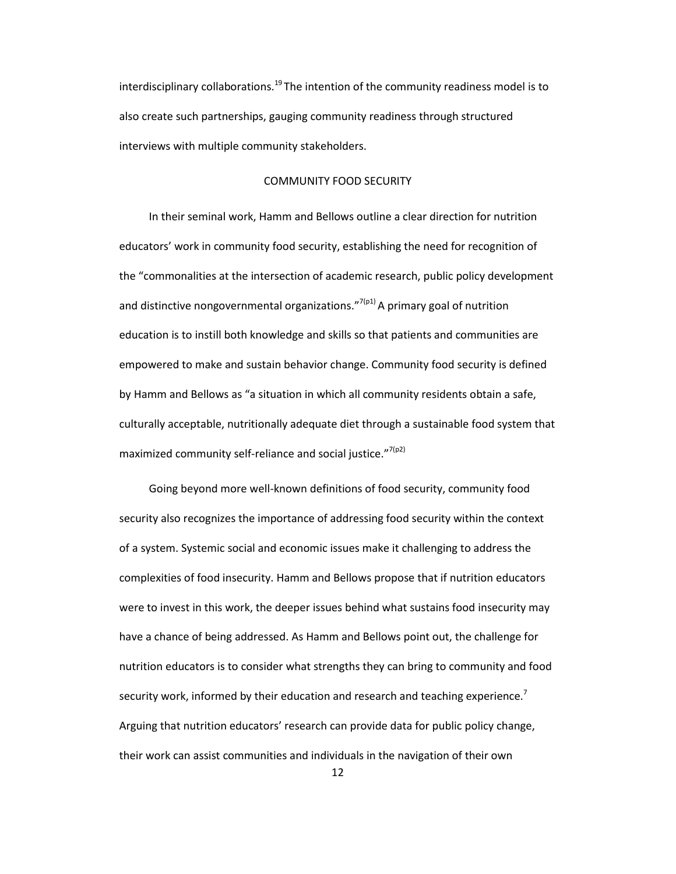interdisciplinary collaborations.<sup>19</sup> The intention of the community readiness model is to also create such partnerships, gauging community readiness through structured interviews with multiple community stakeholders.

## COMMUNITY FOOD SECURITY

In their seminal work, Hamm and Bellows outline a clear direction for nutrition educators' work in community food security, establishing the need for recognition of the "commonalities at the intersection of academic research, public policy development and distinctive nongovernmental organizations."<sup>7(p1)</sup> A primary goal of nutrition education is to instill both knowledge and skills so that patients and communities are empowered to make and sustain behavior change. Community food security is defined by Hamm and Bellows as "a situation in which all community residents obtain a safe, culturally acceptable, nutritionally adequate diet through a sustainable food system that maximized community self-reliance and social justice."<sup>7(p2)</sup>

Going beyond more well-known definitions of food security, community food security also recognizes the importance of addressing food security within the context of a system. Systemic social and economic issues make it challenging to address the complexities of food insecurity. Hamm and Bellows propose that if nutrition educators were to invest in this work, the deeper issues behind what sustains food insecurity may have a chance of being addressed. As Hamm and Bellows point out, the challenge for nutrition educators is to consider what strengths they can bring to community and food security work, informed by their education and research and teaching experience.<sup>7</sup> Arguing that nutrition educators' research can provide data for public policy change, their work can assist communities and individuals in the navigation of their own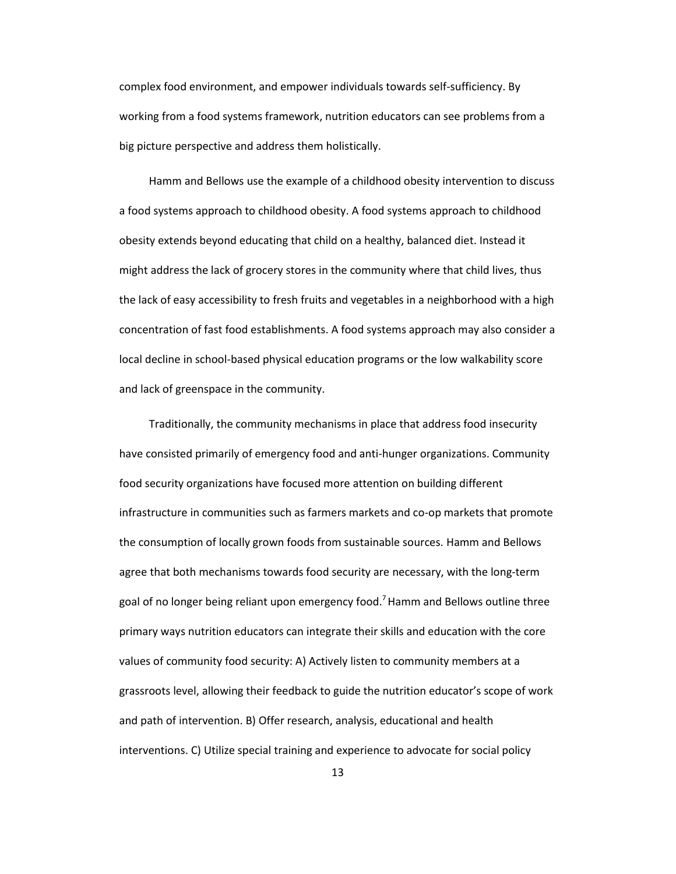complex food environment, and empower individuals towards self-sufficiency. By working from a food systems framework, nutrition educators can see problems from a big picture perspective and address them holistically.

Hamm and Bellows use the example of a childhood obesity intervention to discuss a food systems approach to childhood obesity. A food systems approach to childhood obesity extends beyond educating that child on a healthy, balanced diet. Instead it might address the lack of grocery stores in the community where that child lives, thus the lack of easy accessibility to fresh fruits and vegetables in a neighborhood with a high concentration of fast food establishments. A food systems approach may also consider a local decline in school-based physical education programs or the low walkability score and lack of greenspace in the community.

Traditionally, the community mechanisms in place that address food insecurity have consisted primarily of emergency food and anti-hunger organizations. Community food security organizations have focused more attention on building different infrastructure in communities such as farmers markets and co-op markets that promote the consumption of locally grown foods from sustainable sources. Hamm and Bellows agree that both mechanisms towards food security are necessary, with the long-term goal of no longer being reliant upon emergency food.<sup>7</sup> Hamm and Bellows outline three primary ways nutrition educators can integrate their skills and education with the core values of community food security: A) Actively listen to community members at a grassroots level, allowing their feedback to guide the nutrition educator's scope of work and path of intervention. B) Offer research, analysis, educational and health interventions. C) Utilize special training and experience to advocate for social policy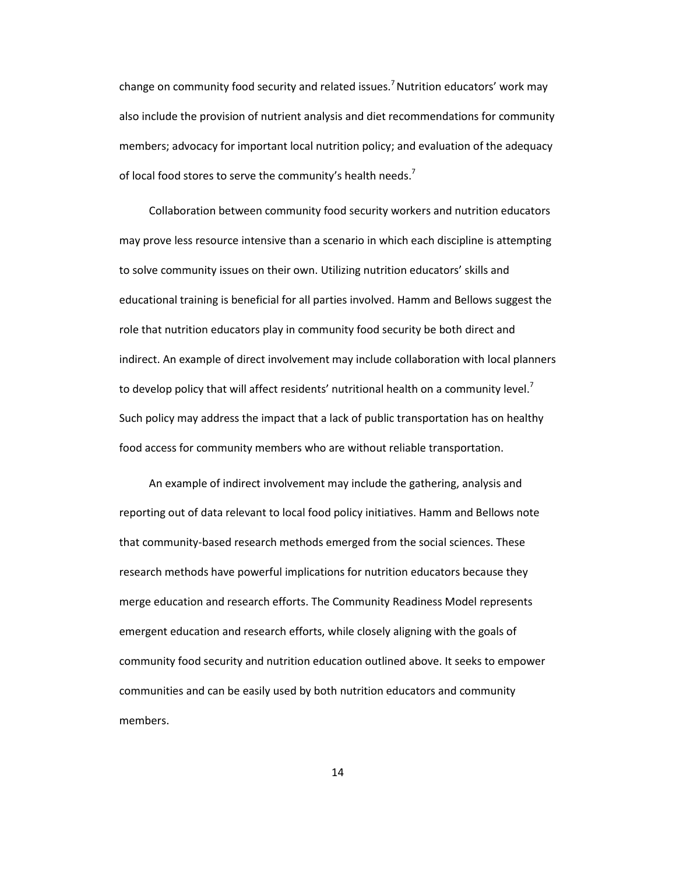change on community food security and related issues.<sup>7</sup> Nutrition educators' work may also include the provision of nutrient analysis and diet recommendations for community members; advocacy for important local nutrition policy; and evaluation of the adequacy of local food stores to serve the community's health needs.<sup>7</sup>

Collaboration between community food security workers and nutrition educators may prove less resource intensive than a scenario in which each discipline is attempting to solve community issues on their own. Utilizing nutrition educators' skills and educational training is beneficial for all parties involved. Hamm and Bellows suggest the role that nutrition educators play in community food security be both direct and indirect. An example of direct involvement may include collaboration with local planners to develop policy that will affect residents' nutritional health on a community level.<sup>7</sup> Such policy may address the impact that a lack of public transportation has on healthy food access for community members who are without reliable transportation.

An example of indirect involvement may include the gathering, analysis and reporting out of data relevant to local food policy initiatives. Hamm and Bellows note that community-based research methods emerged from the social sciences. These research methods have powerful implications for nutrition educators because they merge education and research efforts. The Community Readiness Model represents emergent education and research efforts, while closely aligning with the goals of community food security and nutrition education outlined above. It seeks to empower communities and can be easily used by both nutrition educators and community members.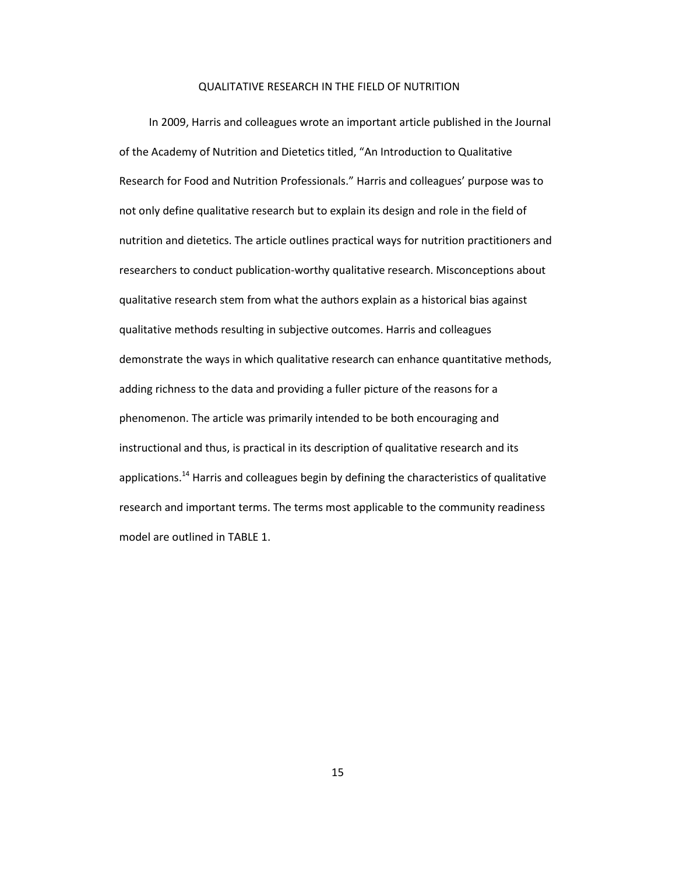#### QUALITATIVE RESEARCH IN THE FIELD OF NUTRITION

In 2009, Harris and colleagues wrote an important article published in the Journal of the Academy of Nutrition and Dietetics titled, "An Introduction to Qualitative Research for Food and Nutrition Professionals." Harris and colleagues' purpose was to not only define qualitative research but to explain its design and role in the field of nutrition and dietetics. The article outlines practical ways for nutrition practitioners and researchers to conduct publication-worthy qualitative research. Misconceptions about qualitative research stem from what the authors explain as a historical bias against qualitative methods resulting in subjective outcomes. Harris and colleagues demonstrate the ways in which qualitative research can enhance quantitative methods, adding richness to the data and providing a fuller picture of the reasons for a phenomenon. The article was primarily intended to be both encouraging and instructional and thus, is practical in its description of qualitative research and its applications.<sup>14</sup> Harris and colleagues begin by defining the characteristics of qualitative research and important terms. The terms most applicable to the community readiness model are outlined in TABLE 1.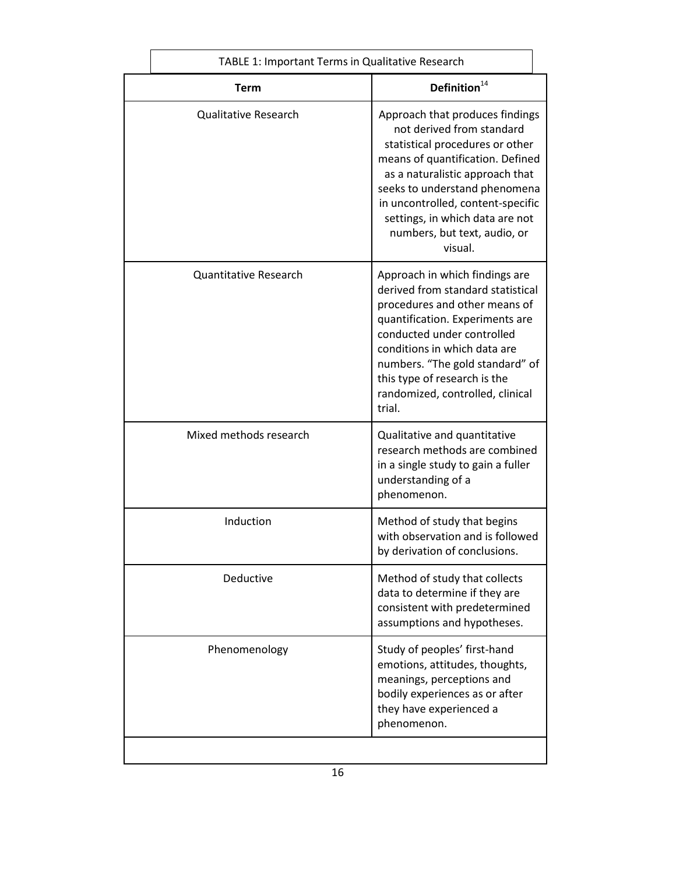| TABLE 1: Important Terms in Qualitative Research |                                                                                                                                                                                                                                                                                                                            |  |
|--------------------------------------------------|----------------------------------------------------------------------------------------------------------------------------------------------------------------------------------------------------------------------------------------------------------------------------------------------------------------------------|--|
| <b>Term</b>                                      | Definition <sup>14</sup>                                                                                                                                                                                                                                                                                                   |  |
| <b>Qualitative Research</b>                      | Approach that produces findings<br>not derived from standard<br>statistical procedures or other<br>means of quantification. Defined<br>as a naturalistic approach that<br>seeks to understand phenomena<br>in uncontrolled, content-specific<br>settings, in which data are not<br>numbers, but text, audio, or<br>visual. |  |
| <b>Quantitative Research</b>                     | Approach in which findings are<br>derived from standard statistical<br>procedures and other means of<br>quantification. Experiments are<br>conducted under controlled<br>conditions in which data are<br>numbers. "The gold standard" of<br>this type of research is the<br>randomized, controlled, clinical<br>trial.     |  |
| Mixed methods research                           | Qualitative and quantitative<br>research methods are combined<br>in a single study to gain a fuller<br>understanding of a<br>phenomenon.                                                                                                                                                                                   |  |
| Induction                                        | Method of study that begins<br>with observation and is followed<br>by derivation of conclusions.                                                                                                                                                                                                                           |  |
| Deductive                                        | Method of study that collects<br>data to determine if they are<br>consistent with predetermined<br>assumptions and hypotheses.                                                                                                                                                                                             |  |
| Phenomenology                                    | Study of peoples' first-hand<br>emotions, attitudes, thoughts,<br>meanings, perceptions and<br>bodily experiences as or after<br>they have experienced a<br>phenomenon.                                                                                                                                                    |  |
|                                                  |                                                                                                                                                                                                                                                                                                                            |  |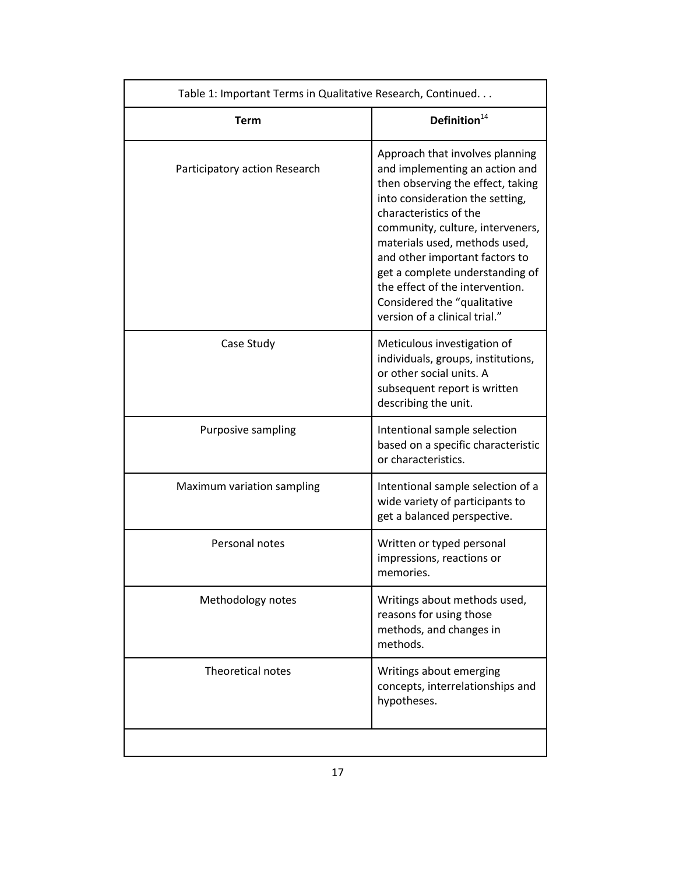| Table 1: Important Terms in Qualitative Research, Continued |                                                                                                                                                                                                                                                                                                                                                                                                                  |  |
|-------------------------------------------------------------|------------------------------------------------------------------------------------------------------------------------------------------------------------------------------------------------------------------------------------------------------------------------------------------------------------------------------------------------------------------------------------------------------------------|--|
| Term                                                        | Definition $14$                                                                                                                                                                                                                                                                                                                                                                                                  |  |
| Participatory action Research                               | Approach that involves planning<br>and implementing an action and<br>then observing the effect, taking<br>into consideration the setting,<br>characteristics of the<br>community, culture, interveners,<br>materials used, methods used,<br>and other important factors to<br>get a complete understanding of<br>the effect of the intervention.<br>Considered the "qualitative<br>version of a clinical trial." |  |
| Case Study                                                  | Meticulous investigation of<br>individuals, groups, institutions,<br>or other social units. A<br>subsequent report is written<br>describing the unit.                                                                                                                                                                                                                                                            |  |
| Purposive sampling                                          | Intentional sample selection<br>based on a specific characteristic<br>or characteristics.                                                                                                                                                                                                                                                                                                                        |  |
| Maximum variation sampling                                  | Intentional sample selection of a<br>wide variety of participants to<br>get a balanced perspective.                                                                                                                                                                                                                                                                                                              |  |
| Personal notes                                              | Written or typed personal<br>impressions, reactions or<br>memories.                                                                                                                                                                                                                                                                                                                                              |  |
| Methodology notes                                           | Writings about methods used,<br>reasons for using those<br>methods, and changes in<br>methods.                                                                                                                                                                                                                                                                                                                   |  |
| Theoretical notes                                           | Writings about emerging<br>concepts, interrelationships and<br>hypotheses.                                                                                                                                                                                                                                                                                                                                       |  |
|                                                             |                                                                                                                                                                                                                                                                                                                                                                                                                  |  |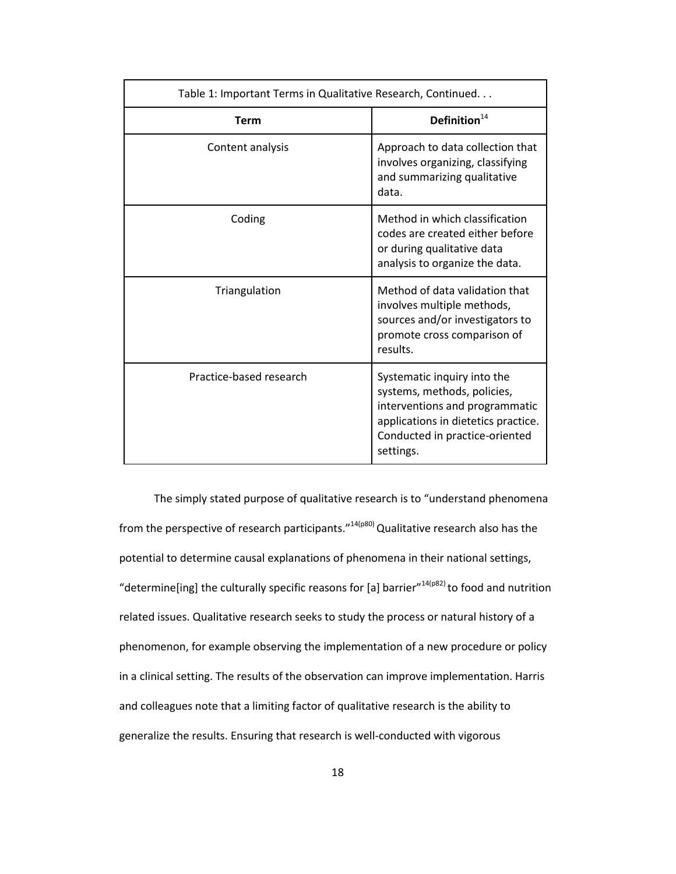| Table 1: Important Terms in Qualitative Research, Continued |                                                                                                                                                                                    |  |
|-------------------------------------------------------------|------------------------------------------------------------------------------------------------------------------------------------------------------------------------------------|--|
| <b>Term</b>                                                 | Definition $14$                                                                                                                                                                    |  |
| Content analysis                                            | Approach to data collection that<br>involves organizing, classifying<br>and summarizing qualitative<br>data.                                                                       |  |
| Coding                                                      | Method in which classification<br>codes are created either before<br>or during qualitative data<br>analysis to organize the data.                                                  |  |
| Triangulation                                               | Method of data validation that<br>involves multiple methods,<br>sources and/or investigators to<br>promote cross comparison of<br>results.                                         |  |
| Practice-based research                                     | Systematic inquiry into the<br>systems, methods, policies,<br>interventions and programmatic<br>applications in dietetics practice.<br>Conducted in practice-oriented<br>settings. |  |

The simply stated purpose of qualitative research is to "understand phenomena from the perspective of research participants."<sup>14(p80)</sup> Qualitative research also has the potential to determine causal explanations of phenomena in their national settings, "determine[ing] the culturally specific reasons for [a] barrier"<sup>14(p82)</sup> to food and nutrition related issues. Qualitative research seeks to study the process or natural history of a phenomenon, for example observing the implementation of a new procedure or policy in a clinical setting. The results of the observation can improve implementation. Harris and colleagues note that a limiting factor of qualitative research is the ability to generalize the results. Ensuring that research is well-conducted with vigorous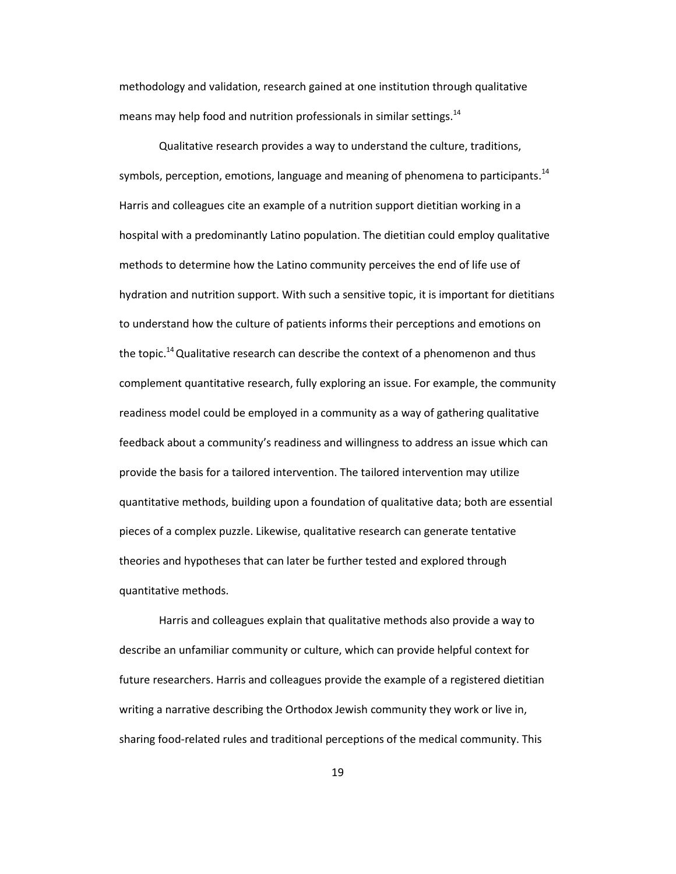methodology and validation, research gained at one institution through qualitative means may help food and nutrition professionals in similar settings.<sup>14</sup>

Qualitative research provides a way to understand the culture, traditions, symbols, perception, emotions, language and meaning of phenomena to participants.<sup>14</sup> Harris and colleagues cite an example of a nutrition support dietitian working in a hospital with a predominantly Latino population. The dietitian could employ qualitative methods to determine how the Latino community perceives the end of life use of hydration and nutrition support. With such a sensitive topic, it is important for dietitians to understand how the culture of patients informs their perceptions and emotions on the topic.<sup>14</sup> Qualitative research can describe the context of a phenomenon and thus complement quantitative research, fully exploring an issue. For example, the community readiness model could be employed in a community as a way of gathering qualitative feedback about a community's readiness and willingness to address an issue which can provide the basis for a tailored intervention. The tailored intervention may utilize quantitative methods, building upon a foundation of qualitative data; both are essential pieces of a complex puzzle. Likewise, qualitative research can generate tentative theories and hypotheses that can later be further tested and explored through quantitative methods.

Harris and colleagues explain that qualitative methods also provide a way to describe an unfamiliar community or culture, which can provide helpful context for future researchers. Harris and colleagues provide the example of a registered dietitian writing a narrative describing the Orthodox Jewish community they work or live in, sharing food-related rules and traditional perceptions of the medical community. This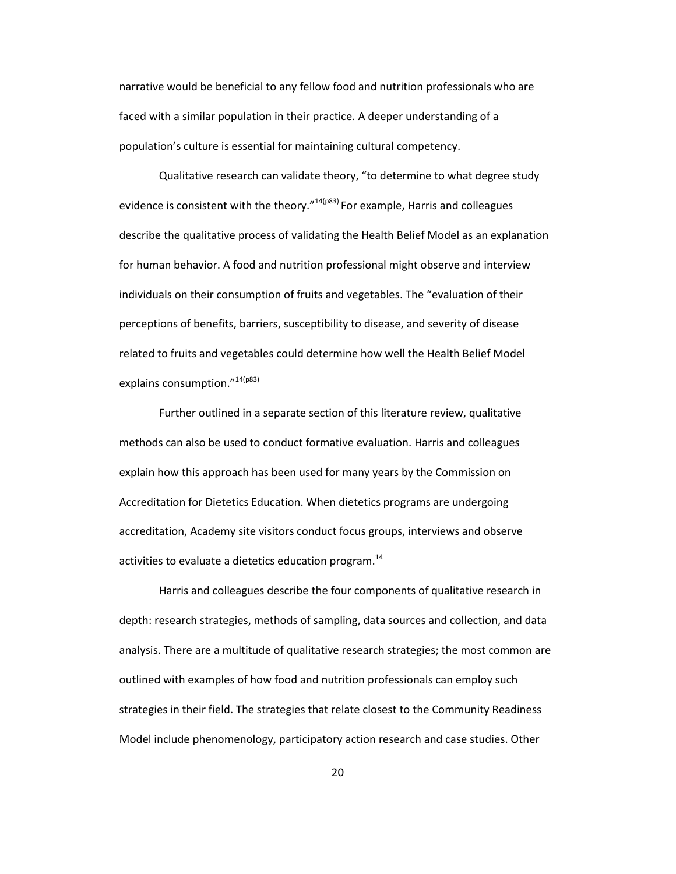narrative would be beneficial to any fellow food and nutrition professionals who are faced with a similar population in their practice. A deeper understanding of a population's culture is essential for maintaining cultural competency.

Qualitative research can validate theory, "to determine to what degree study evidence is consistent with the theory."<sup>14(p83)</sup> For example, Harris and colleagues describe the qualitative process of validating the Health Belief Model as an explanation for human behavior. A food and nutrition professional might observe and interview individuals on their consumption of fruits and vegetables. The "evaluation of their perceptions of benefits, barriers, susceptibility to disease, and severity of disease related to fruits and vegetables could determine how well the Health Belief Model explains consumption."<sup>14(p83)</sup>

Further outlined in a separate section of this literature review, qualitative methods can also be used to conduct formative evaluation. Harris and colleagues explain how this approach has been used for many years by the Commission on Accreditation for Dietetics Education. When dietetics programs are undergoing accreditation, Academy site visitors conduct focus groups, interviews and observe activities to evaluate a dietetics education program.<sup>14</sup>

Harris and colleagues describe the four components of qualitative research in depth: research strategies, methods of sampling, data sources and collection, and data analysis. There are a multitude of qualitative research strategies; the most common are outlined with examples of how food and nutrition professionals can employ such strategies in their field. The strategies that relate closest to the Community Readiness Model include phenomenology, participatory action research and case studies. Other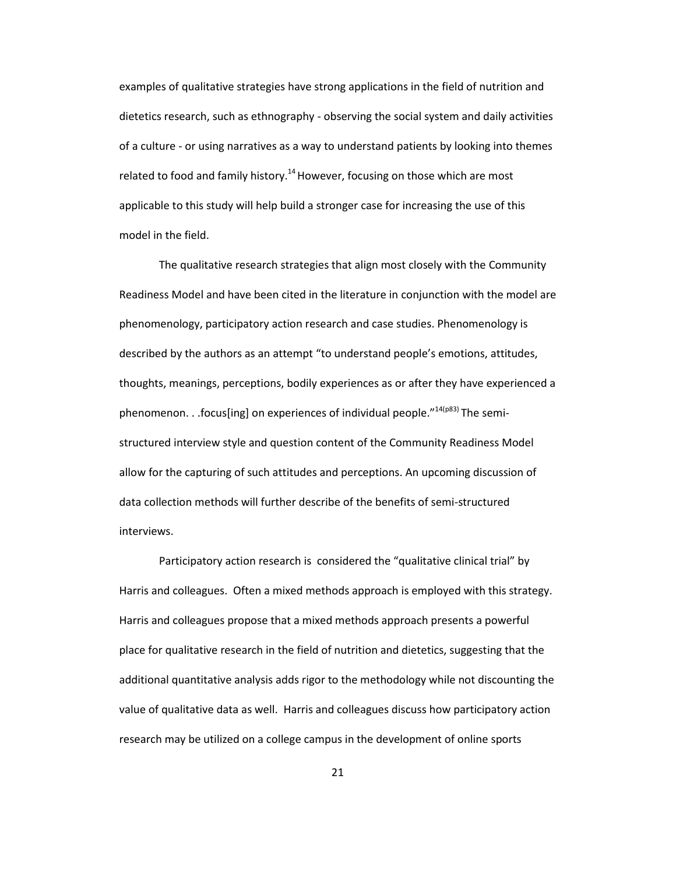examples of qualitative strategies have strong applications in the field of nutrition and dietetics research, such as ethnography - observing the social system and daily activities of a culture - or using narratives as a way to understand patients by looking into themes related to food and family history.<sup>14</sup> However, focusing on those which are most applicable to this study will help build a stronger case for increasing the use of this model in the field.

The qualitative research strategies that align most closely with the Community Readiness Model and have been cited in the literature in conjunction with the model are phenomenology, participatory action research and case studies. Phenomenology is described by the authors as an attempt "to understand people's emotions, attitudes, thoughts, meanings, perceptions, bodily experiences as or after they have experienced a phenomenon. . .focus[ing] on experiences of individual people."<sup>14(p83)</sup>The semistructured interview style and question content of the Community Readiness Model allow for the capturing of such attitudes and perceptions. An upcoming discussion of data collection methods will further describe of the benefits of semi-structured interviews.

Participatory action research is considered the "qualitative clinical trial" by Harris and colleagues. Often a mixed methods approach is employed with this strategy. Harris and colleagues propose that a mixed methods approach presents a powerful place for qualitative research in the field of nutrition and dietetics, suggesting that the additional quantitative analysis adds rigor to the methodology while not discounting the value of qualitative data as well. Harris and colleagues discuss how participatory action research may be utilized on a college campus in the development of online sports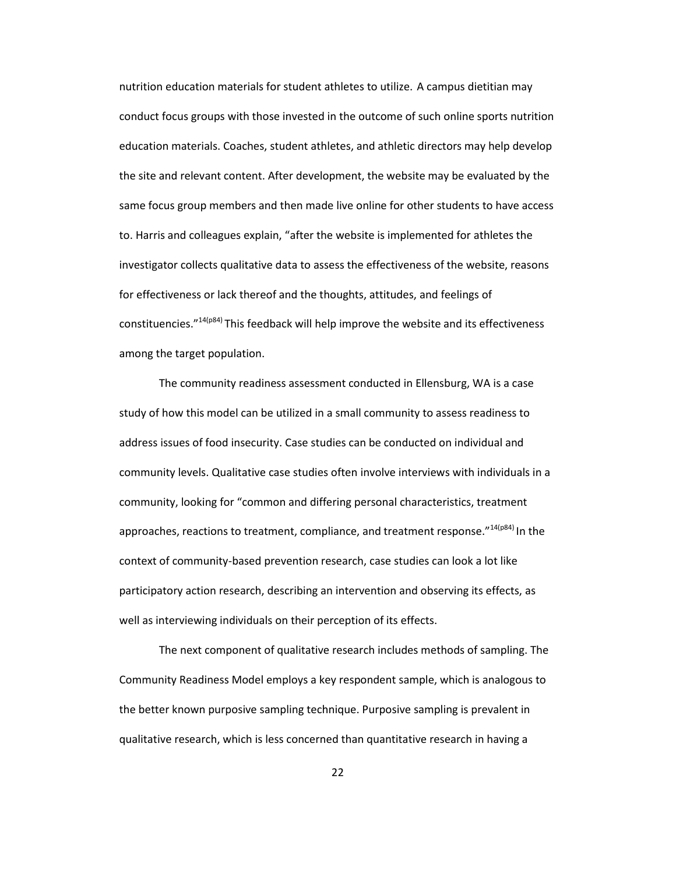nutrition education materials for student athletes to utilize. A campus dietitian may conduct focus groups with those invested in the outcome of such online sports nutrition education materials. Coaches, student athletes, and athletic directors may help develop the site and relevant content. After development, the website may be evaluated by the same focus group members and then made live online for other students to have access to. Harris and colleagues explain, "after the website is implemented for athletes the investigator collects qualitative data to assess the effectiveness of the website, reasons for effectiveness or lack thereof and the thoughts, attitudes, and feelings of constituencies."<sup>14(p84)</sup> This feedback will help improve the website and its effectiveness among the target population.

The community readiness assessment conducted in Ellensburg, WA is a case study of how this model can be utilized in a small community to assess readiness to address issues of food insecurity. Case studies can be conducted on individual and community levels. Qualitative case studies often involve interviews with individuals in a community, looking for "common and differing personal characteristics, treatment approaches, reactions to treatment, compliance, and treatment response."<sup>14(p84)</sup> In the context of community-based prevention research, case studies can look a lot like participatory action research, describing an intervention and observing its effects, as well as interviewing individuals on their perception of its effects.

The next component of qualitative research includes methods of sampling. The Community Readiness Model employs a key respondent sample, which is analogous to the better known purposive sampling technique. Purposive sampling is prevalent in qualitative research, which is less concerned than quantitative research in having a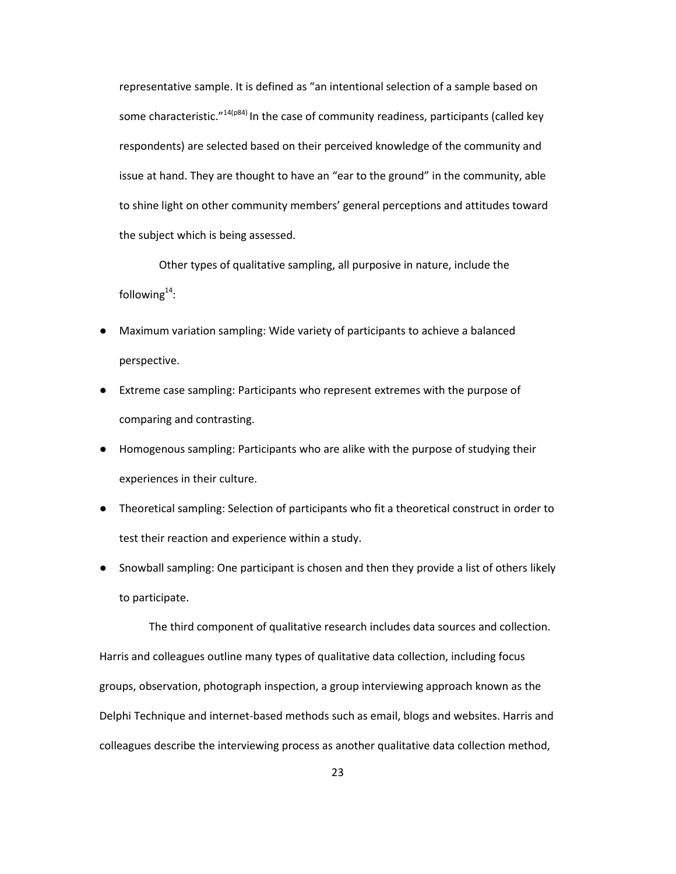representative sample. It is defined as "an intentional selection of a sample based on some characteristic."<sup>14(p84)</sup> In the case of community readiness, participants (called key respondents) are selected based on their perceived knowledge of the community and issue at hand. They are thought to have an "ear to the ground" in the community, able to shine light on other community members' general perceptions and attitudes toward the subject which is being assessed.

Other types of qualitative sampling, all purposive in nature, include the  $following<sup>14</sup>$ :

- Maximum variation sampling: Wide variety of participants to achieve a balanced perspective.
- Extreme case sampling: Participants who represent extremes with the purpose of comparing and contrasting.
- Homogenous sampling: Participants who are alike with the purpose of studying their experiences in their culture.
- Theoretical sampling: Selection of participants who fit a theoretical construct in order to test their reaction and experience within a study.
- Snowball sampling: One participant is chosen and then they provide a list of others likely to participate.

The third component of qualitative research includes data sources and collection. Harris and colleagues outline many types of qualitative data collection, including focus groups, observation, photograph inspection, a group interviewing approach known as the Delphi Technique and internet-based methods such as email, blogs and websites. Harris and colleagues describe the interviewing process as another qualitative data collection method,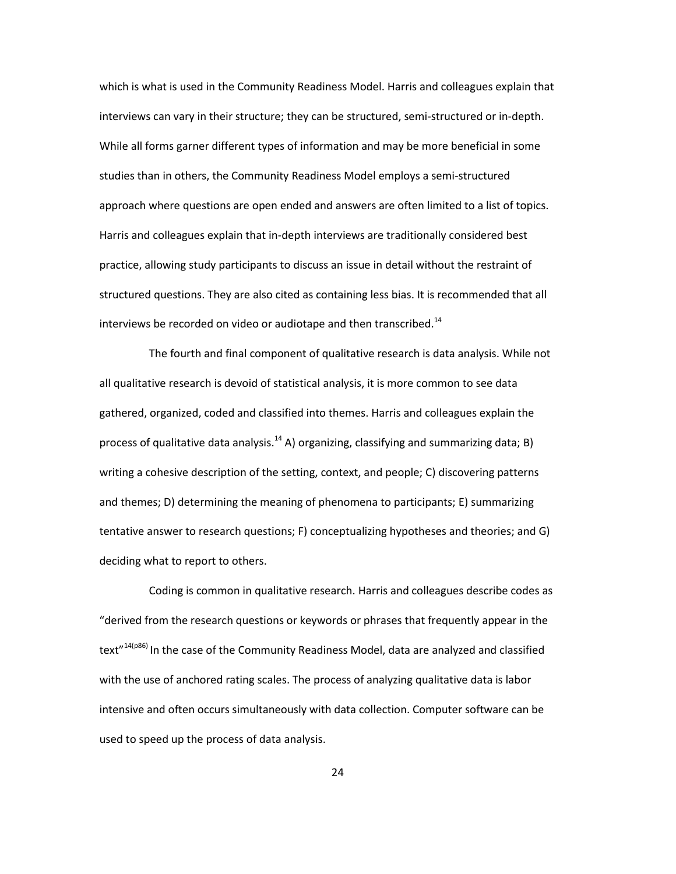which is what is used in the Community Readiness Model. Harris and colleagues explain that interviews can vary in their structure; they can be structured, semi-structured or in-depth. While all forms garner different types of information and may be more beneficial in some studies than in others, the Community Readiness Model employs a semi-structured approach where questions are open ended and answers are often limited to a list of topics. Harris and colleagues explain that in-depth interviews are traditionally considered best practice, allowing study participants to discuss an issue in detail without the restraint of structured questions. They are also cited as containing less bias. It is recommended that all interviews be recorded on video or audiotape and then transcribed.<sup>14</sup>

The fourth and final component of qualitative research is data analysis. While not all qualitative research is devoid of statistical analysis, it is more common to see data gathered, organized, coded and classified into themes. Harris and colleagues explain the process of qualitative data analysis.<sup>14</sup> A) organizing, classifying and summarizing data; B) writing a cohesive description of the setting, context, and people; C) discovering patterns and themes; D) determining the meaning of phenomena to participants; E) summarizing tentative answer to research questions; F) conceptualizing hypotheses and theories; and G) deciding what to report to others.

Coding is common in qualitative research. Harris and colleagues describe codes as "derived from the research questions or keywords or phrases that frequently appear in the text"<sup>14(p86)</sup> In the case of the Community Readiness Model, data are analyzed and classified with the use of anchored rating scales. The process of analyzing qualitative data is labor intensive and often occurs simultaneously with data collection. Computer software can be used to speed up the process of data analysis.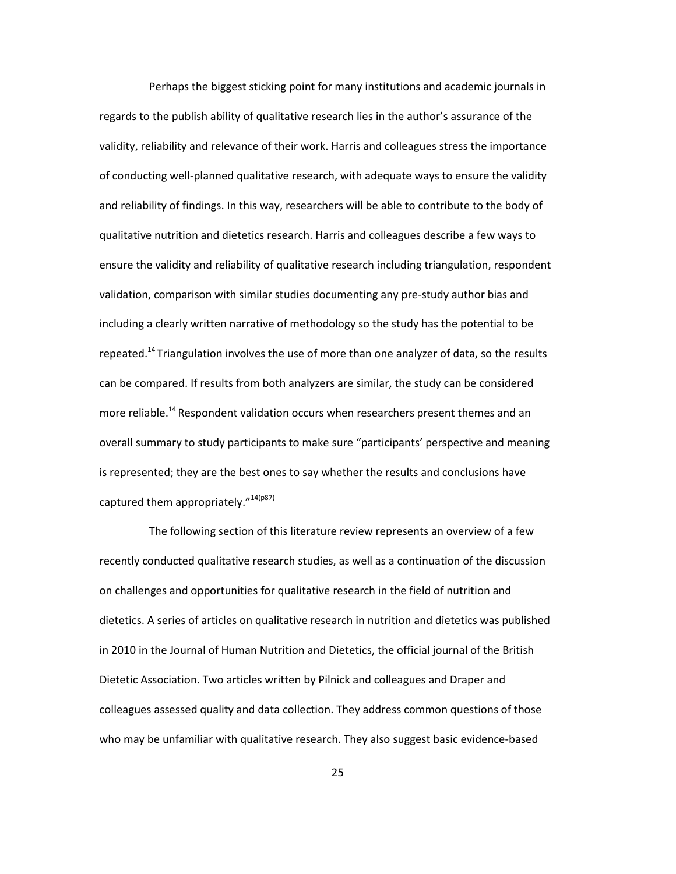Perhaps the biggest sticking point for many institutions and academic journals in regards to the publish ability of qualitative research lies in the author's assurance of the validity, reliability and relevance of their work. Harris and colleagues stress the importance of conducting well-planned qualitative research, with adequate ways to ensure the validity and reliability of findings. In this way, researchers will be able to contribute to the body of qualitative nutrition and dietetics research. Harris and colleagues describe a few ways to ensure the validity and reliability of qualitative research including triangulation, respondent validation, comparison with similar studies documenting any pre-study author bias and including a clearly written narrative of methodology so the study has the potential to be repeated.<sup>14</sup> Triangulation involves the use of more than one analyzer of data, so the results can be compared. If results from both analyzers are similar, the study can be considered more reliable.<sup>14</sup> Respondent validation occurs when researchers present themes and an overall summary to study participants to make sure "participants' perspective and meaning is represented; they are the best ones to say whether the results and conclusions have captured them appropriately."<sup>14(p87)</sup>

The following section of this literature review represents an overview of a few recently conducted qualitative research studies, as well as a continuation of the discussion on challenges and opportunities for qualitative research in the field of nutrition and dietetics. A series of articles on qualitative research in nutrition and dietetics was published in 2010 in the Journal of Human Nutrition and Dietetics, the official journal of the British Dietetic Association. Two articles written by Pilnick and colleagues and Draper and colleagues assessed quality and data collection. They address common questions of those who may be unfamiliar with qualitative research. They also suggest basic evidence-based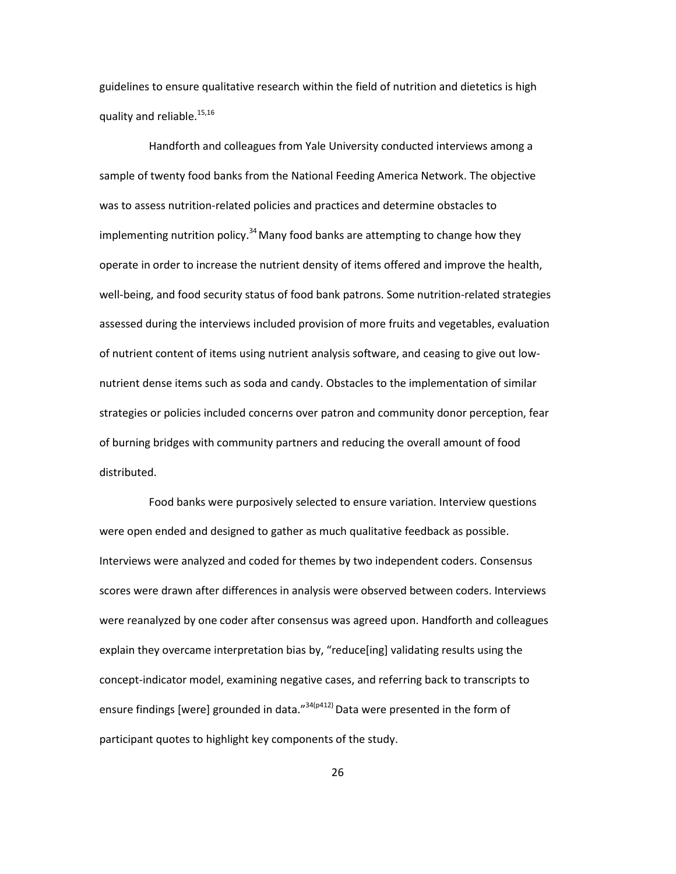guidelines to ensure qualitative research within the field of nutrition and dietetics is high quality and reliable.<sup>15,16</sup>

Handforth and colleagues from Yale University conducted interviews among a sample of twenty food banks from the National Feeding America Network. The objective was to assess nutrition-related policies and practices and determine obstacles to implementing nutrition policy.<sup>34</sup> Many food banks are attempting to change how they operate in order to increase the nutrient density of items offered and improve the health, well-being, and food security status of food bank patrons. Some nutrition-related strategies assessed during the interviews included provision of more fruits and vegetables, evaluation of nutrient content of items using nutrient analysis software, and ceasing to give out lownutrient dense items such as soda and candy. Obstacles to the implementation of similar strategies or policies included concerns over patron and community donor perception, fear of burning bridges with community partners and reducing the overall amount of food distributed.

Food banks were purposively selected to ensure variation. Interview questions were open ended and designed to gather as much qualitative feedback as possible. Interviews were analyzed and coded for themes by two independent coders. Consensus scores were drawn after differences in analysis were observed between coders. Interviews were reanalyzed by one coder after consensus was agreed upon. Handforth and colleagues explain they overcame interpretation bias by, "reduce[ing] validating results using the concept-indicator model, examining negative cases, and referring back to transcripts to ensure findings [were] grounded in data."<sup>34(p412)</sup> Data were presented in the form of participant quotes to highlight key components of the study.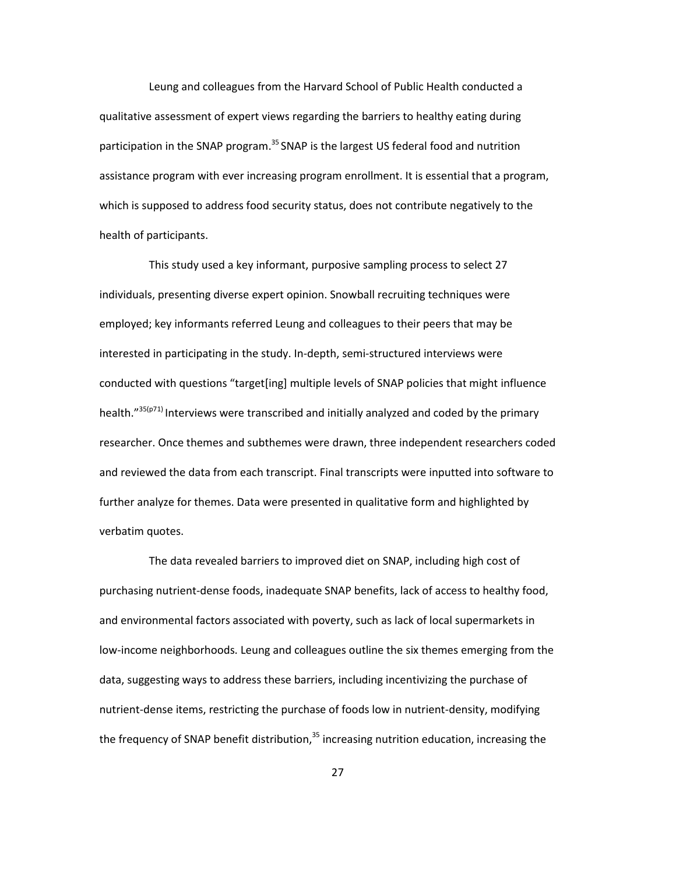Leung and colleagues from the Harvard School of Public Health conducted a qualitative assessment of expert views regarding the barriers to healthy eating during participation in the SNAP program.<sup>35</sup> SNAP is the largest US federal food and nutrition assistance program with ever increasing program enrollment. It is essential that a program, which is supposed to address food security status, does not contribute negatively to the health of participants.

This study used a key informant, purposive sampling process to select 27 individuals, presenting diverse expert opinion. Snowball recruiting techniques were employed; key informants referred Leung and colleagues to their peers that may be interested in participating in the study. In-depth, semi-structured interviews were conducted with questions "target[ing] multiple levels of SNAP policies that might influence health."<sup>35(p71)</sup> Interviews were transcribed and initially analyzed and coded by the primary researcher. Once themes and subthemes were drawn, three independent researchers coded and reviewed the data from each transcript. Final transcripts were inputted into software to further analyze for themes. Data were presented in qualitative form and highlighted by verbatim quotes.

The data revealed barriers to improved diet on SNAP, including high cost of purchasing nutrient-dense foods, inadequate SNAP benefits, lack of access to healthy food, and environmental factors associated with poverty, such as lack of local supermarkets in low-income neighborhoods. Leung and colleagues outline the six themes emerging from the data, suggesting ways to address these barriers, including incentivizing the purchase of nutrient-dense items, restricting the purchase of foods low in nutrient-density, modifying the frequency of SNAP benefit distribution,<sup>35</sup> increasing nutrition education, increasing the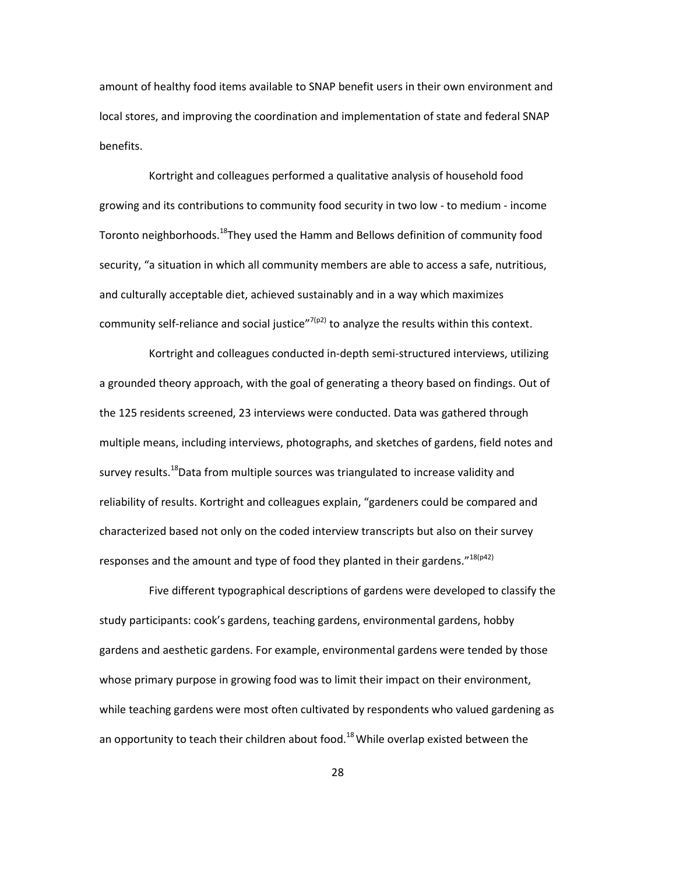amount of healthy food items available to SNAP benefit users in their own environment and local stores, and improving the coordination and implementation of state and federal SNAP benefits.

Kortright and colleagues performed a qualitative analysis of household food growing and its contributions to community food security in two low - to medium - income Toronto neighborhoods.<sup>18</sup>They used the Hamm and Bellows definition of community food security, "a situation in which all community members are able to access a safe, nutritious, and culturally acceptable diet, achieved sustainably and in a way which maximizes community self-reliance and social justice"<sup>7(p2)</sup> to analyze the results within this context.

Kortright and colleagues conducted in-depth semi-structured interviews, utilizing a grounded theory approach, with the goal of generating a theory based on findings. Out of the 125 residents screened, 23 interviews were conducted. Data was gathered through multiple means, including interviews, photographs, and sketches of gardens, field notes and survey results.<sup>18</sup>Data from multiple sources was triangulated to increase validity and reliability of results. Kortright and colleagues explain, "gardeners could be compared and characterized based not only on the coded interview transcripts but also on their survey responses and the amount and type of food they planted in their gardens." $^{18(p42)}$ 

Five different typographical descriptions of gardens were developed to classify the study participants: cook's gardens, teaching gardens, environmental gardens, hobby gardens and aesthetic gardens. For example, environmental gardens were tended by those whose primary purpose in growing food was to limit their impact on their environment, while teaching gardens were most often cultivated by respondents who valued gardening as an opportunity to teach their children about food.<sup>18</sup> While overlap existed between the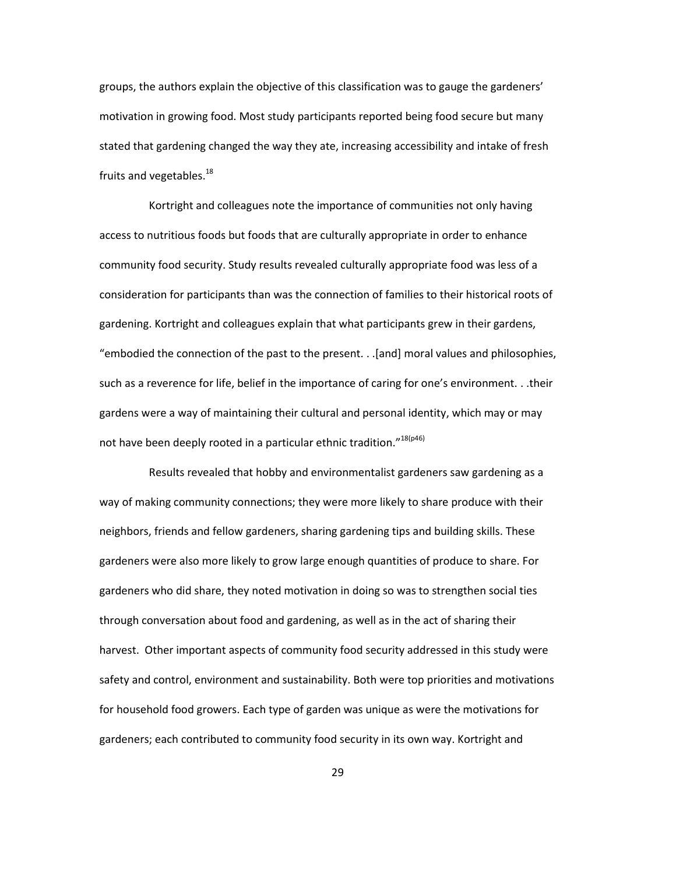groups, the authors explain the objective of this classification was to gauge the gardeners' motivation in growing food. Most study participants reported being food secure but many stated that gardening changed the way they ate, increasing accessibility and intake of fresh fruits and vegetables.<sup>18</sup>

Kortright and colleagues note the importance of communities not only having access to nutritious foods but foods that are culturally appropriate in order to enhance community food security. Study results revealed culturally appropriate food was less of a consideration for participants than was the connection of families to their historical roots of gardening. Kortright and colleagues explain that what participants grew in their gardens, "embodied the connection of the past to the present. . .[and] moral values and philosophies, such as a reverence for life, belief in the importance of caring for one's environment. . .their gardens were a way of maintaining their cultural and personal identity, which may or may not have been deeply rooted in a particular ethnic tradition."<sup>18(p46)</sup>

Results revealed that hobby and environmentalist gardeners saw gardening as a way of making community connections; they were more likely to share produce with their neighbors, friends and fellow gardeners, sharing gardening tips and building skills. These gardeners were also more likely to grow large enough quantities of produce to share. For gardeners who did share, they noted motivation in doing so was to strengthen social ties through conversation about food and gardening, as well as in the act of sharing their harvest. Other important aspects of community food security addressed in this study were safety and control, environment and sustainability. Both were top priorities and motivations for household food growers. Each type of garden was unique as were the motivations for gardeners; each contributed to community food security in its own way. Kortright and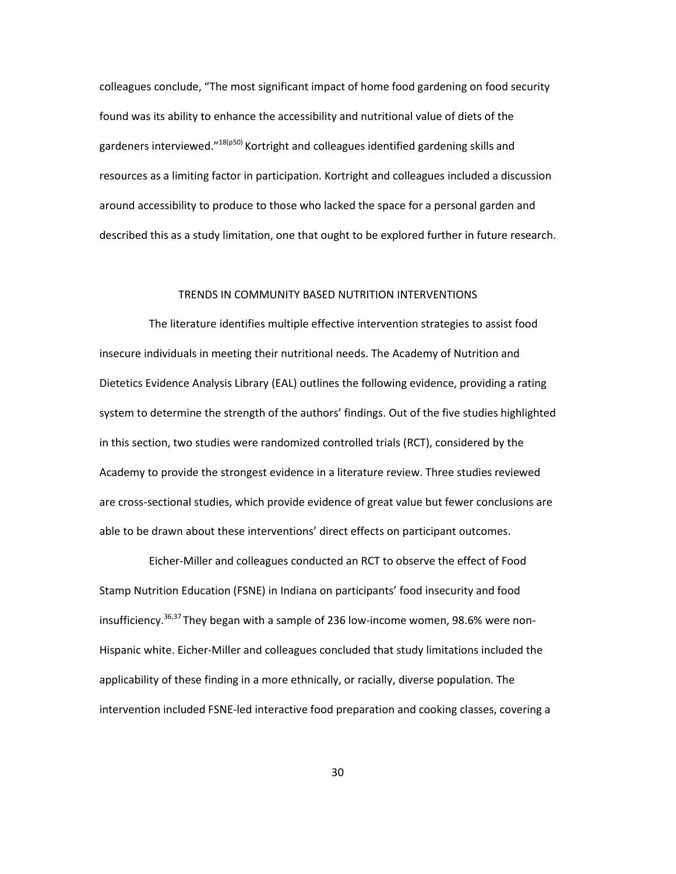colleagues conclude, "The most significant impact of home food gardening on food security found was its ability to enhance the accessibility and nutritional value of diets of the gardeners interviewed."<sup>18(p50)</sup> Kortright and colleagues identified gardening skills and resources as a limiting factor in participation. Kortright and colleagues included a discussion around accessibility to produce to those who lacked the space for a personal garden and described this as a study limitation, one that ought to be explored further in future research.

## TRENDS IN COMMUNITY BASED NUTRITION INTERVENTIONS

The literature identifies multiple effective intervention strategies to assist food insecure individuals in meeting their nutritional needs. The Academy of Nutrition and Dietetics Evidence Analysis Library (EAL) outlines the following evidence, providing a rating system to determine the strength of the authors' findings. Out of the five studies highlighted in this section, two studies were randomized controlled trials (RCT), considered by the Academy to provide the strongest evidence in a literature review. Three studies reviewed are cross-sectional studies, which provide evidence of great value but fewer conclusions are able to be drawn about these interventions' direct effects on participant outcomes.

Eicher-Miller and colleagues conducted an RCT to observe the effect of Food Stamp Nutrition Education (FSNE) in Indiana on participants' food insecurity and food insufficiency.<sup>36,37</sup> They began with a sample of 236 low-income women, 98.6% were non-Hispanic white. Eicher-Miller and colleagues concluded that study limitations included the applicability of these finding in a more ethnically, or racially, diverse population. The intervention included FSNE-led interactive food preparation and cooking classes, covering a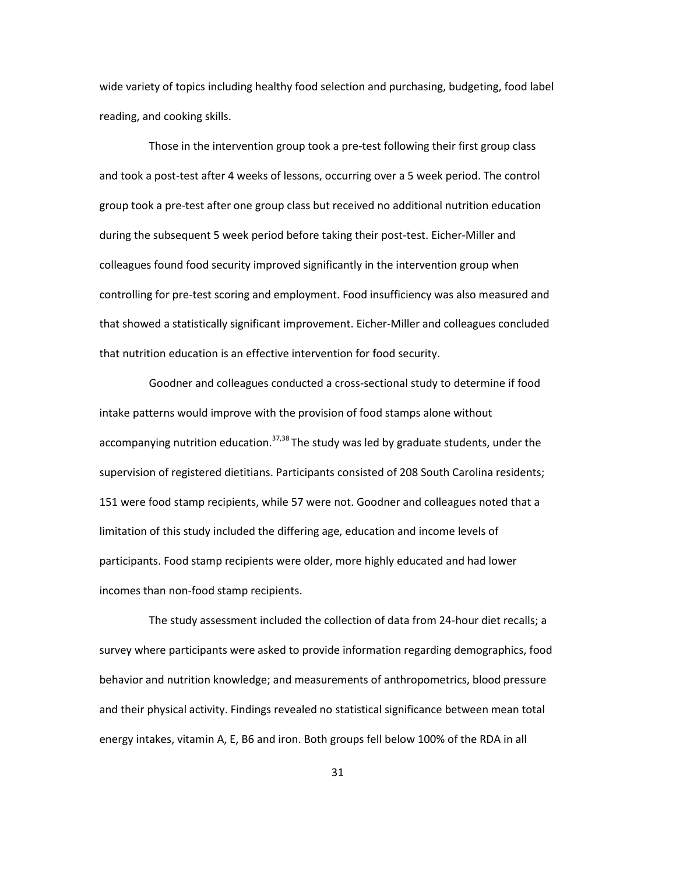wide variety of topics including healthy food selection and purchasing, budgeting, food label reading, and cooking skills.

Those in the intervention group took a pre-test following their first group class and took a post-test after 4 weeks of lessons, occurring over a 5 week period. The control group took a pre-test after one group class but received no additional nutrition education during the subsequent 5 week period before taking their post-test. Eicher-Miller and colleagues found food security improved significantly in the intervention group when controlling for pre-test scoring and employment. Food insufficiency was also measured and that showed a statistically significant improvement. Eicher-Miller and colleagues concluded that nutrition education is an effective intervention for food security.

Goodner and colleagues conducted a cross-sectional study to determine if food intake patterns would improve with the provision of food stamps alone without accompanying nutrition education.<sup>37,38</sup> The study was led by graduate students, under the supervision of registered dietitians. Participants consisted of 208 South Carolina residents; 151 were food stamp recipients, while 57 were not. Goodner and colleagues noted that a limitation of this study included the differing age, education and income levels of participants. Food stamp recipients were older, more highly educated and had lower incomes than non-food stamp recipients.

The study assessment included the collection of data from 24-hour diet recalls; a survey where participants were asked to provide information regarding demographics, food behavior and nutrition knowledge; and measurements of anthropometrics, blood pressure and their physical activity. Findings revealed no statistical significance between mean total energy intakes, vitamin A, E, B6 and iron. Both groups fell below 100% of the RDA in all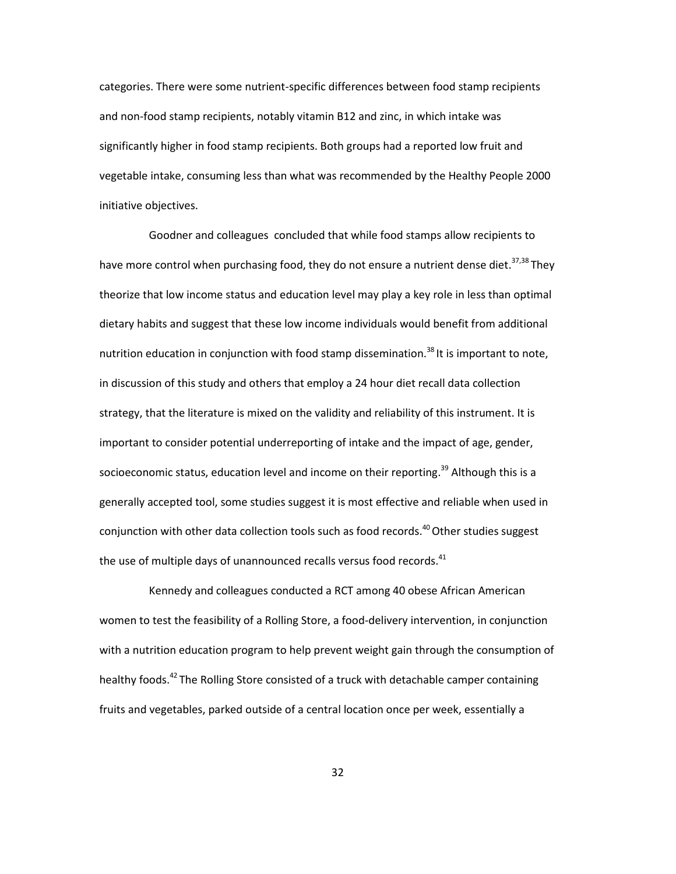categories. There were some nutrient-specific differences between food stamp recipients and non-food stamp recipients, notably vitamin B12 and zinc, in which intake was significantly higher in food stamp recipients. Both groups had a reported low fruit and vegetable intake, consuming less than what was recommended by the Healthy People 2000 initiative objectives.

Goodner and colleagues concluded that while food stamps allow recipients to have more control when purchasing food, they do not ensure a nutrient dense diet.<sup>37,38</sup> They theorize that low income status and education level may play a key role in less than optimal dietary habits and suggest that these low income individuals would benefit from additional nutrition education in conjunction with food stamp dissemination.<sup>38</sup> It is important to note, in discussion of this study and others that employ a 24 hour diet recall data collection strategy, that the literature is mixed on the validity and reliability of this instrument. It is important to consider potential underreporting of intake and the impact of age, gender, socioeconomic status, education level and income on their reporting.<sup>39</sup> Although this is a generally accepted tool, some studies suggest it is most effective and reliable when used in conjunction with other data collection tools such as food records.<sup>40</sup> Other studies suggest the use of multiple days of unannounced recalls versus food records.<sup>41</sup>

Kennedy and colleagues conducted a RCT among 40 obese African American women to test the feasibility of a Rolling Store, a food-delivery intervention, in conjunction with a nutrition education program to help prevent weight gain through the consumption of healthy foods.<sup>42</sup> The Rolling Store consisted of a truck with detachable camper containing fruits and vegetables, parked outside of a central location once per week, essentially a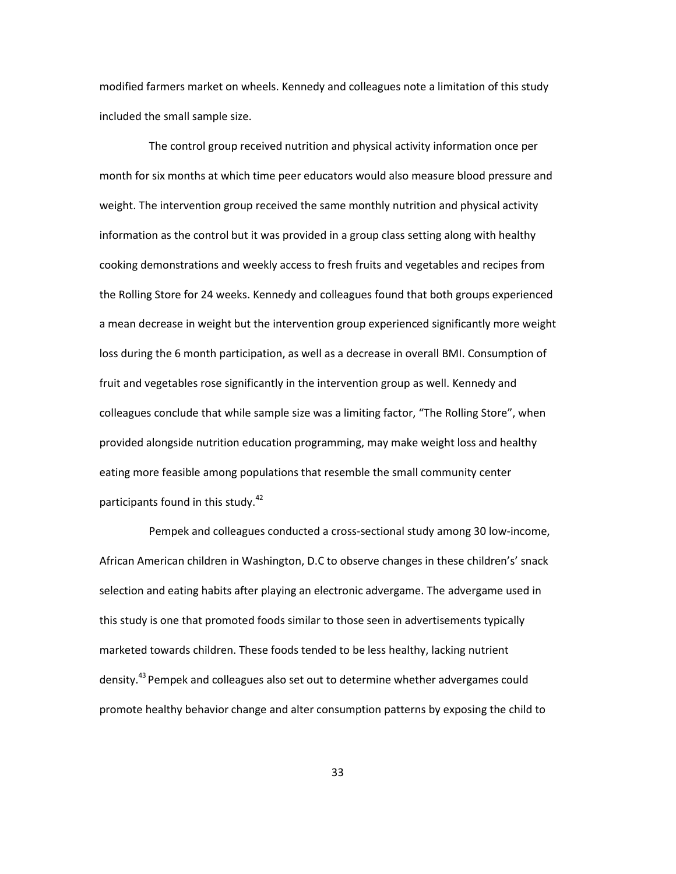modified farmers market on wheels. Kennedy and colleagues note a limitation of this study included the small sample size.

The control group received nutrition and physical activity information once per month for six months at which time peer educators would also measure blood pressure and weight. The intervention group received the same monthly nutrition and physical activity information as the control but it was provided in a group class setting along with healthy cooking demonstrations and weekly access to fresh fruits and vegetables and recipes from the Rolling Store for 24 weeks. Kennedy and colleagues found that both groups experienced a mean decrease in weight but the intervention group experienced significantly more weight loss during the 6 month participation, as well as a decrease in overall BMI. Consumption of fruit and vegetables rose significantly in the intervention group as well. Kennedy and colleagues conclude that while sample size was a limiting factor, "The Rolling Store", when provided alongside nutrition education programming, may make weight loss and healthy eating more feasible among populations that resemble the small community center participants found in this study.<sup>42</sup>

Pempek and colleagues conducted a cross-sectional study among 30 low-income, African American children in Washington, D.C to observe changes in these children's' snack selection and eating habits after playing an electronic advergame. The advergame used in this study is one that promoted foods similar to those seen in advertisements typically marketed towards children. These foods tended to be less healthy, lacking nutrient density.<sup>43</sup> Pempek and colleagues also set out to determine whether advergames could promote healthy behavior change and alter consumption patterns by exposing the child to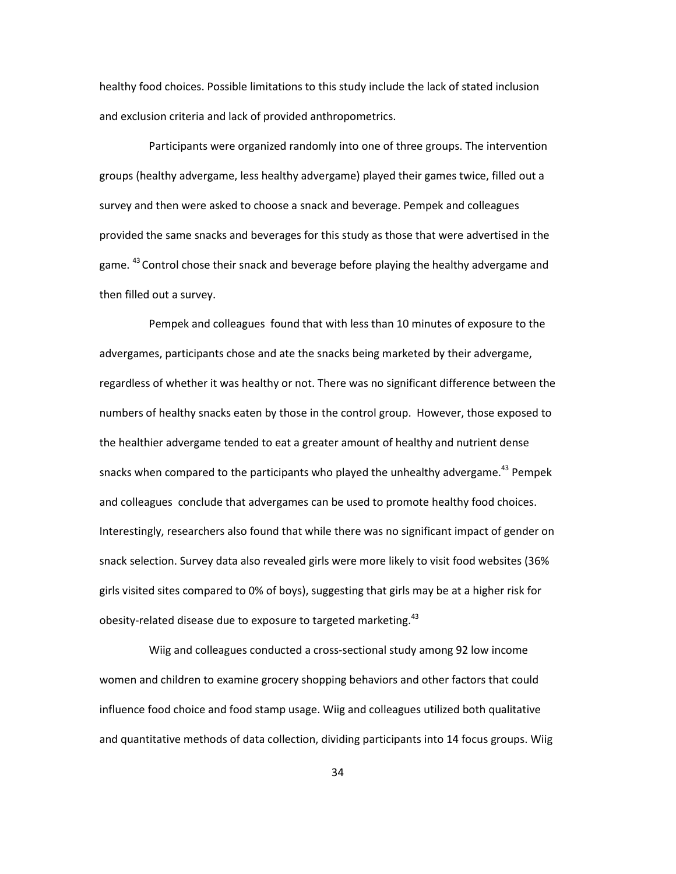healthy food choices. Possible limitations to this study include the lack of stated inclusion and exclusion criteria and lack of provided anthropometrics.

Participants were organized randomly into one of three groups. The intervention groups (healthy advergame, less healthy advergame) played their games twice, filled out a survey and then were asked to choose a snack and beverage. Pempek and colleagues provided the same snacks and beverages for this study as those that were advertised in the game. <sup>43</sup> Control chose their snack and beverage before playing the healthy advergame and then filled out a survey.

Pempek and colleagues found that with less than 10 minutes of exposure to the advergames, participants chose and ate the snacks being marketed by their advergame, regardless of whether it was healthy or not. There was no significant difference between the numbers of healthy snacks eaten by those in the control group. However, those exposed to the healthier advergame tended to eat a greater amount of healthy and nutrient dense snacks when compared to the participants who played the unhealthy advergame.<sup>43</sup> Pempek and colleagues conclude that advergames can be used to promote healthy food choices. Interestingly, researchers also found that while there was no significant impact of gender on snack selection. Survey data also revealed girls were more likely to visit food websites (36% girls visited sites compared to 0% of boys), suggesting that girls may be at a higher risk for obesity-related disease due to exposure to targeted marketing. $43$ 

Wiig and colleagues conducted a cross-sectional study among 92 low income women and children to examine grocery shopping behaviors and other factors that could influence food choice and food stamp usage. Wiig and colleagues utilized both qualitative and quantitative methods of data collection, dividing participants into 14 focus groups. Wiig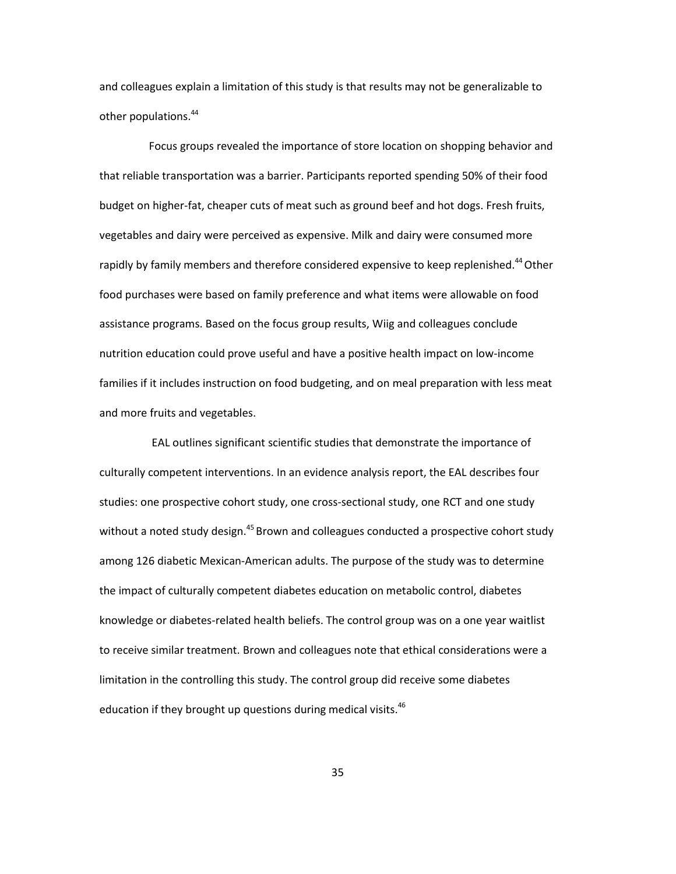and colleagues explain a limitation of this study is that results may not be generalizable to other populations. 44

Focus groups revealed the importance of store location on shopping behavior and that reliable transportation was a barrier. Participants reported spending 50% of their food budget on higher-fat, cheaper cuts of meat such as ground beef and hot dogs. Fresh fruits, vegetables and dairy were perceived as expensive. Milk and dairy were consumed more rapidly by family members and therefore considered expensive to keep replenished.<sup>44</sup> Other food purchases were based on family preference and what items were allowable on food assistance programs. Based on the focus group results, Wiig and colleagues conclude nutrition education could prove useful and have a positive health impact on low-income families if it includes instruction on food budgeting, and on meal preparation with less meat and more fruits and vegetables.

EAL outlines significant scientific studies that demonstrate the importance of culturally competent interventions. In an evidence analysis report, the EAL describes four studies: one prospective cohort study, one cross-sectional study, one RCT and one study without a noted study design.<sup>45</sup> Brown and colleagues conducted a prospective cohort study among 126 diabetic Mexican-American adults. The purpose of the study was to determine the impact of culturally competent diabetes education on metabolic control, diabetes knowledge or diabetes-related health beliefs. The control group was on a one year waitlist to receive similar treatment. Brown and colleagues note that ethical considerations were a limitation in the controlling this study. The control group did receive some diabetes education if they brought up questions during medical visits.<sup>46</sup>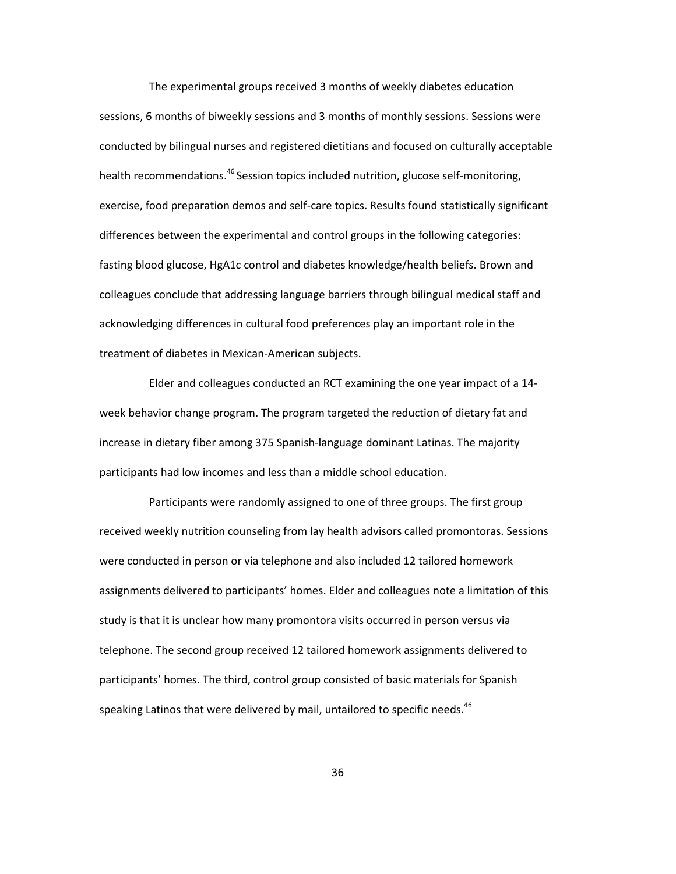The experimental groups received 3 months of weekly diabetes education sessions, 6 months of biweekly sessions and 3 months of monthly sessions. Sessions were conducted by bilingual nurses and registered dietitians and focused on culturally acceptable health recommendations.<sup>46</sup> Session topics included nutrition, glucose self-monitoring, exercise, food preparation demos and self-care topics. Results found statistically significant differences between the experimental and control groups in the following categories: fasting blood glucose, HgA1c control and diabetes knowledge/health beliefs. Brown and colleagues conclude that addressing language barriers through bilingual medical staff and acknowledging differences in cultural food preferences play an important role in the treatment of diabetes in Mexican-American subjects.

Elder and colleagues conducted an RCT examining the one year impact of a 14 week behavior change program. The program targeted the reduction of dietary fat and increase in dietary fiber among 375 Spanish-language dominant Latinas. The majority participants had low incomes and less than a middle school education.

Participants were randomly assigned to one of three groups. The first group received weekly nutrition counseling from lay health advisors called promontoras. Sessions were conducted in person or via telephone and also included 12 tailored homework assignments delivered to participants' homes. Elder and colleagues note a limitation of this study is that it is unclear how many promontora visits occurred in person versus via telephone. The second group received 12 tailored homework assignments delivered to participants' homes. The third, control group consisted of basic materials for Spanish speaking Latinos that were delivered by mail, untailored to specific needs.  $46$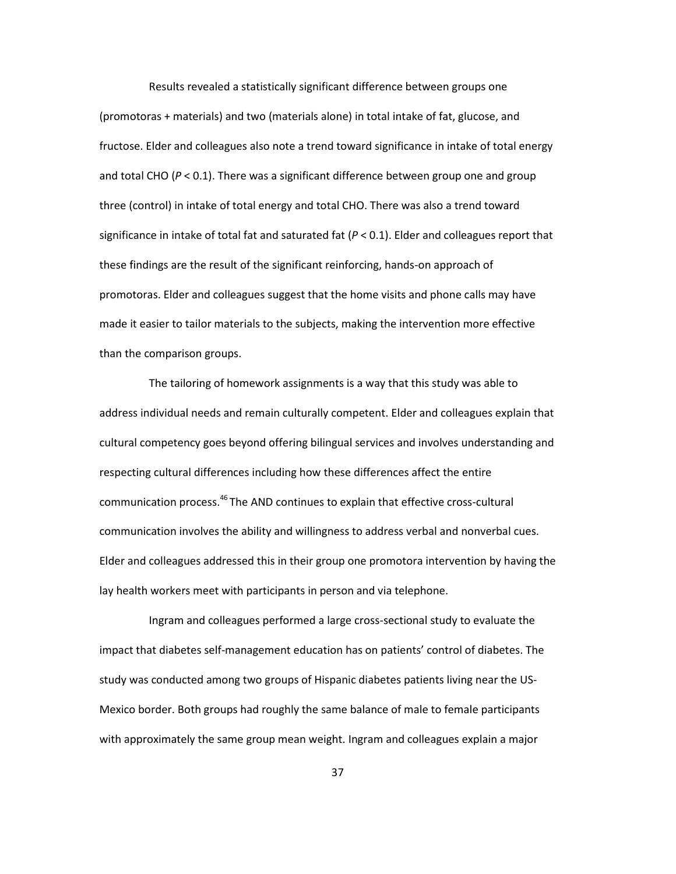Results revealed a statistically significant difference between groups one (promotoras + materials) and two (materials alone) in total intake of fat, glucose, and fructose. Elder and colleagues also note a trend toward significance in intake of total energy and total CHO ( $P < 0.1$ ). There was a significant difference between group one and group three (control) in intake of total energy and total CHO. There was also a trend toward significance in intake of total fat and saturated fat (*P* < 0.1). Elder and colleagues report that these findings are the result of the significant reinforcing, hands-on approach of promotoras. Elder and colleagues suggest that the home visits and phone calls may have made it easier to tailor materials to the subjects, making the intervention more effective than the comparison groups.

The tailoring of homework assignments is a way that this study was able to address individual needs and remain culturally competent. Elder and colleagues explain that cultural competency goes beyond offering bilingual services and involves understanding and respecting cultural differences including how these differences affect the entire communication process. <sup>46</sup> The AND continues to explain that effective cross-cultural communication involves the ability and willingness to address verbal and nonverbal cues. Elder and colleagues addressed this in their group one promotora intervention by having the lay health workers meet with participants in person and via telephone.

Ingram and colleagues performed a large cross-sectional study to evaluate the impact that diabetes self-management education has on patients' control of diabetes. The study was conducted among two groups of Hispanic diabetes patients living near the US-Mexico border. Both groups had roughly the same balance of male to female participants with approximately the same group mean weight. Ingram and colleagues explain a major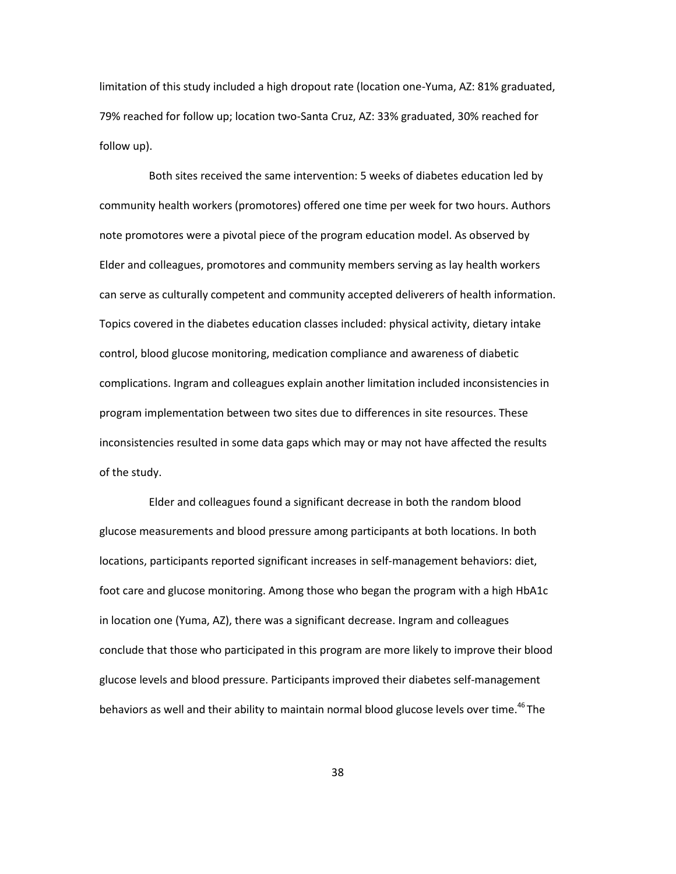limitation of this study included a high dropout rate (location one-Yuma, AZ: 81% graduated, 79% reached for follow up; location two-Santa Cruz, AZ: 33% graduated, 30% reached for follow up).

Both sites received the same intervention: 5 weeks of diabetes education led by community health workers (promotores) offered one time per week for two hours. Authors note promotores were a pivotal piece of the program education model. As observed by Elder and colleagues, promotores and community members serving as lay health workers can serve as culturally competent and community accepted deliverers of health information. Topics covered in the diabetes education classes included: physical activity, dietary intake control, blood glucose monitoring, medication compliance and awareness of diabetic complications. Ingram and colleagues explain another limitation included inconsistencies in program implementation between two sites due to differences in site resources. These inconsistencies resulted in some data gaps which may or may not have affected the results of the study.

Elder and colleagues found a significant decrease in both the random blood glucose measurements and blood pressure among participants at both locations. In both locations, participants reported significant increases in self-management behaviors: diet, foot care and glucose monitoring. Among those who began the program with a high HbA1c in location one (Yuma, AZ), there was a significant decrease. Ingram and colleagues conclude that those who participated in this program are more likely to improve their blood glucose levels and blood pressure. Participants improved their diabetes self-management behaviors as well and their ability to maintain normal blood glucose levels over time.<sup>46</sup> The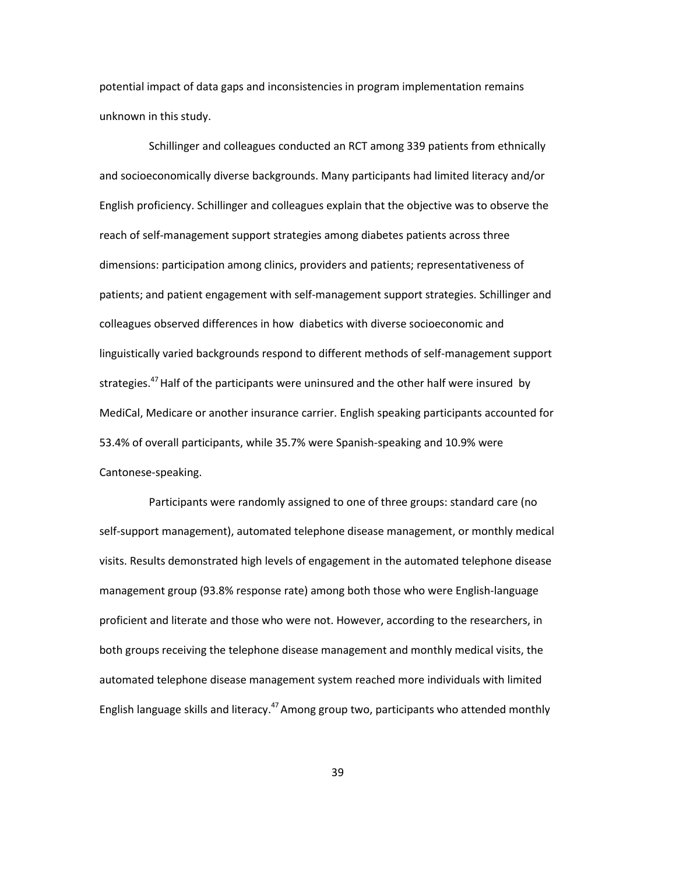potential impact of data gaps and inconsistencies in program implementation remains unknown in this study.

Schillinger and colleagues conducted an RCT among 339 patients from ethnically and socioeconomically diverse backgrounds. Many participants had limited literacy and/or English proficiency. Schillinger and colleagues explain that the objective was to observe the reach of self-management support strategies among diabetes patients across three dimensions: participation among clinics, providers and patients; representativeness of patients; and patient engagement with self-management support strategies. Schillinger and colleagues observed differences in how diabetics with diverse socioeconomic and linguistically varied backgrounds respond to different methods of self-management support strategies.<sup>47</sup> Half of the participants were uninsured and the other half were insured by MediCal, Medicare or another insurance carrier. English speaking participants accounted for 53.4% of overall participants, while 35.7% were Spanish-speaking and 10.9% were Cantonese-speaking.

Participants were randomly assigned to one of three groups: standard care (no self-support management), automated telephone disease management, or monthly medical visits. Results demonstrated high levels of engagement in the automated telephone disease management group (93.8% response rate) among both those who were English-language proficient and literate and those who were not. However, according to the researchers, in both groups receiving the telephone disease management and monthly medical visits, the automated telephone disease management system reached more individuals with limited English language skills and literacy.<sup>47</sup> Among group two, participants who attended monthly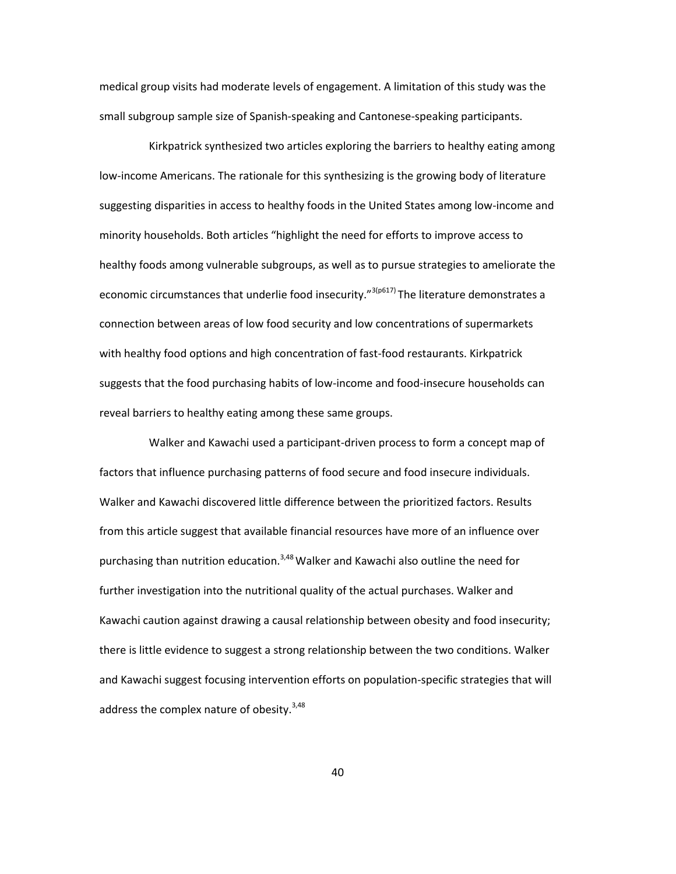medical group visits had moderate levels of engagement. A limitation of this study was the small subgroup sample size of Spanish-speaking and Cantonese-speaking participants.

Kirkpatrick synthesized two articles exploring the barriers to healthy eating among low-income Americans. The rationale for this synthesizing is the growing body of literature suggesting disparities in access to healthy foods in the United States among low-income and minority households. Both articles "highlight the need for efforts to improve access to healthy foods among vulnerable subgroups, as well as to pursue strategies to ameliorate the economic circumstances that underlie food insecurity."<sup>3(p617)</sup> The literature demonstrates a connection between areas of low food security and low concentrations of supermarkets with healthy food options and high concentration of fast-food restaurants. Kirkpatrick suggests that the food purchasing habits of low-income and food-insecure households can reveal barriers to healthy eating among these same groups.

Walker and Kawachi used a participant-driven process to form a concept map of factors that influence purchasing patterns of food secure and food insecure individuals. Walker and Kawachi discovered little difference between the prioritized factors. Results from this article suggest that available financial resources have more of an influence over purchasing than nutrition education. $3,48$  Walker and Kawachi also outline the need for further investigation into the nutritional quality of the actual purchases. Walker and Kawachi caution against drawing a causal relationship between obesity and food insecurity; there is little evidence to suggest a strong relationship between the two conditions. Walker and Kawachi suggest focusing intervention efforts on population-specific strategies that will address the complex nature of obesity. $3,48$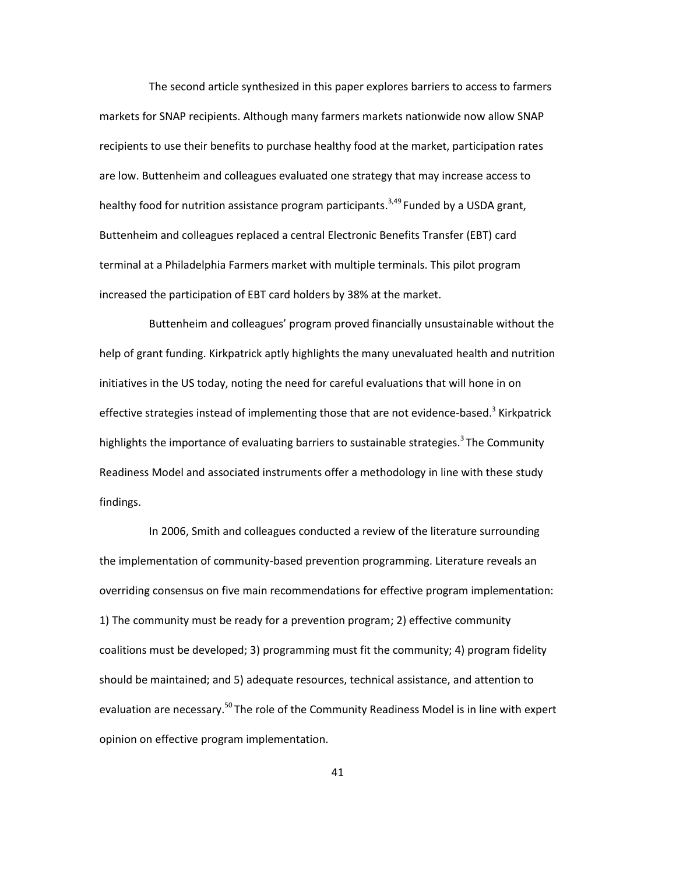The second article synthesized in this paper explores barriers to access to farmers markets for SNAP recipients. Although many farmers markets nationwide now allow SNAP recipients to use their benefits to purchase healthy food at the market, participation rates are low. Buttenheim and colleagues evaluated one strategy that may increase access to healthy food for nutrition assistance program participants.<sup>3,49</sup> Funded by a USDA grant, Buttenheim and colleagues replaced a central Electronic Benefits Transfer (EBT) card terminal at a Philadelphia Farmers market with multiple terminals. This pilot program increased the participation of EBT card holders by 38% at the market.

Buttenheim and colleagues' program proved financially unsustainable without the help of grant funding. Kirkpatrick aptly highlights the many unevaluated health and nutrition initiatives in the US today, noting the need for careful evaluations that will hone in on effective strategies instead of implementing those that are not evidence-based.<sup>3</sup> Kirkpatrick highlights the importance of evaluating barriers to sustainable strategies.<sup>3</sup> The Community Readiness Model and associated instruments offer a methodology in line with these study findings.

In 2006, Smith and colleagues conducted a review of the literature surrounding the implementation of community-based prevention programming. Literature reveals an overriding consensus on five main recommendations for effective program implementation: 1) The community must be ready for a prevention program; 2) effective community coalitions must be developed; 3) programming must fit the community; 4) program fidelity should be maintained; and 5) adequate resources, technical assistance, and attention to evaluation are necessary.<sup>50</sup> The role of the Community Readiness Model is in line with expert opinion on effective program implementation.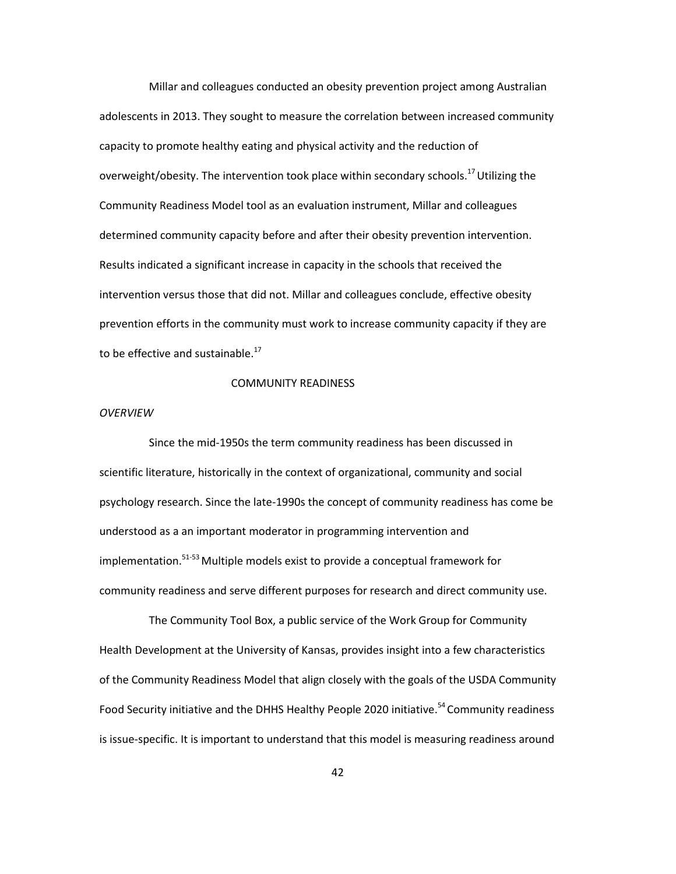Millar and colleagues conducted an obesity prevention project among Australian adolescents in 2013. They sought to measure the correlation between increased community capacity to promote healthy eating and physical activity and the reduction of overweight/obesity. The intervention took place within secondary schools.<sup>17</sup> Utilizing the Community Readiness Model tool as an evaluation instrument, Millar and colleagues determined community capacity before and after their obesity prevention intervention. Results indicated a significant increase in capacity in the schools that received the intervention versus those that did not. Millar and colleagues conclude, effective obesity prevention efforts in the community must work to increase community capacity if they are to be effective and sustainable.<sup>17</sup>

### COMMUNITY READINESS

#### *OVERVIEW*

Since the mid-1950s the term community readiness has been discussed in scientific literature, historically in the context of organizational, community and social psychology research. Since the late-1990s the concept of community readiness has come be understood as a an important moderator in programming intervention and implementation.<sup>51-53</sup> Multiple models exist to provide a conceptual framework for community readiness and serve different purposes for research and direct community use.

The Community Tool Box, a public service of the Work Group for Community Health Development at the University of Kansas, provides insight into a few characteristics of the Community Readiness Model that align closely with the goals of the USDA Community Food Security initiative and the DHHS Healthy People 2020 initiative.<sup>54</sup> Community readiness is issue-specific. It is important to understand that this model is measuring readiness around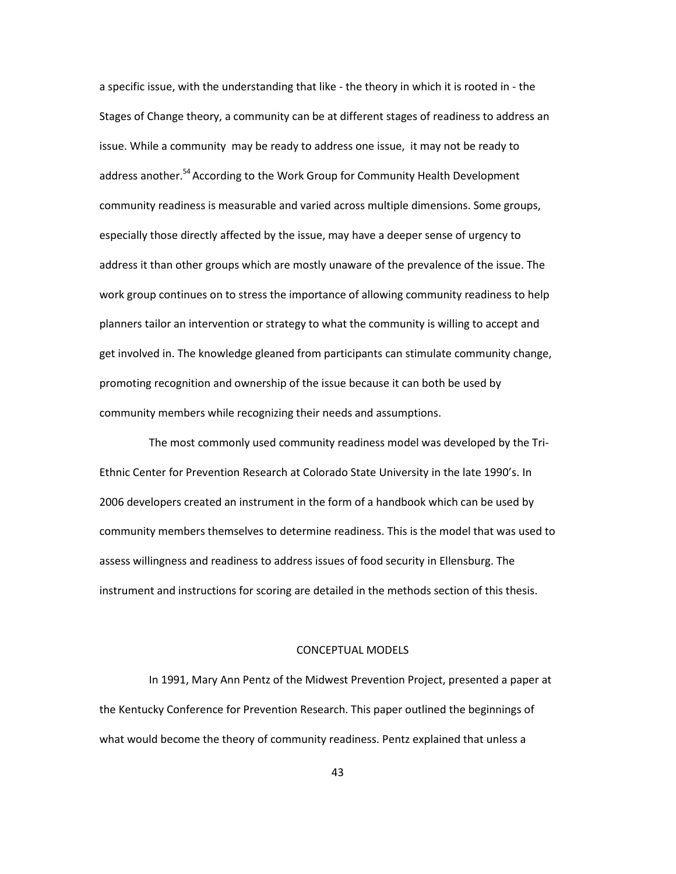a specific issue, with the understanding that like - the theory in which it is rooted in - the Stages of Change theory, a community can be at different stages of readiness to address an issue. While a community may be ready to address one issue, it may not be ready to address another.<sup>54</sup> According to the Work Group for Community Health Development community readiness is measurable and varied across multiple dimensions. Some groups, especially those directly affected by the issue, may have a deeper sense of urgency to address it than other groups which are mostly unaware of the prevalence of the issue. The work group continues on to stress the importance of allowing community readiness to help planners tailor an intervention or strategy to what the community is willing to accept and get involved in. The knowledge gleaned from participants can stimulate community change, promoting recognition and ownership of the issue because it can both be used by community members while recognizing their needs and assumptions.

The most commonly used community readiness model was developed by the Tri-Ethnic Center for Prevention Research at Colorado State University in the late 1990's. In 2006 developers created an instrument in the form of a handbook which can be used by community members themselves to determine readiness. This is the model that was used to assess willingness and readiness to address issues of food security in Ellensburg. The instrument and instructions for scoring are detailed in the methods section of this thesis.

#### CONCEPTUAL MODELS

In 1991, Mary Ann Pentz of the Midwest Prevention Project, presented a paper at the Kentucky Conference for Prevention Research. This paper outlined the beginnings of what would become the theory of community readiness. Pentz explained that unless a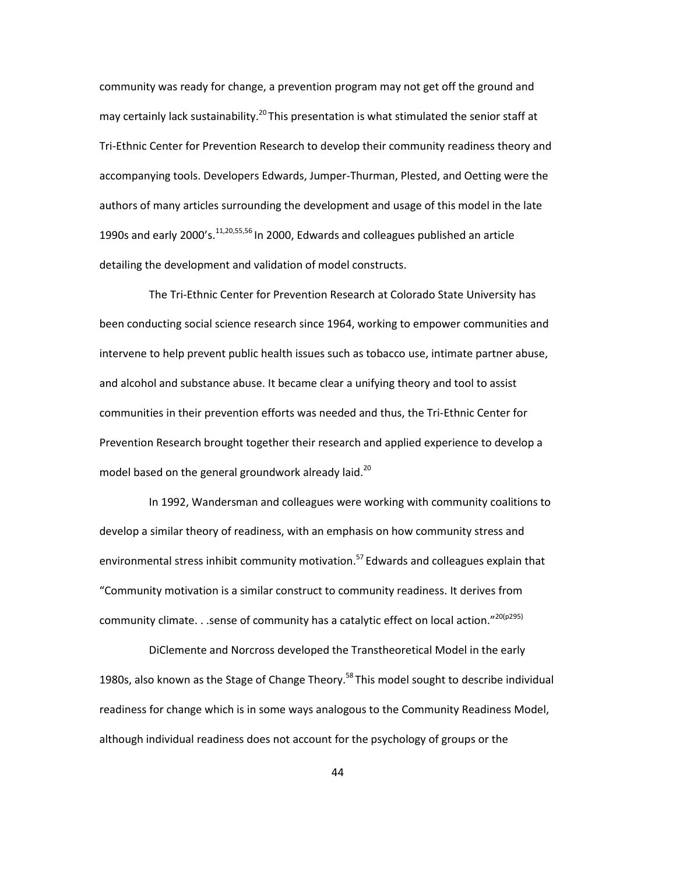community was ready for change, a prevention program may not get off the ground and may certainly lack sustainability.<sup>20</sup> This presentation is what stimulated the senior staff at Tri-Ethnic Center for Prevention Research to develop their community readiness theory and accompanying tools. Developers Edwards, Jumper-Thurman, Plested, and Oetting were the authors of many articles surrounding the development and usage of this model in the late 1990s and early 2000's.<sup>11,20,55,56</sup> In 2000, Edwards and colleagues published an article detailing the development and validation of model constructs.

The Tri-Ethnic Center for Prevention Research at Colorado State University has been conducting social science research since 1964, working to empower communities and intervene to help prevent public health issues such as tobacco use, intimate partner abuse, and alcohol and substance abuse. It became clear a unifying theory and tool to assist communities in their prevention efforts was needed and thus, the Tri-Ethnic Center for Prevention Research brought together their research and applied experience to develop a model based on the general groundwork already laid.<sup>20</sup>

In 1992, Wandersman and colleagues were working with community coalitions to develop a similar theory of readiness, with an emphasis on how community stress and environmental stress inhibit community motivation.<sup>57</sup> Edwards and colleagues explain that "Community motivation is a similar construct to community readiness. It derives from community climate. . .sense of community has a catalytic effect on local action."<sup>20(p295)</sup>

DiClemente and Norcross developed the Transtheoretical Model in the early 1980s, also known as the Stage of Change Theory.<sup>58</sup> This model sought to describe individual readiness for change which is in some ways analogous to the Community Readiness Model, although individual readiness does not account for the psychology of groups or the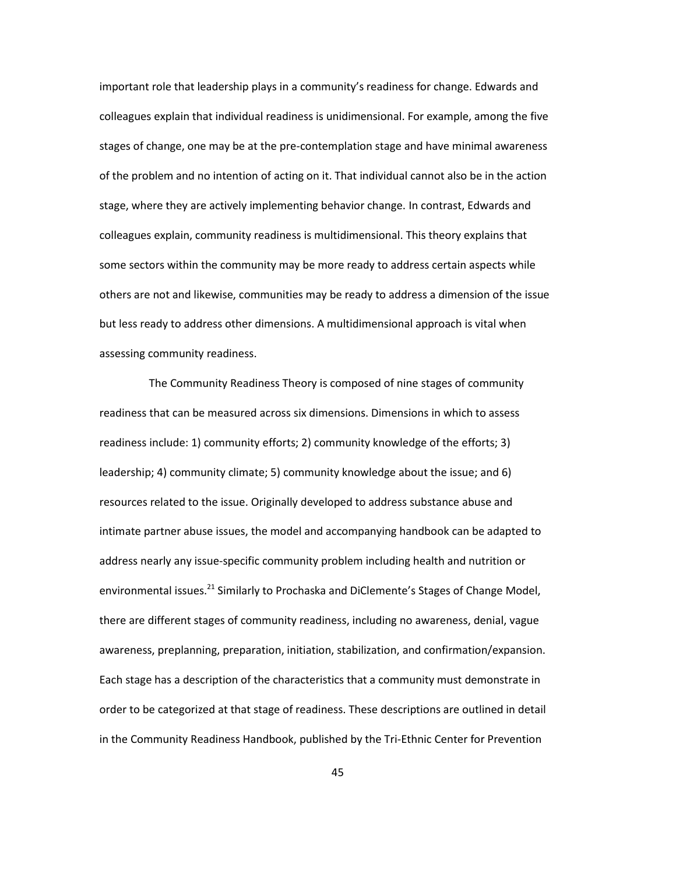important role that leadership plays in a community's readiness for change. Edwards and colleagues explain that individual readiness is unidimensional. For example, among the five stages of change, one may be at the pre-contemplation stage and have minimal awareness of the problem and no intention of acting on it. That individual cannot also be in the action stage, where they are actively implementing behavior change. In contrast, Edwards and colleagues explain, community readiness is multidimensional. This theory explains that some sectors within the community may be more ready to address certain aspects while others are not and likewise, communities may be ready to address a dimension of the issue but less ready to address other dimensions. A multidimensional approach is vital when assessing community readiness.

The Community Readiness Theory is composed of nine stages of community readiness that can be measured across six dimensions. Dimensions in which to assess readiness include: 1) community efforts; 2) community knowledge of the efforts; 3) leadership; 4) community climate; 5) community knowledge about the issue; and 6) resources related to the issue. Originally developed to address substance abuse and intimate partner abuse issues, the model and accompanying handbook can be adapted to address nearly any issue-specific community problem including health and nutrition or environmental issues.<sup>21</sup> Similarly to Prochaska and DiClemente's Stages of Change Model, there are different stages of community readiness, including no awareness, denial, vague awareness, preplanning, preparation, initiation, stabilization, and confirmation/expansion. Each stage has a description of the characteristics that a community must demonstrate in order to be categorized at that stage of readiness. These descriptions are outlined in detail in the Community Readiness Handbook, published by the Tri-Ethnic Center for Prevention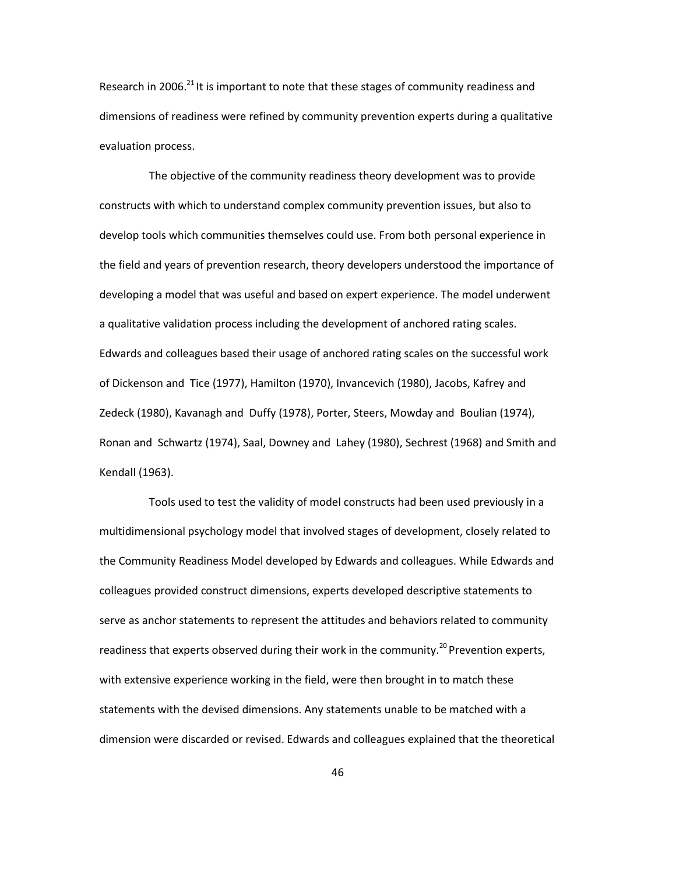Research in 2006.<sup>21</sup> It is important to note that these stages of community readiness and dimensions of readiness were refined by community prevention experts during a qualitative evaluation process.

The objective of the community readiness theory development was to provide constructs with which to understand complex community prevention issues, but also to develop tools which communities themselves could use. From both personal experience in the field and years of prevention research, theory developers understood the importance of developing a model that was useful and based on expert experience. The model underwent a qualitative validation process including the development of anchored rating scales. Edwards and colleagues based their usage of anchored rating scales on the successful work of Dickenson and Tice (1977), Hamilton (1970), Invancevich (1980), Jacobs, Kafrey and Zedeck (1980), Kavanagh and Duffy (1978), Porter, Steers, Mowday and Boulian (1974), Ronan and Schwartz (1974), Saal, Downey and Lahey (1980), Sechrest (1968) and Smith and Kendall (1963).

Tools used to test the validity of model constructs had been used previously in a multidimensional psychology model that involved stages of development, closely related to the Community Readiness Model developed by Edwards and colleagues. While Edwards and colleagues provided construct dimensions, experts developed descriptive statements to serve as anchor statements to represent the attitudes and behaviors related to community readiness that experts observed during their work in the community.<sup>20</sup> Prevention experts, with extensive experience working in the field, were then brought in to match these statements with the devised dimensions. Any statements unable to be matched with a dimension were discarded or revised. Edwards and colleagues explained that the theoretical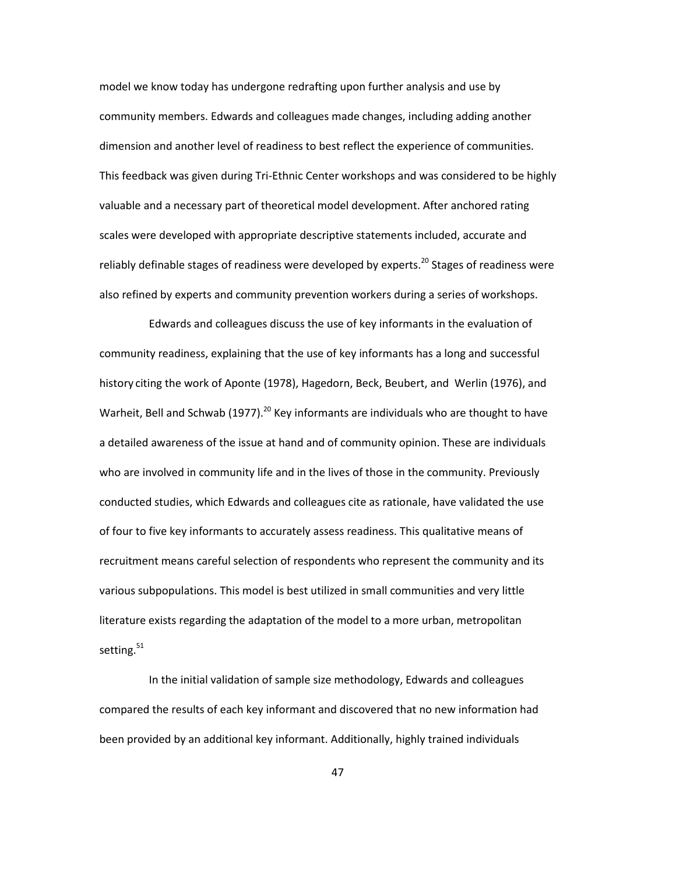model we know today has undergone redrafting upon further analysis and use by community members. Edwards and colleagues made changes, including adding another dimension and another level of readiness to best reflect the experience of communities. This feedback was given during Tri-Ethnic Center workshops and was considered to be highly valuable and a necessary part of theoretical model development. After anchored rating scales were developed with appropriate descriptive statements included, accurate and reliably definable stages of readiness were developed by experts.<sup>20</sup> Stages of readiness were also refined by experts and community prevention workers during a series of workshops.

Edwards and colleagues discuss the use of key informants in the evaluation of community readiness, explaining that the use of key informants has a long and successful history citing the work of Aponte (1978), Hagedorn, Beck, Beubert, and Werlin (1976), and Warheit, Bell and Schwab (1977).<sup>20</sup> Key informants are individuals who are thought to have a detailed awareness of the issue at hand and of community opinion. These are individuals who are involved in community life and in the lives of those in the community. Previously conducted studies, which Edwards and colleagues cite as rationale, have validated the use of four to five key informants to accurately assess readiness. This qualitative means of recruitment means careful selection of respondents who represent the community and its various subpopulations. This model is best utilized in small communities and very little literature exists regarding the adaptation of the model to a more urban, metropolitan setting.<sup>51</sup>

In the initial validation of sample size methodology, Edwards and colleagues compared the results of each key informant and discovered that no new information had been provided by an additional key informant. Additionally, highly trained individuals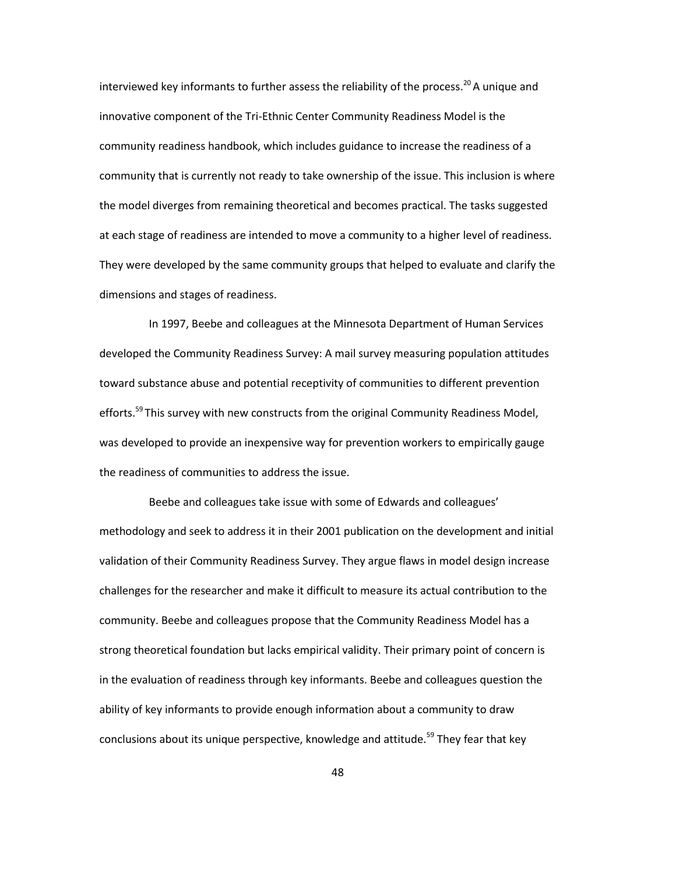interviewed key informants to further assess the reliability of the process.<sup>20</sup> A unique and innovative component of the Tri-Ethnic Center Community Readiness Model is the community readiness handbook, which includes guidance to increase the readiness of a community that is currently not ready to take ownership of the issue. This inclusion is where the model diverges from remaining theoretical and becomes practical. The tasks suggested at each stage of readiness are intended to move a community to a higher level of readiness. They were developed by the same community groups that helped to evaluate and clarify the dimensions and stages of readiness.

In 1997, Beebe and colleagues at the Minnesota Department of Human Services developed the Community Readiness Survey: A mail survey measuring population attitudes toward substance abuse and potential receptivity of communities to different prevention efforts.<sup>59</sup> This survey with new constructs from the original Community Readiness Model, was developed to provide an inexpensive way for prevention workers to empirically gauge the readiness of communities to address the issue.

Beebe and colleagues take issue with some of Edwards and colleagues' methodology and seek to address it in their 2001 publication on the development and initial validation of their Community Readiness Survey. They argue flaws in model design increase challenges for the researcher and make it difficult to measure its actual contribution to the community. Beebe and colleagues propose that the Community Readiness Model has a strong theoretical foundation but lacks empirical validity. Their primary point of concern is in the evaluation of readiness through key informants. Beebe and colleagues question the ability of key informants to provide enough information about a community to draw conclusions about its unique perspective, knowledge and attitude.<sup>59</sup> They fear that key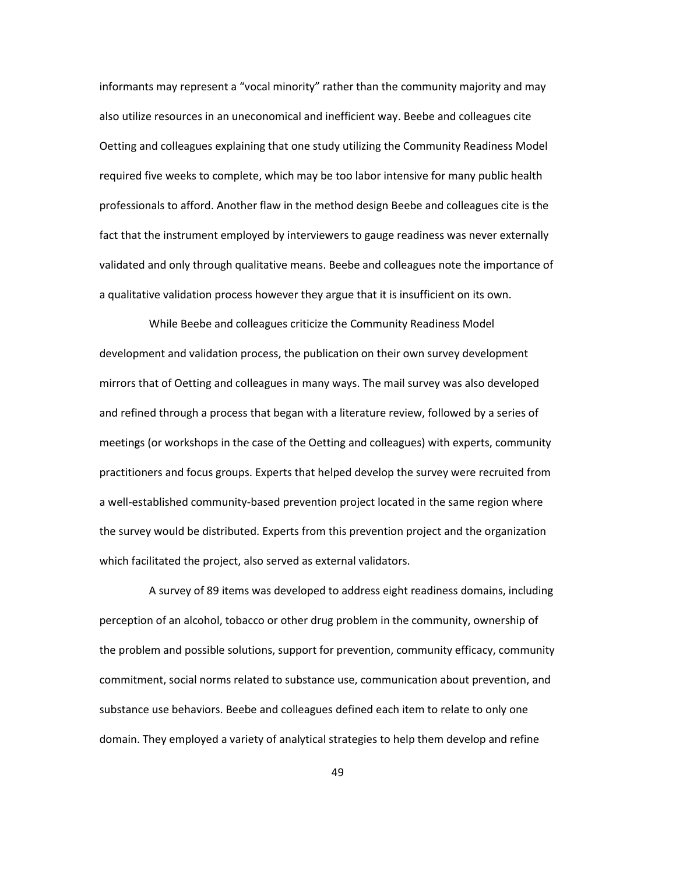informants may represent a "vocal minority" rather than the community majority and may also utilize resources in an uneconomical and inefficient way. Beebe and colleagues cite Oetting and colleagues explaining that one study utilizing the Community Readiness Model required five weeks to complete, which may be too labor intensive for many public health professionals to afford. Another flaw in the method design Beebe and colleagues cite is the fact that the instrument employed by interviewers to gauge readiness was never externally validated and only through qualitative means. Beebe and colleagues note the importance of a qualitative validation process however they argue that it is insufficient on its own.

While Beebe and colleagues criticize the Community Readiness Model development and validation process, the publication on their own survey development mirrors that of Oetting and colleagues in many ways. The mail survey was also developed and refined through a process that began with a literature review, followed by a series of meetings (or workshops in the case of the Oetting and colleagues) with experts, community practitioners and focus groups. Experts that helped develop the survey were recruited from a well-established community-based prevention project located in the same region where the survey would be distributed. Experts from this prevention project and the organization which facilitated the project, also served as external validators.

A survey of 89 items was developed to address eight readiness domains, including perception of an alcohol, tobacco or other drug problem in the community, ownership of the problem and possible solutions, support for prevention, community efficacy, community commitment, social norms related to substance use, communication about prevention, and substance use behaviors. Beebe and colleagues defined each item to relate to only one domain. They employed a variety of analytical strategies to help them develop and refine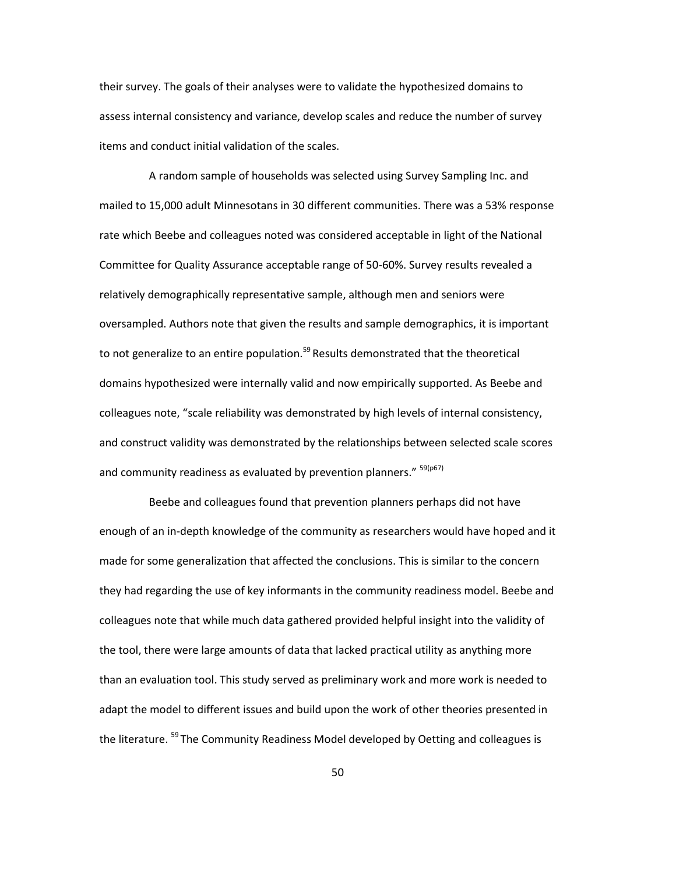their survey. The goals of their analyses were to validate the hypothesized domains to assess internal consistency and variance, develop scales and reduce the number of survey items and conduct initial validation of the scales.

A random sample of households was selected using Survey Sampling Inc. and mailed to 15,000 adult Minnesotans in 30 different communities. There was a 53% response rate which Beebe and colleagues noted was considered acceptable in light of the National Committee for Quality Assurance acceptable range of 50-60%. Survey results revealed a relatively demographically representative sample, although men and seniors were oversampled. Authors note that given the results and sample demographics, it is important to not generalize to an entire population.<sup>59</sup> Results demonstrated that the theoretical domains hypothesized were internally valid and now empirically supported. As Beebe and colleagues note, "scale reliability was demonstrated by high levels of internal consistency, and construct validity was demonstrated by the relationships between selected scale scores and community readiness as evaluated by prevention planners." <sup>59(p67)</sup>

Beebe and colleagues found that prevention planners perhaps did not have enough of an in-depth knowledge of the community as researchers would have hoped and it made for some generalization that affected the conclusions. This is similar to the concern they had regarding the use of key informants in the community readiness model. Beebe and colleagues note that while much data gathered provided helpful insight into the validity of the tool, there were large amounts of data that lacked practical utility as anything more than an evaluation tool. This study served as preliminary work and more work is needed to adapt the model to different issues and build upon the work of other theories presented in the literature. <sup>59</sup> The Community Readiness Model developed by Oetting and colleagues is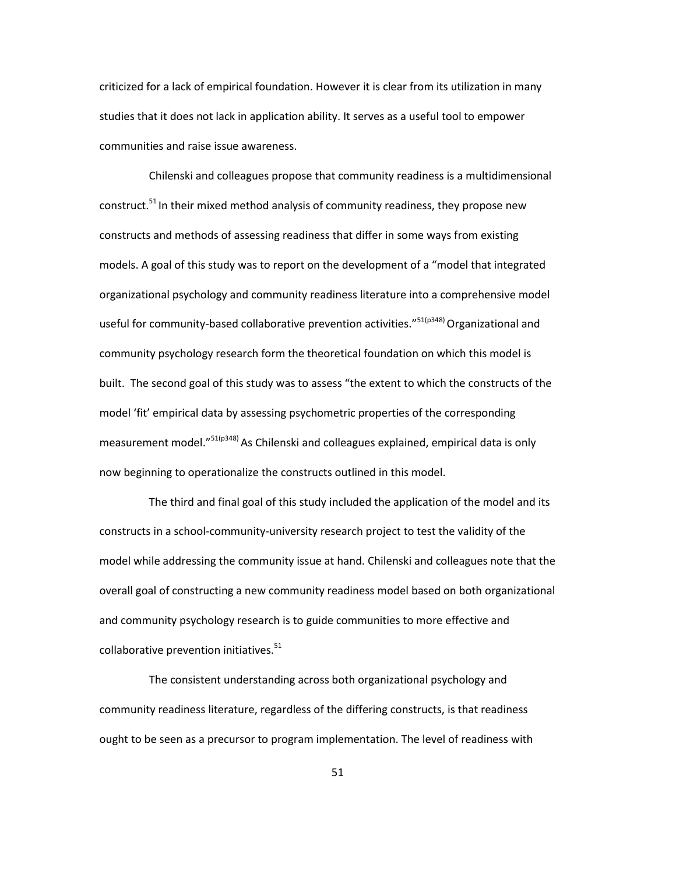criticized for a lack of empirical foundation. However it is clear from its utilization in many studies that it does not lack in application ability. It serves as a useful tool to empower communities and raise issue awareness.

Chilenski and colleagues propose that community readiness is a multidimensional construct.<sup>51</sup> In their mixed method analysis of community readiness, they propose new constructs and methods of assessing readiness that differ in some ways from existing models. A goal of this study was to report on the development of a "model that integrated organizational psychology and community readiness literature into a comprehensive model useful for community-based collaborative prevention activities."<sup>51(p348)</sup> Organizational and community psychology research form the theoretical foundation on which this model is built. The second goal of this study was to assess "the extent to which the constructs of the model 'fit' empirical data by assessing psychometric properties of the corresponding measurement model."<sup>51(p348)</sup> As Chilenski and colleagues explained, empirical data is only now beginning to operationalize the constructs outlined in this model.

The third and final goal of this study included the application of the model and its constructs in a school-community-university research project to test the validity of the model while addressing the community issue at hand. Chilenski and colleagues note that the overall goal of constructing a new community readiness model based on both organizational and community psychology research is to guide communities to more effective and collaborative prevention initiatives.<sup>51</sup>

The consistent understanding across both organizational psychology and community readiness literature, regardless of the differing constructs, is that readiness ought to be seen as a precursor to program implementation. The level of readiness with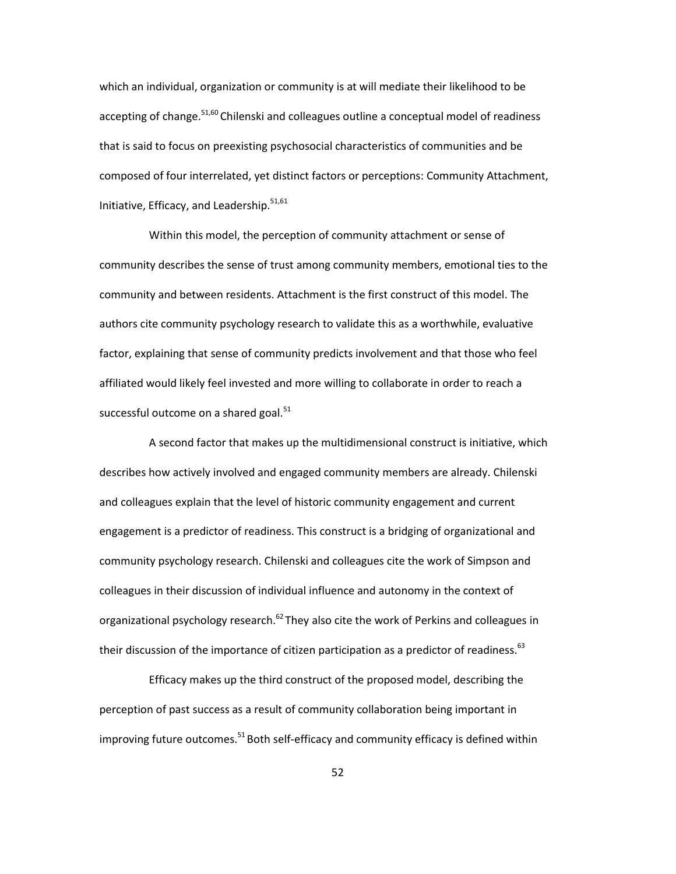which an individual, organization or community is at will mediate their likelihood to be accepting of change.<sup>51,60</sup> Chilenski and colleagues outline a conceptual model of readiness that is said to focus on preexisting psychosocial characteristics of communities and be composed of four interrelated, yet distinct factors or perceptions: Community Attachment, Initiative, Efficacy, and Leadership.<sup>51,61</sup>

Within this model, the perception of community attachment or sense of community describes the sense of trust among community members, emotional ties to the community and between residents. Attachment is the first construct of this model. The authors cite community psychology research to validate this as a worthwhile, evaluative factor, explaining that sense of community predicts involvement and that those who feel affiliated would likely feel invested and more willing to collaborate in order to reach a successful outcome on a shared goal. $51$ 

A second factor that makes up the multidimensional construct is initiative, which describes how actively involved and engaged community members are already. Chilenski and colleagues explain that the level of historic community engagement and current engagement is a predictor of readiness. This construct is a bridging of organizational and community psychology research. Chilenski and colleagues cite the work of Simpson and colleagues in their discussion of individual influence and autonomy in the context of organizational psychology research.<sup>62</sup> They also cite the work of Perkins and colleagues in their discussion of the importance of citizen participation as a predictor of readiness.<sup>63</sup>

Efficacy makes up the third construct of the proposed model, describing the perception of past success as a result of community collaboration being important in improving future outcomes.<sup>51</sup> Both self-efficacy and community efficacy is defined within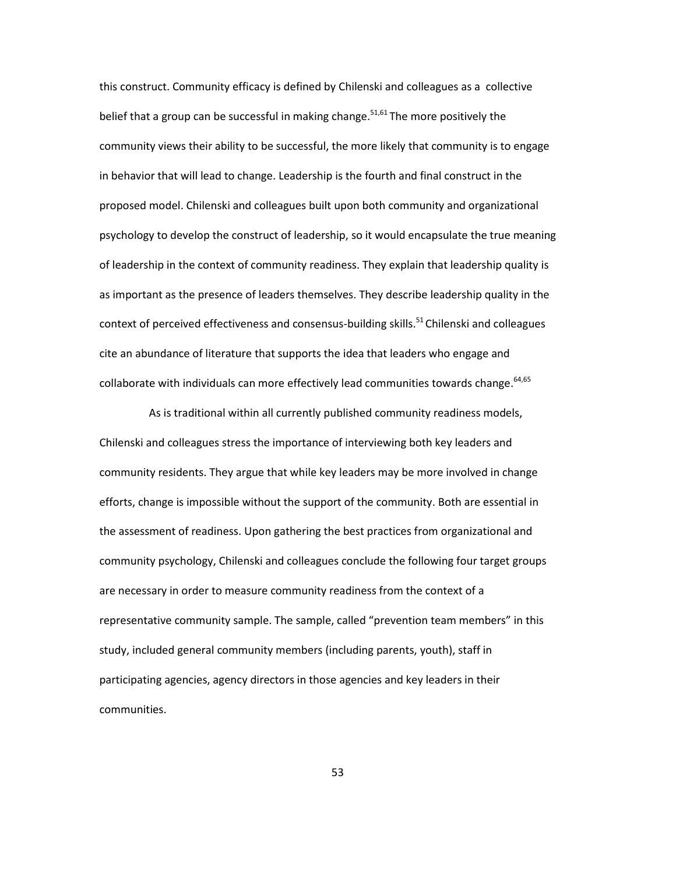this construct. Community efficacy is defined by Chilenski and colleagues as a collective belief that a group can be successful in making change.<sup>51,61</sup> The more positively the community views their ability to be successful, the more likely that community is to engage in behavior that will lead to change. Leadership is the fourth and final construct in the proposed model. Chilenski and colleagues built upon both community and organizational psychology to develop the construct of leadership, so it would encapsulate the true meaning of leadership in the context of community readiness. They explain that leadership quality is as important as the presence of leaders themselves. They describe leadership quality in the context of perceived effectiveness and consensus-building skills.<sup>51</sup> Chilenski and colleagues cite an abundance of literature that supports the idea that leaders who engage and collaborate with individuals can more effectively lead communities towards change.<sup>64,65</sup>

As is traditional within all currently published community readiness models, Chilenski and colleagues stress the importance of interviewing both key leaders and community residents. They argue that while key leaders may be more involved in change efforts, change is impossible without the support of the community. Both are essential in the assessment of readiness. Upon gathering the best practices from organizational and community psychology, Chilenski and colleagues conclude the following four target groups are necessary in order to measure community readiness from the context of a representative community sample. The sample, called "prevention team members" in this study, included general community members (including parents, youth), staff in participating agencies, agency directors in those agencies and key leaders in their communities.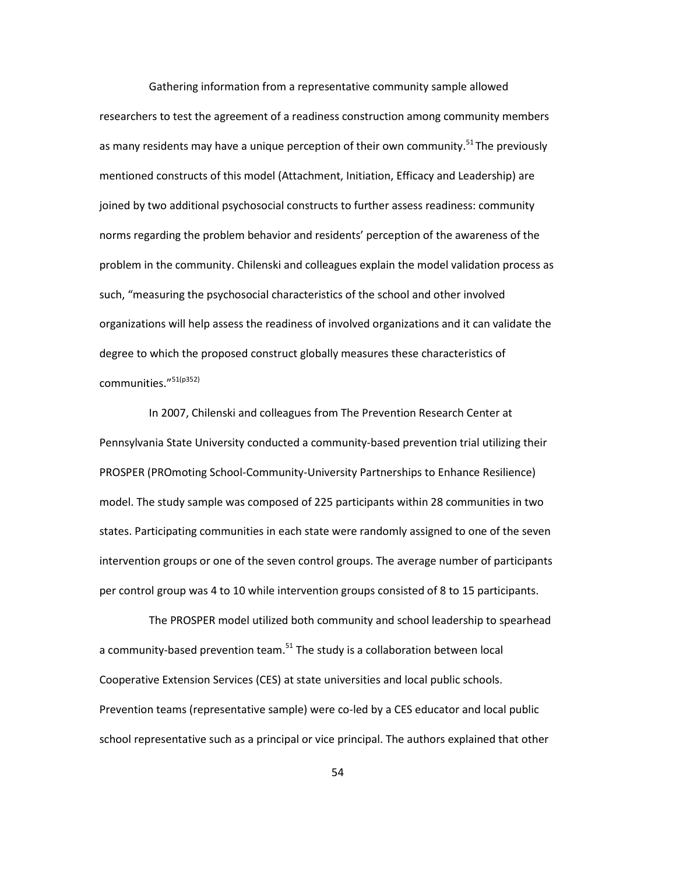Gathering information from a representative community sample allowed researchers to test the agreement of a readiness construction among community members as many residents may have a unique perception of their own community.<sup>51</sup> The previously mentioned constructs of this model (Attachment, Initiation, Efficacy and Leadership) are joined by two additional psychosocial constructs to further assess readiness: community norms regarding the problem behavior and residents' perception of the awareness of the problem in the community. Chilenski and colleagues explain the model validation process as such, "measuring the psychosocial characteristics of the school and other involved organizations will help assess the readiness of involved organizations and it can validate the degree to which the proposed construct globally measures these characteristics of communities." 51(p352)

In 2007, Chilenski and colleagues from The Prevention Research Center at Pennsylvania State University conducted a community-based prevention trial utilizing their PROSPER (PROmoting School-Community-University Partnerships to Enhance Resilience) model. The study sample was composed of 225 participants within 28 communities in two states. Participating communities in each state were randomly assigned to one of the seven intervention groups or one of the seven control groups. The average number of participants per control group was 4 to 10 while intervention groups consisted of 8 to 15 participants.

The PROSPER model utilized both community and school leadership to spearhead a community-based prevention team.<sup>51</sup> The study is a collaboration between local Cooperative Extension Services (CES) at state universities and local public schools. Prevention teams (representative sample) were co-led by a CES educator and local public school representative such as a principal or vice principal. The authors explained that other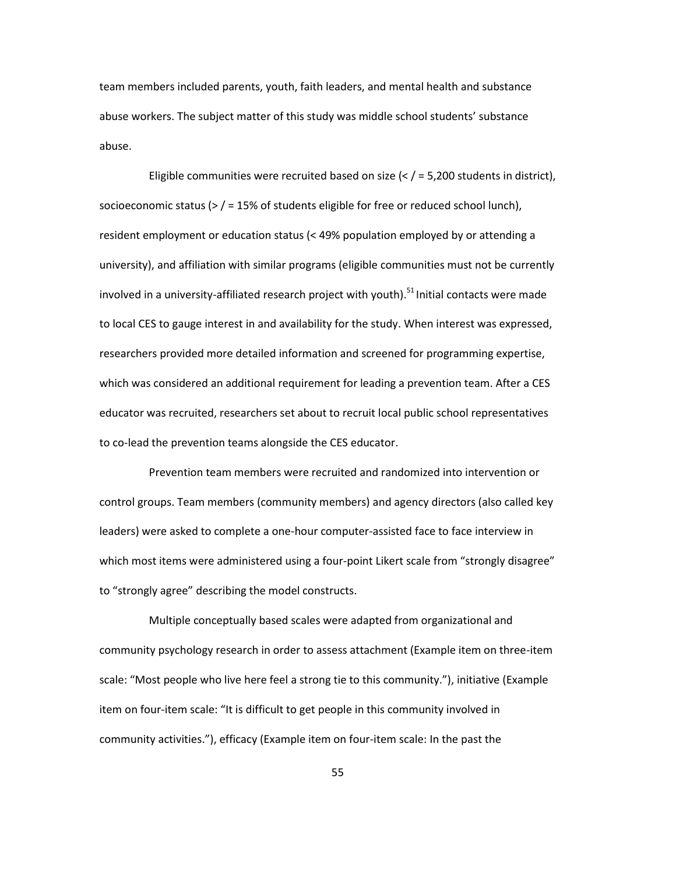team members included parents, youth, faith leaders, and mental health and substance abuse workers. The subject matter of this study was middle school students' substance abuse.

Eligible communities were recruited based on size  $\langle$  <  $/$  = 5,200 students in district), socioeconomic status ( $>$  / = 15% of students eligible for free or reduced school lunch), resident employment or education status (< 49% population employed by or attending a university), and affiliation with similar programs (eligible communities must not be currently involved in a university-affiliated research project with youth).<sup>51</sup> Initial contacts were made to local CES to gauge interest in and availability for the study. When interest was expressed, researchers provided more detailed information and screened for programming expertise, which was considered an additional requirement for leading a prevention team. After a CES educator was recruited, researchers set about to recruit local public school representatives to co-lead the prevention teams alongside the CES educator.

Prevention team members were recruited and randomized into intervention or control groups. Team members (community members) and agency directors (also called key leaders) were asked to complete a one-hour computer-assisted face to face interview in which most items were administered using a four-point Likert scale from "strongly disagree" to "strongly agree" describing the model constructs.

Multiple conceptually based scales were adapted from organizational and community psychology research in order to assess attachment (Example item on three-item scale: "Most people who live here feel a strong tie to this community."), initiative (Example item on four-item scale: "It is difficult to get people in this community involved in community activities."), efficacy (Example item on four-item scale: In the past the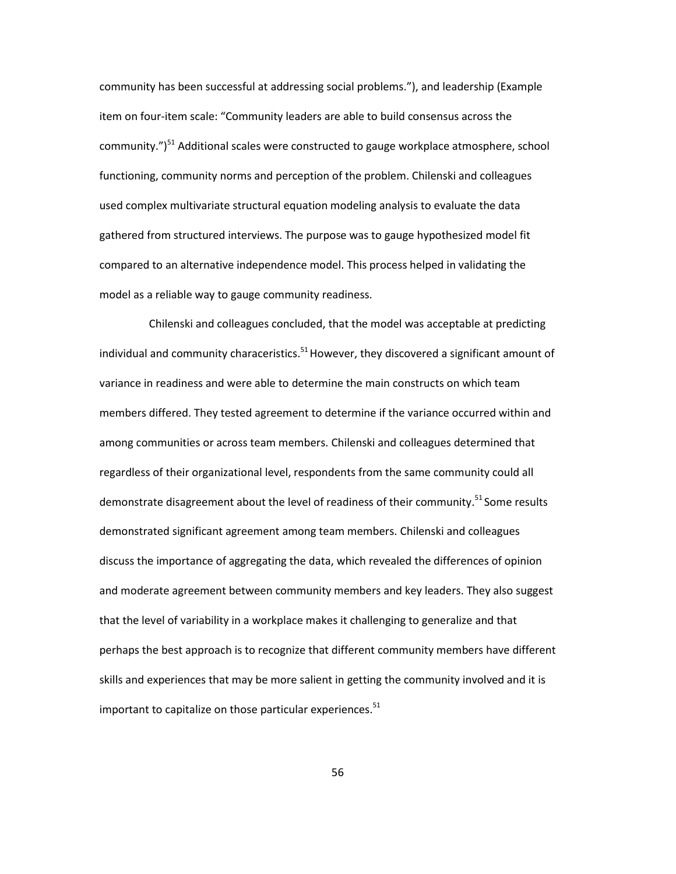community has been successful at addressing social problems."), and leadership (Example item on four-item scale: "Community leaders are able to build consensus across the community. $"$ )<sup>51</sup> Additional scales were constructed to gauge workplace atmosphere, school functioning, community norms and perception of the problem. Chilenski and colleagues used complex multivariate structural equation modeling analysis to evaluate the data gathered from structured interviews. The purpose was to gauge hypothesized model fit compared to an alternative independence model. This process helped in validating the model as a reliable way to gauge community readiness.

Chilenski and colleagues concluded, that the model was acceptable at predicting individual and community characeristics.<sup>51</sup> However, they discovered a significant amount of variance in readiness and were able to determine the main constructs on which team members differed. They tested agreement to determine if the variance occurred within and among communities or across team members. Chilenski and colleagues determined that regardless of their organizational level, respondents from the same community could all demonstrate disagreement about the level of readiness of their community.<sup>51</sup> Some results demonstrated significant agreement among team members. Chilenski and colleagues discuss the importance of aggregating the data, which revealed the differences of opinion and moderate agreement between community members and key leaders. They also suggest that the level of variability in a workplace makes it challenging to generalize and that perhaps the best approach is to recognize that different community members have different skills and experiences that may be more salient in getting the community involved and it is important to capitalize on those particular experiences.<sup>51</sup>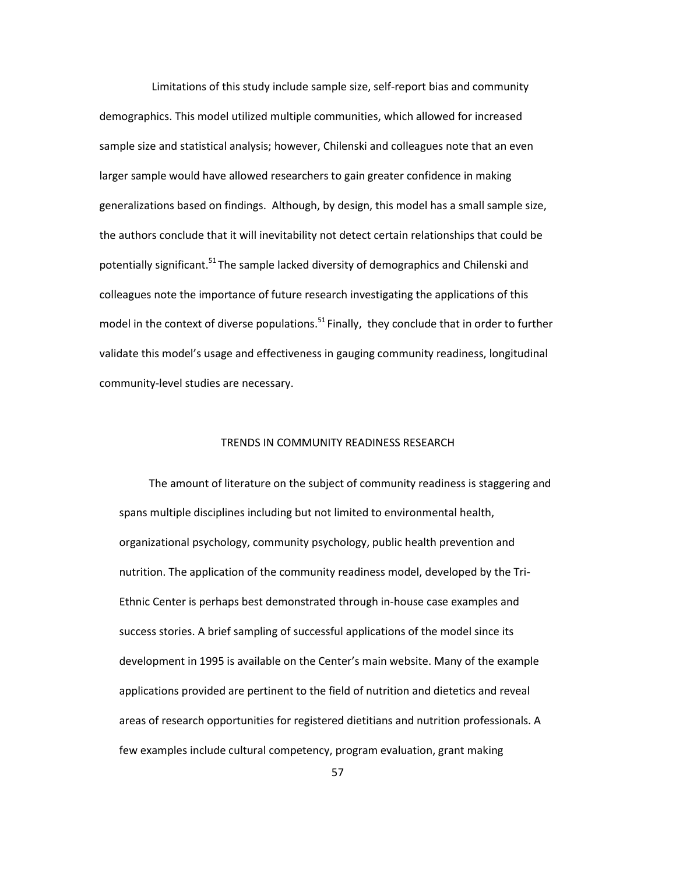Limitations of this study include sample size, self-report bias and community demographics. This model utilized multiple communities, which allowed for increased sample size and statistical analysis; however, Chilenski and colleagues note that an even larger sample would have allowed researchers to gain greater confidence in making generalizations based on findings. Although, by design, this model has a small sample size, the authors conclude that it will inevitability not detect certain relationships that could be potentially significant.<sup>51</sup> The sample lacked diversity of demographics and Chilenski and colleagues note the importance of future research investigating the applications of this model in the context of diverse populations.<sup>51</sup> Finally, they conclude that in order to further validate this model's usage and effectiveness in gauging community readiness, longitudinal community-level studies are necessary.

# TRENDS IN COMMUNITY READINESS RESEARCH

The amount of literature on the subject of community readiness is staggering and spans multiple disciplines including but not limited to environmental health, organizational psychology, community psychology, public health prevention and nutrition. The application of the community readiness model, developed by the Tri-Ethnic Center is perhaps best demonstrated through in-house case examples and success stories. A brief sampling of successful applications of the model since its development in 1995 is available on the Center's main website. Many of the example applications provided are pertinent to the field of nutrition and dietetics and reveal areas of research opportunities for registered dietitians and nutrition professionals. A few examples include cultural competency, program evaluation, grant making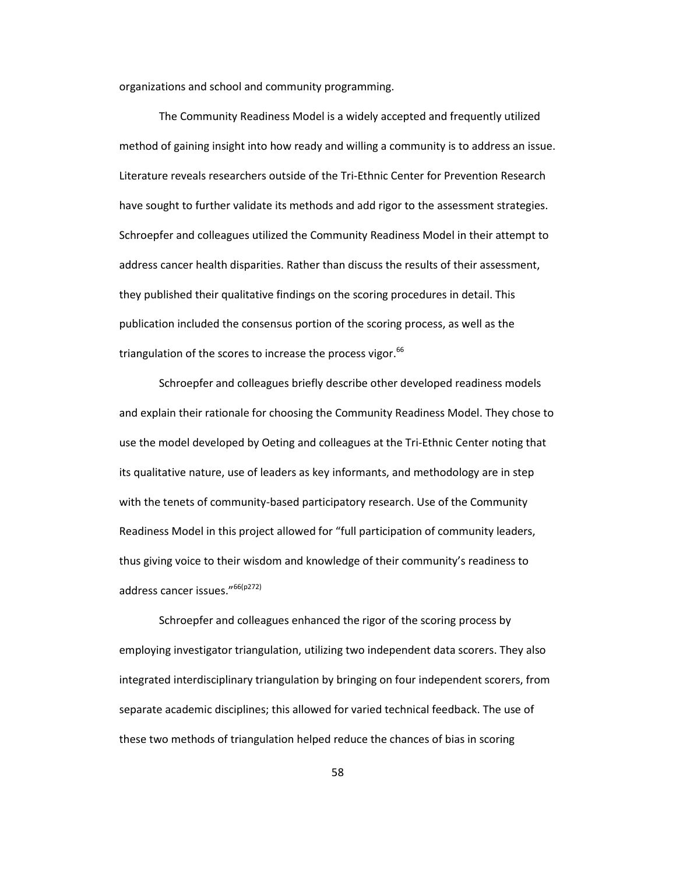organizations and school and community programming.

The Community Readiness Model is a widely accepted and frequently utilized method of gaining insight into how ready and willing a community is to address an issue. Literature reveals researchers outside of the Tri-Ethnic Center for Prevention Research have sought to further validate its methods and add rigor to the assessment strategies. Schroepfer and colleagues utilized the Community Readiness Model in their attempt to address cancer health disparities. Rather than discuss the results of their assessment, they published their qualitative findings on the scoring procedures in detail. This publication included the consensus portion of the scoring process, as well as the triangulation of the scores to increase the process vigor.<sup>66</sup>

Schroepfer and colleagues briefly describe other developed readiness models and explain their rationale for choosing the Community Readiness Model. They chose to use the model developed by Oeting and colleagues at the Tri-Ethnic Center noting that its qualitative nature, use of leaders as key informants, and methodology are in step with the tenets of community-based participatory research. Use of the Community Readiness Model in this project allowed for "full participation of community leaders, thus giving voice to their wisdom and knowledge of their community's readiness to address cancer issues."66(p272)

Schroepfer and colleagues enhanced the rigor of the scoring process by employing investigator triangulation, utilizing two independent data scorers. They also integrated interdisciplinary triangulation by bringing on four independent scorers, from separate academic disciplines; this allowed for varied technical feedback. The use of these two methods of triangulation helped reduce the chances of bias in scoring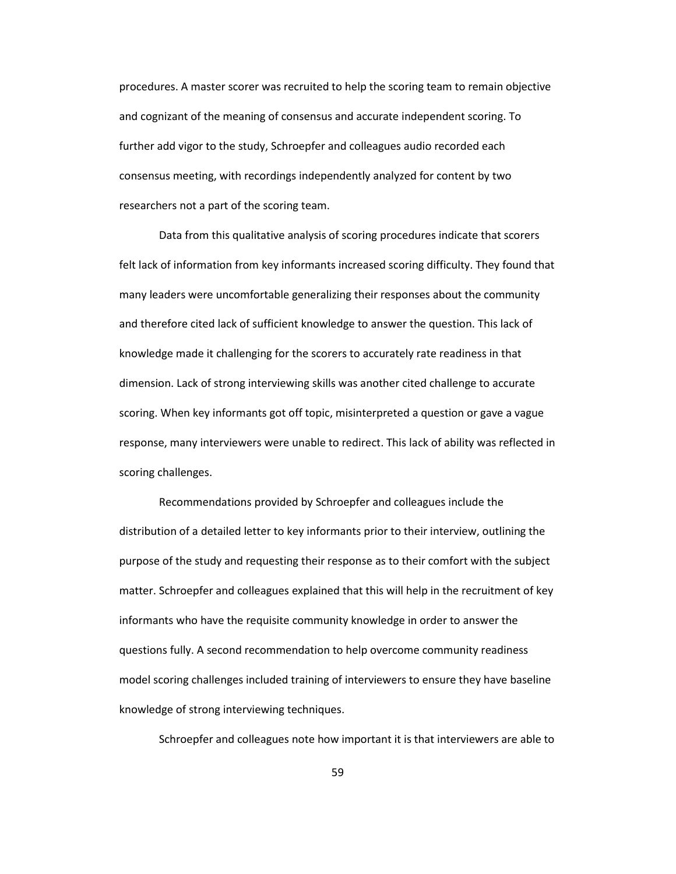procedures. A master scorer was recruited to help the scoring team to remain objective and cognizant of the meaning of consensus and accurate independent scoring. To further add vigor to the study, Schroepfer and colleagues audio recorded each consensus meeting, with recordings independently analyzed for content by two researchers not a part of the scoring team.

Data from this qualitative analysis of scoring procedures indicate that scorers felt lack of information from key informants increased scoring difficulty. They found that many leaders were uncomfortable generalizing their responses about the community and therefore cited lack of sufficient knowledge to answer the question. This lack of knowledge made it challenging for the scorers to accurately rate readiness in that dimension. Lack of strong interviewing skills was another cited challenge to accurate scoring. When key informants got off topic, misinterpreted a question or gave a vague response, many interviewers were unable to redirect. This lack of ability was reflected in scoring challenges.

Recommendations provided by Schroepfer and colleagues include the distribution of a detailed letter to key informants prior to their interview, outlining the purpose of the study and requesting their response as to their comfort with the subject matter. Schroepfer and colleagues explained that this will help in the recruitment of key informants who have the requisite community knowledge in order to answer the questions fully. A second recommendation to help overcome community readiness model scoring challenges included training of interviewers to ensure they have baseline knowledge of strong interviewing techniques.

Schroepfer and colleagues note how important it is that interviewers are able to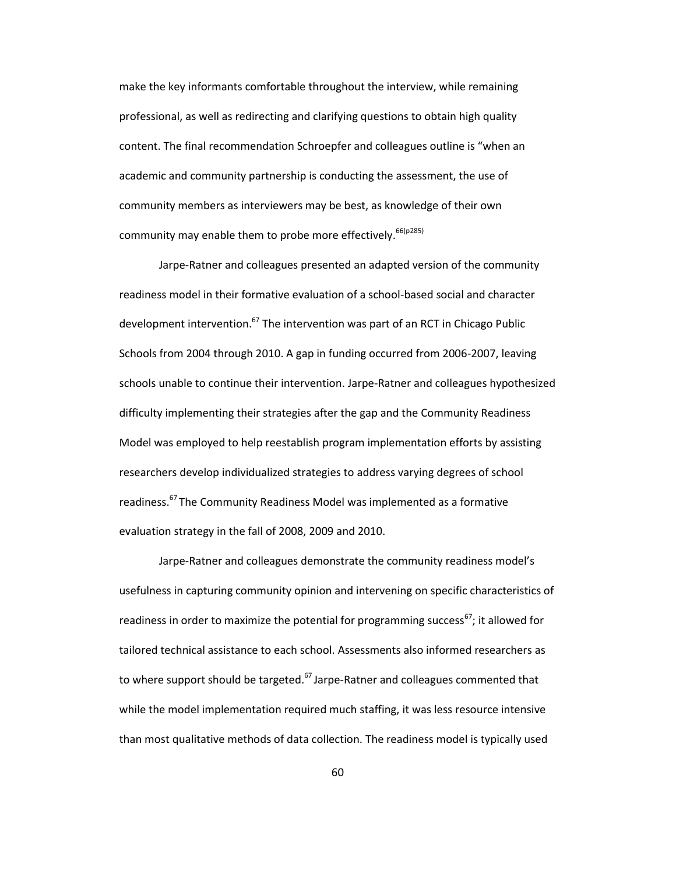make the key informants comfortable throughout the interview, while remaining professional, as well as redirecting and clarifying questions to obtain high quality content. The final recommendation Schroepfer and colleagues outline is "when an academic and community partnership is conducting the assessment, the use of community members as interviewers may be best, as knowledge of their own community may enable them to probe more effectively.<sup>66(p285)</sup>

Jarpe-Ratner and colleagues presented an adapted version of the community readiness model in their formative evaluation of a school-based social and character development intervention.<sup>67</sup> The intervention was part of an RCT in Chicago Public Schools from 2004 through 2010. A gap in funding occurred from 2006-2007, leaving schools unable to continue their intervention. Jarpe-Ratner and colleagues hypothesized difficulty implementing their strategies after the gap and the Community Readiness Model was employed to help reestablish program implementation efforts by assisting researchers develop individualized strategies to address varying degrees of school readiness.<sup>67</sup> The Community Readiness Model was implemented as a formative evaluation strategy in the fall of 2008, 2009 and 2010.

Jarpe-Ratner and colleagues demonstrate the community readiness model's usefulness in capturing community opinion and intervening on specific characteristics of readiness in order to maximize the potential for programming success<sup>67</sup>; it allowed for tailored technical assistance to each school. Assessments also informed researchers as to where support should be targeted.<sup>67</sup> Jarpe-Ratner and colleagues commented that while the model implementation required much staffing, it was less resource intensive than most qualitative methods of data collection. The readiness model is typically used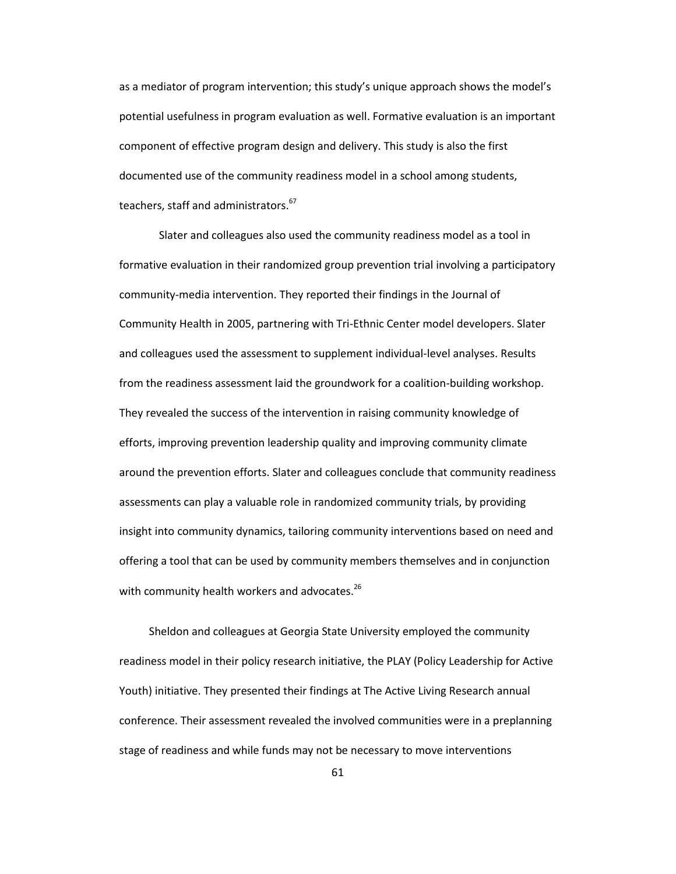as a mediator of program intervention; this study's unique approach shows the model's potential usefulness in program evaluation as well. Formative evaluation is an important component of effective program design and delivery. This study is also the first documented use of the community readiness model in a school among students, teachers, staff and administrators.<sup>67</sup>

Slater and colleagues also used the community readiness model as a tool in formative evaluation in their randomized group prevention trial involving a participatory community-media intervention. They reported their findings in the Journal of Community Health in 2005, partnering with Tri-Ethnic Center model developers. Slater and colleagues used the assessment to supplement individual-level analyses. Results from the readiness assessment laid the groundwork for a coalition-building workshop. They revealed the success of the intervention in raising community knowledge of efforts, improving prevention leadership quality and improving community climate around the prevention efforts. Slater and colleagues conclude that community readiness assessments can play a valuable role in randomized community trials, by providing insight into community dynamics, tailoring community interventions based on need and offering a tool that can be used by community members themselves and in conjunction with community health workers and advocates.<sup>26</sup>

Sheldon and colleagues at Georgia State University employed the community readiness model in their policy research initiative, the PLAY (Policy Leadership for Active Youth) initiative. They presented their findings at The Active Living Research annual conference. Their assessment revealed the involved communities were in a preplanning stage of readiness and while funds may not be necessary to move interventions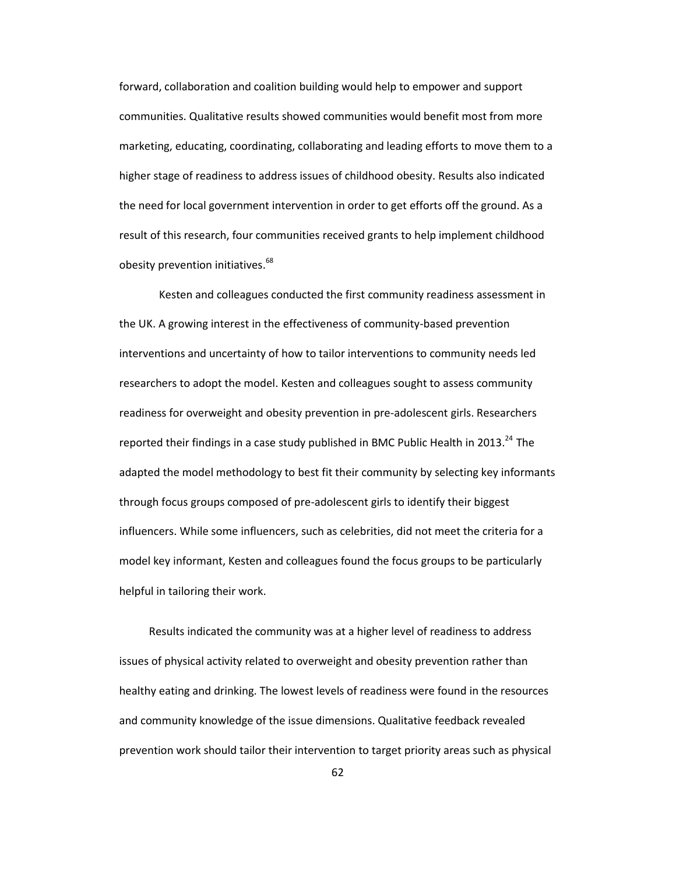forward, collaboration and coalition building would help to empower and support communities. Qualitative results showed communities would benefit most from more marketing, educating, coordinating, collaborating and leading efforts to move them to a higher stage of readiness to address issues of childhood obesity. Results also indicated the need for local government intervention in order to get efforts off the ground. As a result of this research, four communities received grants to help implement childhood obesity prevention initiatives. 68

Kesten and colleagues conducted the first community readiness assessment in the UK. A growing interest in the effectiveness of community-based prevention interventions and uncertainty of how to tailor interventions to community needs led researchers to adopt the model. Kesten and colleagues sought to assess community readiness for overweight and obesity prevention in pre-adolescent girls. Researchers reported their findings in a case study published in BMC Public Health in 2013.<sup>24</sup> The adapted the model methodology to best fit their community by selecting key informants through focus groups composed of pre-adolescent girls to identify their biggest influencers. While some influencers, such as celebrities, did not meet the criteria for a model key informant, Kesten and colleagues found the focus groups to be particularly helpful in tailoring their work.

Results indicated the community was at a higher level of readiness to address issues of physical activity related to overweight and obesity prevention rather than healthy eating and drinking. The lowest levels of readiness were found in the resources and community knowledge of the issue dimensions. Qualitative feedback revealed prevention work should tailor their intervention to target priority areas such as physical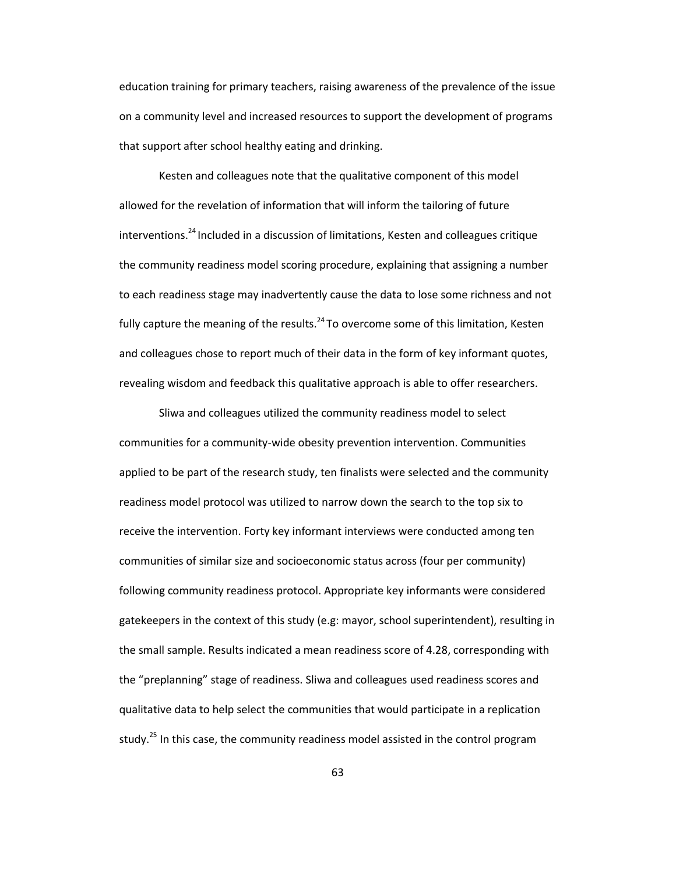education training for primary teachers, raising awareness of the prevalence of the issue on a community level and increased resources to support the development of programs that support after school healthy eating and drinking.

Kesten and colleagues note that the qualitative component of this model allowed for the revelation of information that will inform the tailoring of future interventions. <sup>24</sup> Included in a discussion of limitations, Kesten and colleagues critique the community readiness model scoring procedure, explaining that assigning a number to each readiness stage may inadvertently cause the data to lose some richness and not fully capture the meaning of the results.<sup>24</sup> To overcome some of this limitation, Kesten and colleagues chose to report much of their data in the form of key informant quotes, revealing wisdom and feedback this qualitative approach is able to offer researchers.

Sliwa and colleagues utilized the community readiness model to select communities for a community-wide obesity prevention intervention. Communities applied to be part of the research study, ten finalists were selected and the community readiness model protocol was utilized to narrow down the search to the top six to receive the intervention. Forty key informant interviews were conducted among ten communities of similar size and socioeconomic status across (four per community) following community readiness protocol. Appropriate key informants were considered gatekeepers in the context of this study (e.g: mayor, school superintendent), resulting in the small sample. Results indicated a mean readiness score of 4.28, corresponding with the "preplanning" stage of readiness. Sliwa and colleagues used readiness scores and qualitative data to help select the communities that would participate in a replication study.<sup>25</sup> In this case, the community readiness model assisted in the control program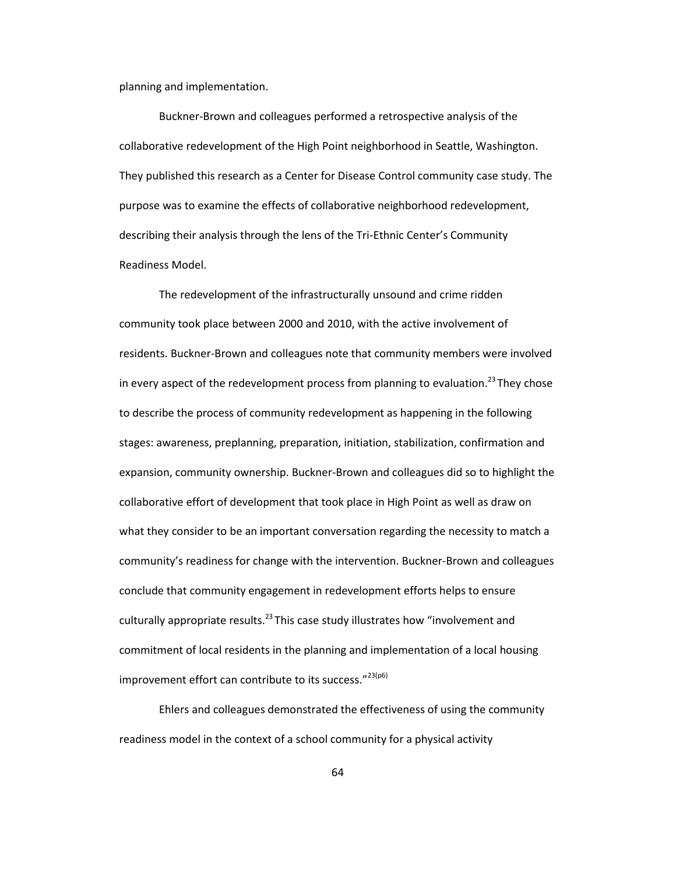planning and implementation.

Buckner-Brown and colleagues performed a retrospective analysis of the collaborative redevelopment of the High Point neighborhood in Seattle, Washington. They published this research as a Center for Disease Control community case study. The purpose was to examine the effects of collaborative neighborhood redevelopment, describing their analysis through the lens of the Tri-Ethnic Center's Community Readiness Model.

The redevelopment of the infrastructurally unsound and crime ridden community took place between 2000 and 2010, with the active involvement of residents. Buckner-Brown and colleagues note that community members were involved in every aspect of the redevelopment process from planning to evaluation.<sup>23</sup> They chose to describe the process of community redevelopment as happening in the following stages: awareness, preplanning, preparation, initiation, stabilization, confirmation and expansion, community ownership. Buckner-Brown and colleagues did so to highlight the collaborative effort of development that took place in High Point as well as draw on what they consider to be an important conversation regarding the necessity to match a community's readiness for change with the intervention. Buckner-Brown and colleagues conclude that community engagement in redevelopment efforts helps to ensure culturally appropriate results.<sup>23</sup> This case study illustrates how "involvement and commitment of local residents in the planning and implementation of a local housing improvement effort can contribute to its success."<sup>23(p6)</sup>

Ehlers and colleagues demonstrated the effectiveness of using the community readiness model in the context of a school community for a physical activity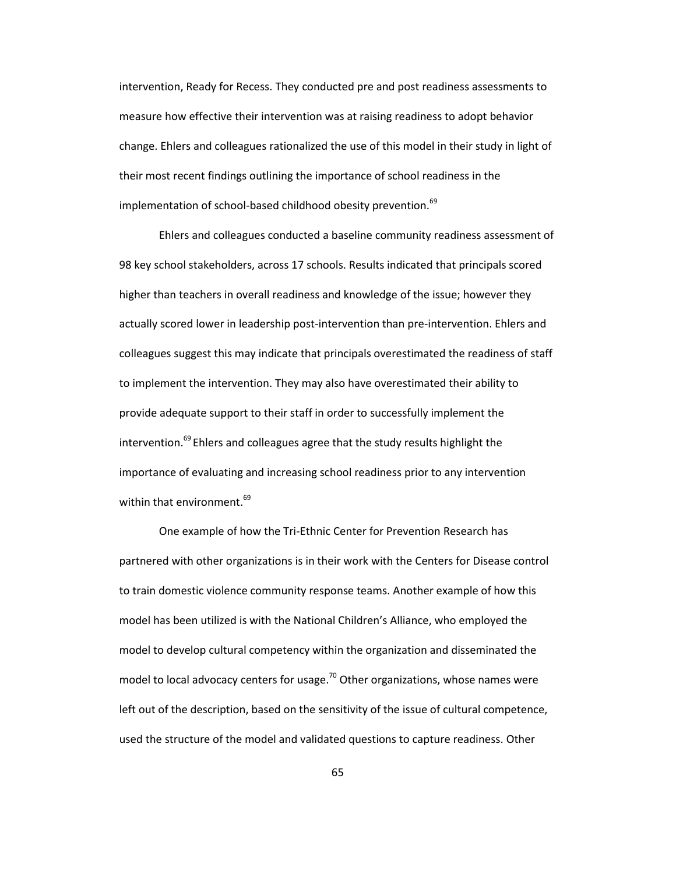intervention, Ready for Recess. They conducted pre and post readiness assessments to measure how effective their intervention was at raising readiness to adopt behavior change. Ehlers and colleagues rationalized the use of this model in their study in light of their most recent findings outlining the importance of school readiness in the implementation of school-based childhood obesity prevention.<sup>69</sup>

Ehlers and colleagues conducted a baseline community readiness assessment of 98 key school stakeholders, across 17 schools. Results indicated that principals scored higher than teachers in overall readiness and knowledge of the issue; however they actually scored lower in leadership post-intervention than pre-intervention. Ehlers and colleagues suggest this may indicate that principals overestimated the readiness of staff to implement the intervention. They may also have overestimated their ability to provide adequate support to their staff in order to successfully implement the intervention. <sup>69</sup> Ehlers and colleagues agree that the study results highlight the importance of evaluating and increasing school readiness prior to any intervention within that environment.<sup>69</sup>

One example of how the Tri-Ethnic Center for Prevention Research has partnered with other organizations is in their work with the Centers for Disease control to train domestic violence community response teams. Another example of how this model has been utilized is with the National Children's Alliance, who employed the model to develop cultural competency within the organization and disseminated the model to local advocacy centers for usage.<sup>70</sup> Other organizations, whose names were left out of the description, based on the sensitivity of the issue of cultural competence, used the structure of the model and validated questions to capture readiness. Other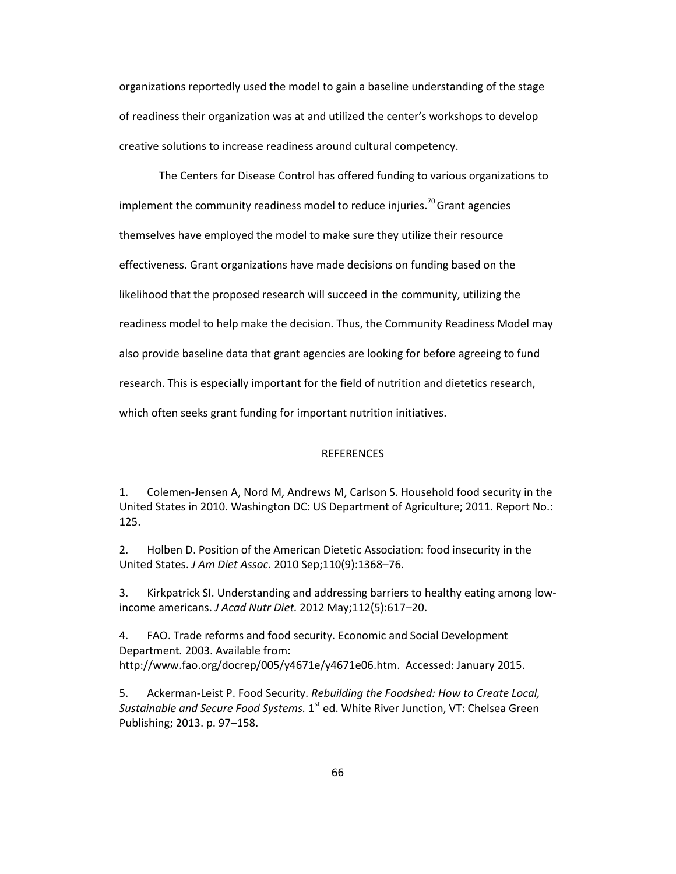organizations reportedly used the model to gain a baseline understanding of the stage of readiness their organization was at and utilized the center's workshops to develop creative solutions to increase readiness around cultural competency.

The Centers for Disease Control has offered funding to various organizations to implement the community readiness model to reduce injuries.<sup>70</sup> Grant agencies themselves have employed the model to make sure they utilize their resource effectiveness. Grant organizations have made decisions on funding based on the likelihood that the proposed research will succeed in the community, utilizing the readiness model to help make the decision. Thus, the Community Readiness Model may also provide baseline data that grant agencies are looking for before agreeing to fund research. This is especially important for the field of nutrition and dietetics research, which often seeks grant funding for important nutrition initiatives.

### REFERENCES

1. Colemen-Jensen A, Nord M, Andrews M, Carlson S. Household food security in the United States in 2010. Washington DC: US Department of Agriculture; 2011. Report No.: 125.

2. Holben D. Position of the American Dietetic Association: food insecurity in the United States. *J Am Diet Assoc.* 2010 Sep;110(9):1368–76.

3. Kirkpatrick SI. Understanding and addressing barriers to healthy eating among lowincome americans. *J Acad Nutr Diet.* 2012 May;112(5):617–20.

4. FAO. Trade reforms and food security*.* Economic and Social Development Department*.* 2003. Available from: http://www.fao.org/docrep/005/y4671e/y4671e06.htm. Accessed: January 2015.

5. Ackerman-Leist P. Food Security. *Rebuilding the Foodshed: How to Create Local,*  Sustainable and Secure Food Systems. 1<sup>st</sup> ed. White River Junction, VT: Chelsea Green Publishing; 2013. p. 97–158.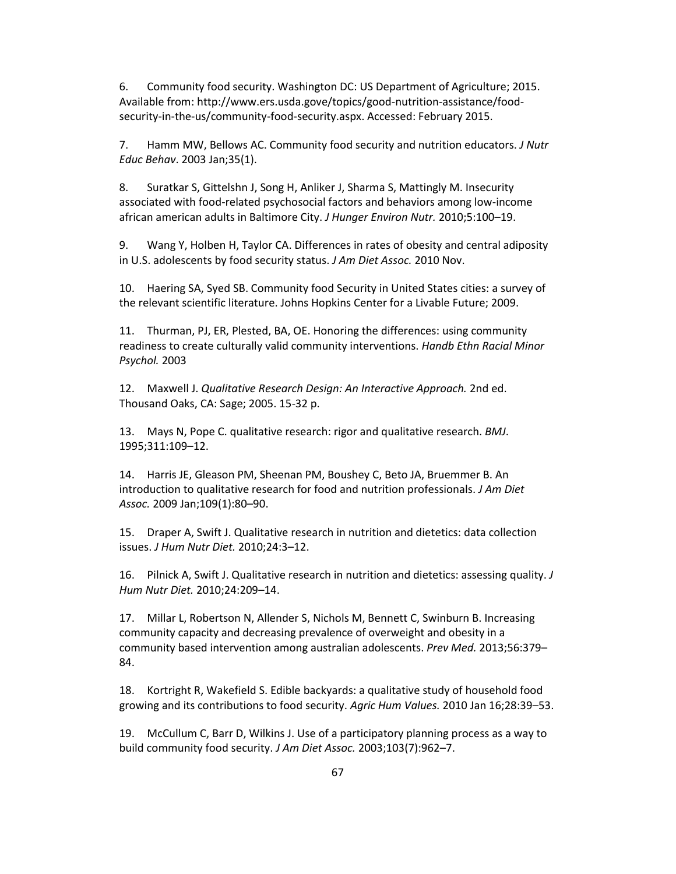6. Community food security. Washington DC: US Department of Agriculture; 2015. Available from: http://www.ers.usda.gove/topics/good-nutrition-assistance/foodsecurity-in-the-us/community-food-security.aspx. Accessed: February 2015.

7. Hamm MW, Bellows AC. Community food security and nutrition educators. *J Nutr Educ Behav*. 2003 Jan;35(1).

8. Suratkar S, Gittelshn J, Song H, Anliker J, Sharma S, Mattingly M. Insecurity associated with food-related psychosocial factors and behaviors among low-income african american adults in Baltimore City. *J Hunger Environ Nutr.* 2010;5:100–19.

9. Wang Y, Holben H, Taylor CA. Differences in rates of obesity and central adiposity in U.S. adolescents by food security status. *J Am Diet Assoc.* 2010 Nov.

10. Haering SA, Syed SB. Community food Security in United States cities: a survey of the relevant scientific literature. Johns Hopkins Center for a Livable Future; 2009.

11. Thurman, PJ, ER, Plested, BA, OE. Honoring the differences: using community readiness to create culturally valid community interventions. *Handb Ethn Racial Minor Psychol.* 2003

12. Maxwell J. *Qualitative Research Design: An Interactive Approach.* 2nd ed. Thousand Oaks, CA: Sage; 2005. 15-32 p.

13. Mays N, Pope C. qualitative research: rigor and qualitative research. *BMJ*. 1995;311:109–12.

14. Harris JE, Gleason PM, Sheenan PM, Boushey C, Beto JA, Bruemmer B. An introduction to qualitative research for food and nutrition professionals. *J Am Diet Assoc.* 2009 Jan;109(1):80–90.

15. Draper A, Swift J. Qualitative research in nutrition and dietetics: data collection issues. *J Hum Nutr Diet.* 2010;24:3–12.

16. Pilnick A, Swift J. Qualitative research in nutrition and dietetics: assessing quality. *J Hum Nutr Diet.* 2010;24:209–14.

17. Millar L, Robertson N, Allender S, Nichols M, Bennett C, Swinburn B. Increasing community capacity and decreasing prevalence of overweight and obesity in a community based intervention among australian adolescents. *Prev Med.* 2013;56:379– 84.

18. Kortright R, Wakefield S. Edible backyards: a qualitative study of household food growing and its contributions to food security. *Agric Hum Values.* 2010 Jan 16;28:39–53.

19. McCullum C, Barr D, Wilkins J. Use of a participatory planning process as a way to build community food security. *J Am Diet Assoc.* 2003;103(7):962–7.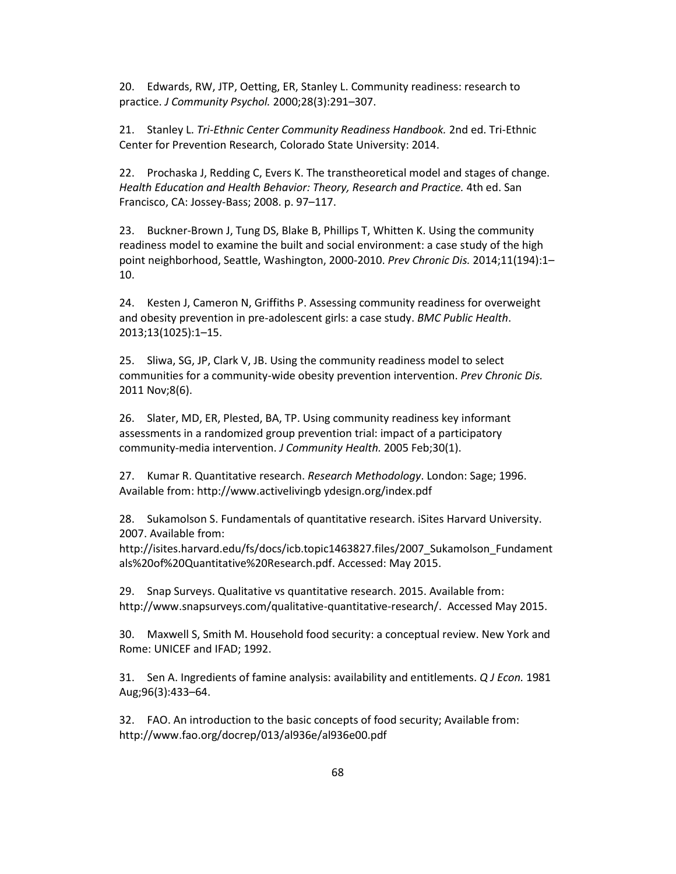20. Edwards, RW, JTP, Oetting, ER, Stanley L. Community readiness: research to practice. *J Community Psychol.* 2000;28(3):291–307.

21. Stanley L. *Tri-Ethnic Center Community Readiness Handbook.* 2nd ed. Tri-Ethnic Center for Prevention Research, Colorado State University: 2014.

22. Prochaska J, Redding C, Evers K. The transtheoretical model and stages of change. *Health Education and Health Behavior: Theory, Research and Practice.* 4th ed. San Francisco, CA: Jossey-Bass; 2008. p. 97–117.

23. Buckner-Brown J, Tung DS, Blake B, Phillips T, Whitten K. Using the community readiness model to examine the built and social environment: a case study of the high point neighborhood, Seattle, Washington, 2000-2010. *Prev Chronic Dis.* 2014;11(194):1– 10.

24. Kesten J, Cameron N, Griffiths P. Assessing community readiness for overweight and obesity prevention in pre-adolescent girls: a case study. *BMC Public Health*. 2013;13(1025):1–15.

25. Sliwa, SG, JP, Clark V, JB. Using the community readiness model to select communities for a community-wide obesity prevention intervention. *Prev Chronic Dis.*  2011 Nov;8(6).

26. Slater, MD, ER, Plested, BA, TP. Using community readiness key informant assessments in a randomized group prevention trial: impact of a participatory community-media intervention. *J Community Health.* 2005 Feb;30(1).

27. Kumar R. Quantitative research. *Research Methodology*. London: Sage; 1996. Available from: http://www.activelivingb ydesign.org/index.pdf

28. Sukamolson S. Fundamentals of quantitative research. iSites Harvard University. 2007. Available from:

http://isites.harvard.edu/fs/docs/icb.topic1463827.files/2007\_Sukamolson\_Fundament als%20of%20Quantitative%20Research.pdf. Accessed: May 2015.

29. Snap Surveys. Qualitative vs quantitative research. 2015. Available from: http://www.snapsurveys.com/qualitative-quantitative-research/. Accessed May 2015.

30. Maxwell S, Smith M. Household food security: a conceptual review. New York and Rome: UNICEF and IFAD; 1992.

31. Sen A. Ingredients of famine analysis: availability and entitlements. *Q J Econ.* 1981 Aug;96(3):433–64.

32. FAO. An introduction to the basic concepts of food security; Available from: http://www.fao.org/docrep/013/al936e/al936e00.pdf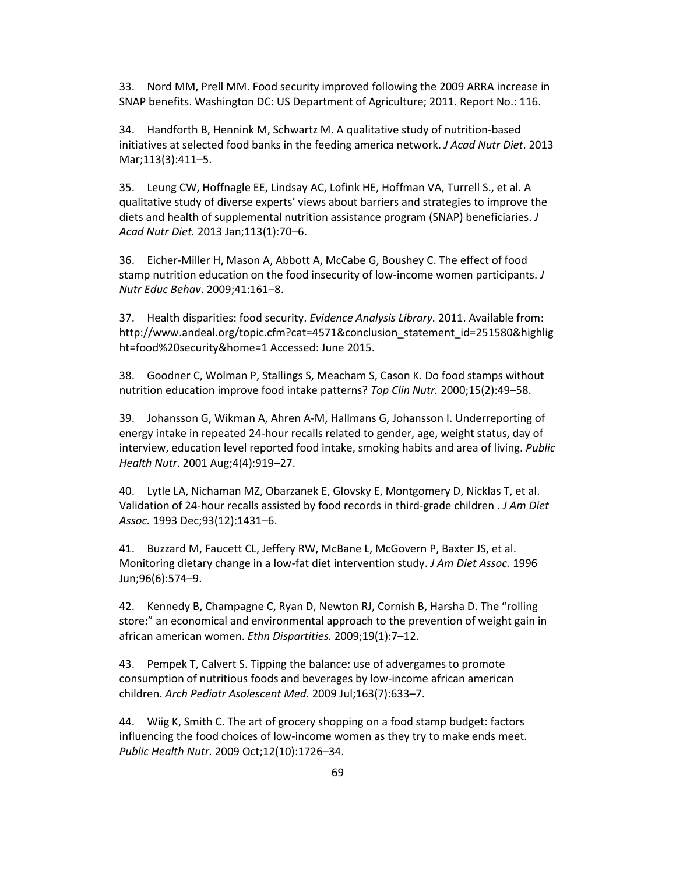33. Nord MM, Prell MM. Food security improved following the 2009 ARRA increase in SNAP benefits. Washington DC: US Department of Agriculture; 2011. Report No.: 116.

34. Handforth B, Hennink M, Schwartz M. A qualitative study of nutrition-based initiatives at selected food banks in the feeding america network. *J Acad Nutr Diet*. 2013 Mar;113(3):411–5.

35. Leung CW, Hoffnagle EE, Lindsay AC, Lofink HE, Hoffman VA, Turrell S., et al. A qualitative study of diverse experts' views about barriers and strategies to improve the diets and health of supplemental nutrition assistance program (SNAP) beneficiaries. *J Acad Nutr Diet.* 2013 Jan;113(1):70–6.

36. Eicher-Miller H, Mason A, Abbott A, McCabe G, Boushey C. The effect of food stamp nutrition education on the food insecurity of low-income women participants. *J Nutr Educ Behav*. 2009;41:161–8.

37. Health disparities: food security. *Evidence Analysis Library.* 2011. Available from: http://www.andeal.org/topic.cfm?cat=4571&conclusion\_statement\_id=251580&highlig ht=food%20security&home=1 Accessed: June 2015.

38. Goodner C, Wolman P, Stallings S, Meacham S, Cason K. Do food stamps without nutrition education improve food intake patterns? *Top Clin Nutr.* 2000;15(2):49–58.

39. Johansson G, Wikman A, Ahren A-M, Hallmans G, Johansson I. Underreporting of energy intake in repeated 24-hour recalls related to gender, age, weight status, day of interview, education level reported food intake, smoking habits and area of living. *Public Health Nutr*. 2001 Aug;4(4):919–27.

40. Lytle LA, Nichaman MZ, Obarzanek E, Glovsky E, Montgomery D, Nicklas T, et al. Validation of 24-hour recalls assisted by food records in third-grade children . *J Am Diet Assoc.* 1993 Dec;93(12):1431–6.

41. Buzzard M, Faucett CL, Jeffery RW, McBane L, McGovern P, Baxter JS, et al. Monitoring dietary change in a low-fat diet intervention study. *J Am Diet Assoc.* 1996 Jun;96(6):574–9.

42. Kennedy B, Champagne C, Ryan D, Newton RJ, Cornish B, Harsha D. The "rolling store:" an economical and environmental approach to the prevention of weight gain in african american women. *Ethn Dispartities.* 2009;19(1):7–12.

43. Pempek T, Calvert S. Tipping the balance: use of advergames to promote consumption of nutritious foods and beverages by low-income african american children. *Arch Pediatr Asolescent Med.* 2009 Jul;163(7):633–7.

44. Wiig K, Smith C. The art of grocery shopping on a food stamp budget: factors influencing the food choices of low-income women as they try to make ends meet. *Public Health Nutr.* 2009 Oct;12(10):1726–34.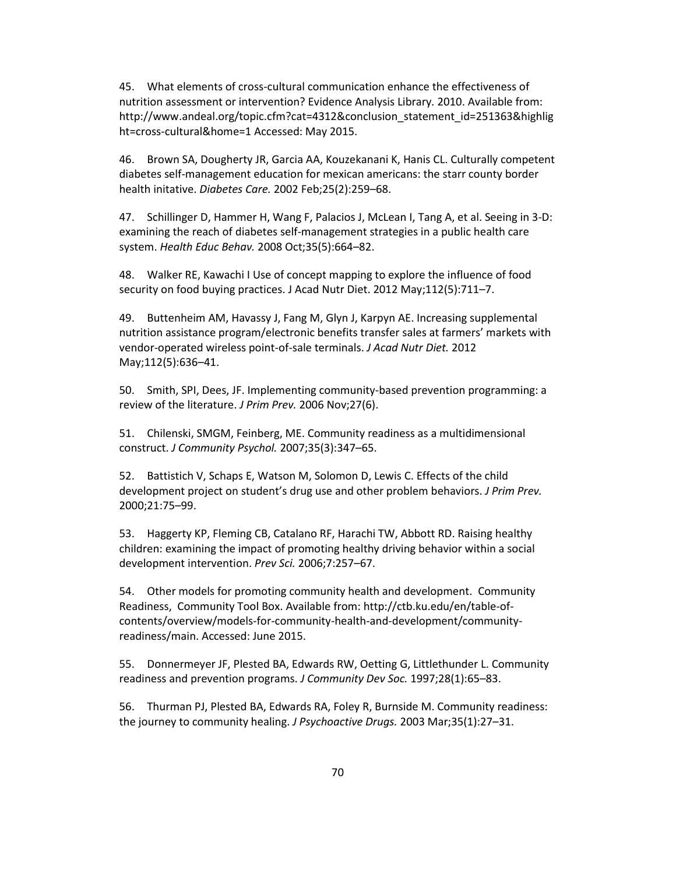45. What elements of cross-cultural communication enhance the effectiveness of nutrition assessment or intervention? Evidence Analysis Library*.* 2010. Available from: http://www.andeal.org/topic.cfm?cat=4312&conclusion\_statement\_id=251363&highlig ht=cross-cultural&home=1 Accessed: May 2015.

46. Brown SA, Dougherty JR, Garcia AA, Kouzekanani K, Hanis CL. Culturally competent diabetes self-management education for mexican americans: the starr county border health initative. *Diabetes Care.* 2002 Feb;25(2):259–68.

47. Schillinger D, Hammer H, Wang F, Palacios J, McLean I, Tang A, et al. Seeing in 3-D: examining the reach of diabetes self-management strategies in a public health care system. *Health Educ Behav.* 2008 Oct;35(5):664–82.

48. Walker RE, Kawachi I Use of concept mapping to explore the influence of food security on food buying practices. J Acad Nutr Diet. 2012 May;112(5):711–7.

49. Buttenheim AM, Havassy J, Fang M, Glyn J, Karpyn AE. Increasing supplemental nutrition assistance program/electronic benefits transfer sales at farmers' markets with vendor-operated wireless point-of-sale terminals. *J Acad Nutr Diet.* 2012 May;112(5):636–41.

50. Smith, SPI, Dees, JF. Implementing community-based prevention programming: a review of the literature. *J Prim Prev.* 2006 Nov;27(6).

51. Chilenski, SMGM, Feinberg, ME. Community readiness as a multidimensional construct. *J Community Psychol.* 2007;35(3):347–65.

52. Battistich V, Schaps E, Watson M, Solomon D, Lewis C. Effects of the child development project on student's drug use and other problem behaviors. *J Prim Prev.* 2000;21:75–99.

53. Haggerty KP, Fleming CB, Catalano RF, Harachi TW, Abbott RD. Raising healthy children: examining the impact of promoting healthy driving behavior within a social development intervention. *Prev Sci.* 2006;7:257–67.

54. Other models for promoting community health and development. Community Readiness, Community Tool Box. Available from: http://ctb.ku.edu/en/table-ofcontents/overview/models-for-community-health-and-development/communityreadiness/main. Accessed: June 2015.

55. Donnermeyer JF, Plested BA, Edwards RW, Oetting G, Littlethunder L. Community readiness and prevention programs. *J Community Dev Soc.* 1997;28(1):65–83.

56. Thurman PJ, Plested BA, Edwards RA, Foley R, Burnside M. Community readiness: the journey to community healing. *J Psychoactive Drugs.* 2003 Mar;35(1):27–31.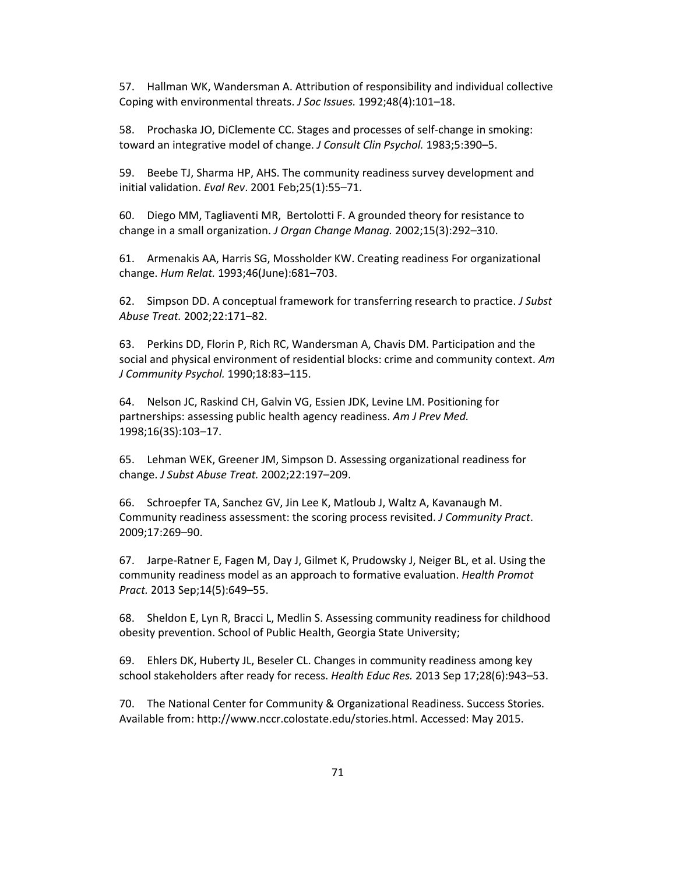57. Hallman WK, Wandersman A. Attribution of responsibility and individual collective Coping with environmental threats. *J Soc Issues.* 1992;48(4):101–18.

58. Prochaska JO, DiClemente CC. Stages and processes of self-change in smoking: toward an integrative model of change. *J Consult Clin Psychol.* 1983;5:390–5.

59. Beebe TJ, Sharma HP, AHS. The community readiness survey development and initial validation. *Eval Rev*. 2001 Feb;25(1):55–71.

60. Diego MM, Tagliaventi MR, Bertolotti F. A grounded theory for resistance to change in a small organization. *J Organ Change Manag.* 2002;15(3):292–310.

61. Armenakis AA, Harris SG, Mossholder KW. Creating readiness For organizational change. *Hum Relat.* 1993;46(June):681–703.

62. Simpson DD. A conceptual framework for transferring research to practice. *J Subst Abuse Treat.* 2002;22:171–82.

63. Perkins DD, Florin P, Rich RC, Wandersman A, Chavis DM. Participation and the social and physical environment of residential blocks: crime and community context. *Am J Community Psychol.* 1990;18:83–115.

64. Nelson JC, Raskind CH, Galvin VG, Essien JDK, Levine LM. Positioning for partnerships: assessing public health agency readiness. *Am J Prev Med.*  1998;16(3S):103–17.

65. Lehman WEK, Greener JM, Simpson D. Assessing organizational readiness for change. *J Subst Abuse Treat.* 2002;22:197–209.

66. Schroepfer TA, Sanchez GV, Jin Lee K, Matloub J, Waltz A, Kavanaugh M. Community readiness assessment: the scoring process revisited. *J Community Pract*. 2009;17:269–90.

67. Jarpe-Ratner E, Fagen M, Day J, Gilmet K, Prudowsky J, Neiger BL, et al. Using the community readiness model as an approach to formative evaluation. *Health Promot Pract.* 2013 Sep;14(5):649–55.

68. Sheldon E, Lyn R, Bracci L, Medlin S. Assessing community readiness for childhood obesity prevention. School of Public Health, Georgia State University;

69. Ehlers DK, Huberty JL, Beseler CL. Changes in community readiness among key school stakeholders after ready for recess. *Health Educ Res.* 2013 Sep 17;28(6):943–53.

70. The National Center for Community & Organizational Readiness. Success Stories. Available from: http://www.nccr.colostate.edu/stories.html. Accessed: May 2015.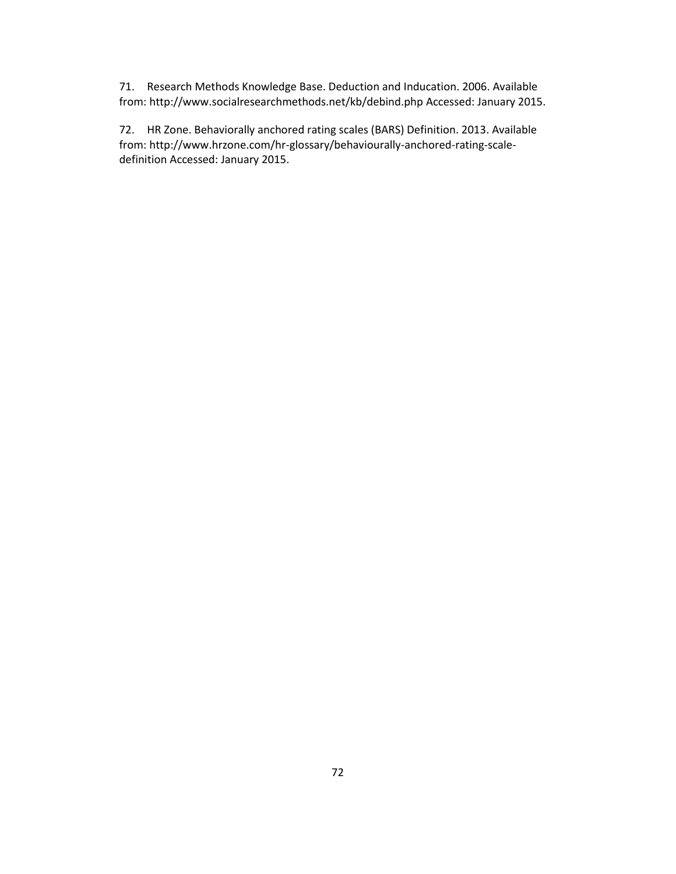71. Research Methods Knowledge Base. Deduction and Inducation. 2006. Available from: http://www.socialresearchmethods.net/kb/debind.php Accessed: January 2015.

72. HR Zone. Behaviorally anchored rating scales (BARS) Definition. 2013. Available from: http://www.hrzone.com/hr-glossary/behaviourally-anchored-rating-scaledefinition Accessed: January 2015.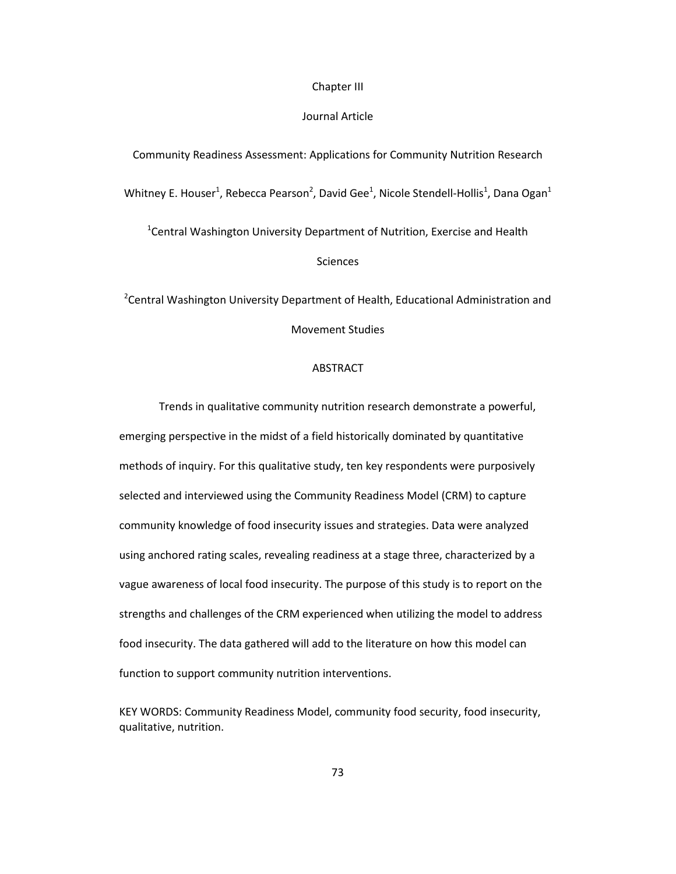### Chapter III

### Journal Article

Community Readiness Assessment: Applications for Community Nutrition Research Whitney E. Houser<sup>1</sup>, Rebecca Pearson<sup>2</sup>, David Gee<sup>1</sup>, Nicole Stendell-Hollis<sup>1</sup>, Dana Ogan<sup>1</sup> <sup>1</sup>Central Washington University Department of Nutrition, Exercise and Health Sciences

<sup>2</sup>Central Washington University Department of Health, Educational Administration and Movement Studies

## ABSTRACT

Trends in qualitative community nutrition research demonstrate a powerful, emerging perspective in the midst of a field historically dominated by quantitative methods of inquiry. For this qualitative study, ten key respondents were purposively selected and interviewed using the Community Readiness Model (CRM) to capture community knowledge of food insecurity issues and strategies. Data were analyzed using anchored rating scales, revealing readiness at a stage three, characterized by a vague awareness of local food insecurity. The purpose of this study is to report on the strengths and challenges of the CRM experienced when utilizing the model to address food insecurity. The data gathered will add to the literature on how this model can function to support community nutrition interventions.

KEY WORDS: Community Readiness Model, community food security, food insecurity, qualitative, nutrition.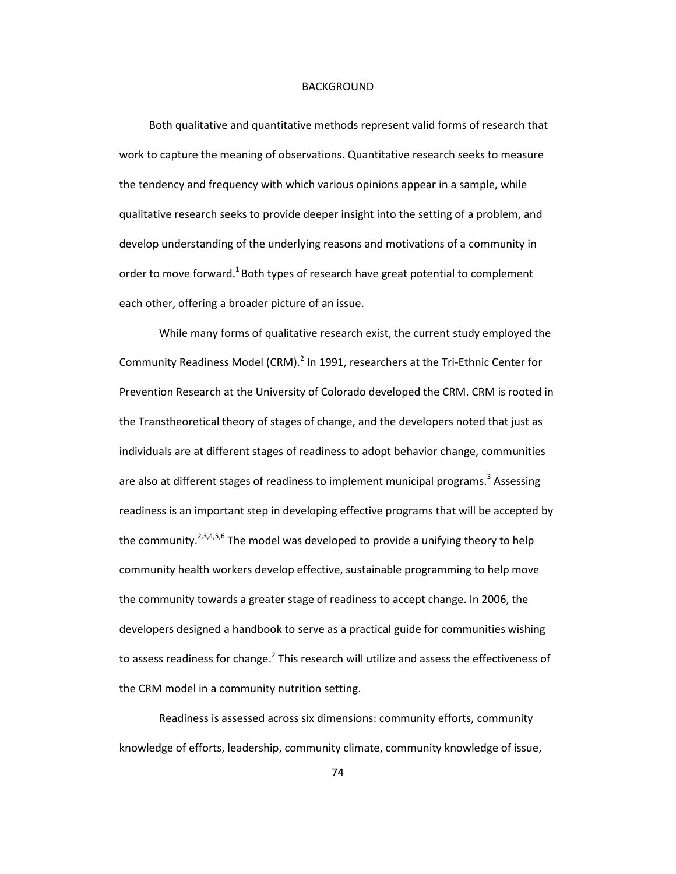#### BACKGROUND

Both qualitative and quantitative methods represent valid forms of research that work to capture the meaning of observations. Quantitative research seeks to measure the tendency and frequency with which various opinions appear in a sample, while qualitative research seeks to provide deeper insight into the setting of a problem, and develop understanding of the underlying reasons and motivations of a community in order to move forward.<sup>1</sup> Both types of research have great potential to complement each other, offering a broader picture of an issue.

While many forms of qualitative research exist, the current study employed the Community Readiness Model (CRM). $^2$  In 1991, researchers at the Tri-Ethnic Center for Prevention Research at the University of Colorado developed the CRM. CRM is rooted in the Transtheoretical theory of stages of change, and the developers noted that just as individuals are at different stages of readiness to adopt behavior change, communities are also at different stages of readiness to implement municipal programs.<sup>3</sup> Assessing readiness is an important step in developing effective programs that will be accepted by the community.<sup>2,3,4,5,6</sup> The model was developed to provide a unifying theory to help community health workers develop effective, sustainable programming to help move the community towards a greater stage of readiness to accept change. In 2006, the developers designed a handbook to serve as a practical guide for communities wishing to assess readiness for change.<sup>2</sup> This research will utilize and assess the effectiveness of the CRM model in a community nutrition setting.

Readiness is assessed across six dimensions: community efforts, community knowledge of efforts, leadership, community climate, community knowledge of issue,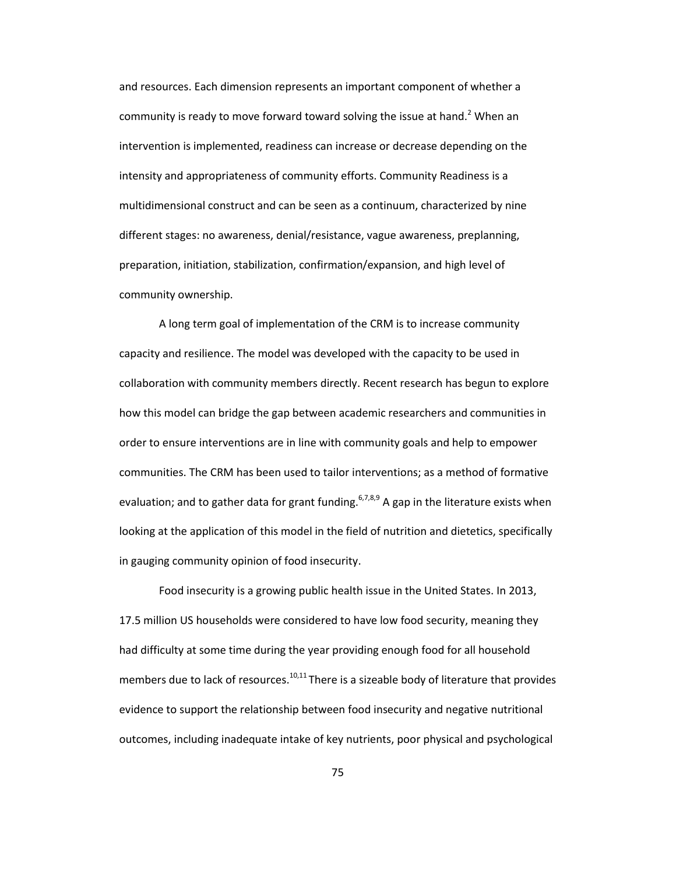and resources. Each dimension represents an important component of whether a community is ready to move forward toward solving the issue at hand.<sup>2</sup> When an intervention is implemented, readiness can increase or decrease depending on the intensity and appropriateness of community efforts. Community Readiness is a multidimensional construct and can be seen as a continuum, characterized by nine different stages: no awareness, denial/resistance, vague awareness, preplanning, preparation, initiation, stabilization, confirmation/expansion, and high level of community ownership.

A long term goal of implementation of the CRM is to increase community capacity and resilience. The model was developed with the capacity to be used in collaboration with community members directly. Recent research has begun to explore how this model can bridge the gap between academic researchers and communities in order to ensure interventions are in line with community goals and help to empower communities. The CRM has been used to tailor interventions; as a method of formative evaluation; and to gather data for grant funding.  $6,7,8,9$  A gap in the literature exists when looking at the application of this model in the field of nutrition and dietetics, specifically in gauging community opinion of food insecurity.

Food insecurity is a growing public health issue in the United States. In 2013, 17.5 million US households were considered to have low food security, meaning they had difficulty at some time during the year providing enough food for all household members due to lack of resources. $10,11$  There is a sizeable body of literature that provides evidence to support the relationship between food insecurity and negative nutritional outcomes, including inadequate intake of key nutrients, poor physical and psychological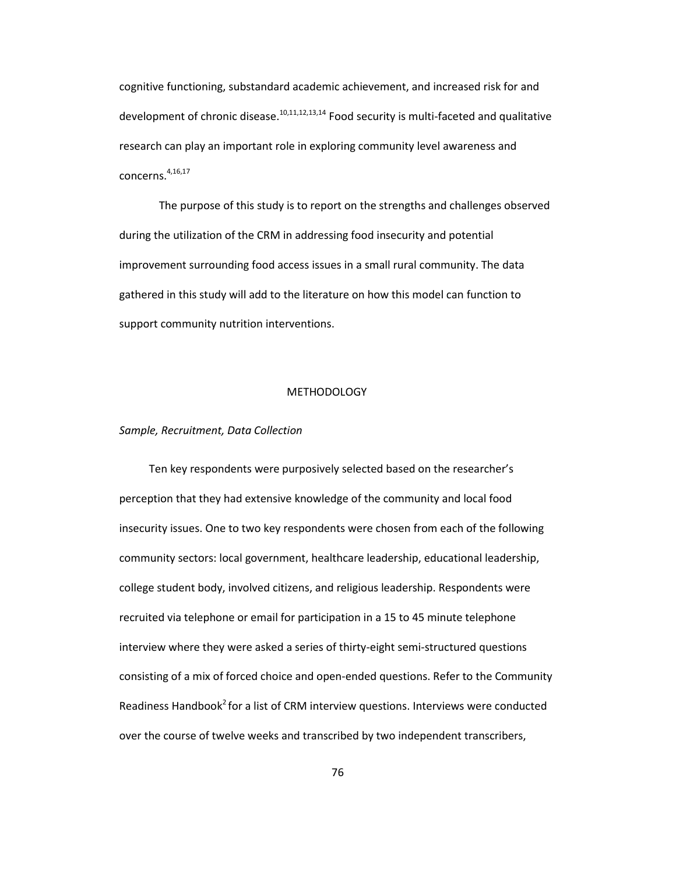cognitive functioning, substandard academic achievement, and increased risk for and development of chronic disease.<sup>10,11,12,13,14</sup> Food security is multi-faceted and qualitative research can play an important role in exploring community level awareness and concerns.4,16,17

The purpose of this study is to report on the strengths and challenges observed during the utilization of the CRM in addressing food insecurity and potential improvement surrounding food access issues in a small rural community. The data gathered in this study will add to the literature on how this model can function to support community nutrition interventions.

### METHODOLOGY

### *Sample, Recruitment, Data Collection*

Ten key respondents were purposively selected based on the researcher's perception that they had extensive knowledge of the community and local food insecurity issues. One to two key respondents were chosen from each of the following community sectors: local government, healthcare leadership, educational leadership, college student body, involved citizens, and religious leadership. Respondents were recruited via telephone or email for participation in a 15 to 45 minute telephone interview where they were asked a series of thirty-eight semi-structured questions consisting of a mix of forced choice and open-ended questions. Refer to the Community Readiness Handbook<sup>2</sup> for a list of CRM interview questions. Interviews were conducted over the course of twelve weeks and transcribed by two independent transcribers,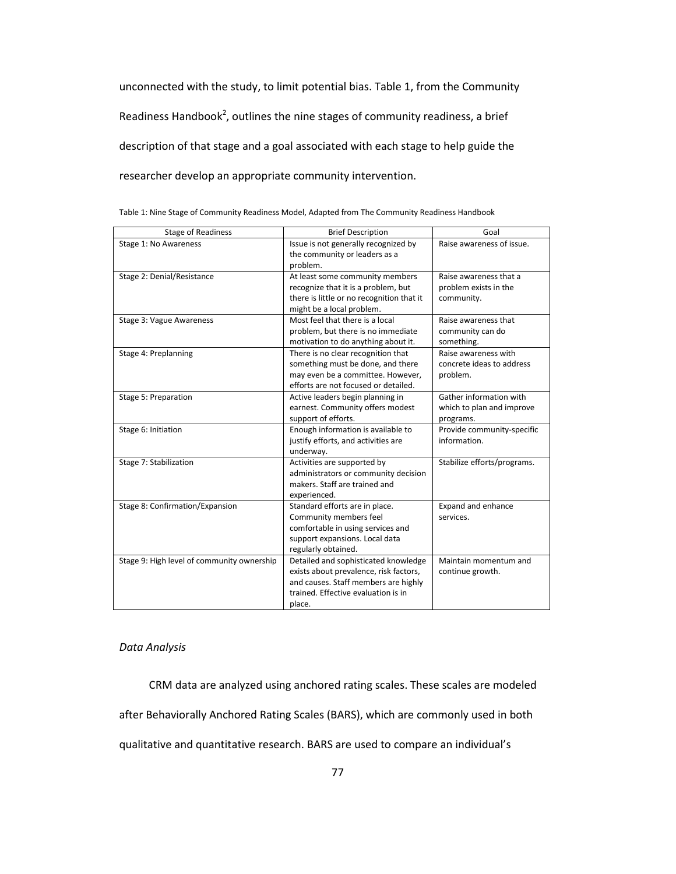unconnected with the study, to limit potential bias. Table 1, from the Community Readiness Handbook<sup>2</sup>, outlines the nine stages of community readiness, a brief description of that stage and a goal associated with each stage to help guide the researcher develop an appropriate community intervention.

| <b>Stage of Readiness</b>                  | <b>Brief Description</b>                  | Goal                        |
|--------------------------------------------|-------------------------------------------|-----------------------------|
| Stage 1: No Awareness                      | Issue is not generally recognized by      | Raise awareness of issue.   |
|                                            | the community or leaders as a             |                             |
|                                            | problem.                                  |                             |
| Stage 2: Denial/Resistance                 | At least some community members           | Raise awareness that a      |
|                                            | recognize that it is a problem, but       | problem exists in the       |
|                                            | there is little or no recognition that it | community.                  |
|                                            | might be a local problem.                 |                             |
| Stage 3: Vague Awareness                   | Most feel that there is a local           | Raise awareness that        |
|                                            | problem, but there is no immediate        | community can do            |
|                                            | motivation to do anything about it.       | something.                  |
| Stage 4: Preplanning                       | There is no clear recognition that        | Raise awareness with        |
|                                            | something must be done, and there         | concrete ideas to address   |
|                                            | may even be a committee. However,         | problem.                    |
|                                            | efforts are not focused or detailed.      |                             |
| Stage 5: Preparation                       | Active leaders begin planning in          | Gather information with     |
|                                            | earnest. Community offers modest          | which to plan and improve   |
|                                            | support of efforts.                       | programs.                   |
| Stage 6: Initiation                        | Enough information is available to        | Provide community-specific  |
|                                            | justify efforts, and activities are       | information.                |
|                                            | underway.                                 |                             |
| Stage 7: Stabilization                     | Activities are supported by               | Stabilize efforts/programs. |
|                                            | administrators or community decision      |                             |
|                                            | makers. Staff are trained and             |                             |
|                                            | experienced.                              |                             |
| Stage 8: Confirmation/Expansion            | Standard efforts are in place.            | Expand and enhance          |
|                                            | Community members feel                    | services.                   |
|                                            | comfortable in using services and         |                             |
|                                            | support expansions. Local data            |                             |
|                                            | regularly obtained.                       |                             |
| Stage 9: High level of community ownership | Detailed and sophisticated knowledge      | Maintain momentum and       |
|                                            | exists about prevalence, risk factors,    | continue growth.            |
|                                            | and causes. Staff members are highly      |                             |
|                                            | trained. Effective evaluation is in       |                             |
|                                            | place.                                    |                             |

| Table 1: Nine Stage of Community Readiness Model, Adapted from The Community Readiness Handbook |  |
|-------------------------------------------------------------------------------------------------|--|
|-------------------------------------------------------------------------------------------------|--|

# *Data Analysis*

CRM data are analyzed using anchored rating scales. These scales are modeled after Behaviorally Anchored Rating Scales (BARS), which are commonly used in both qualitative and quantitative research. BARS are used to compare an individual's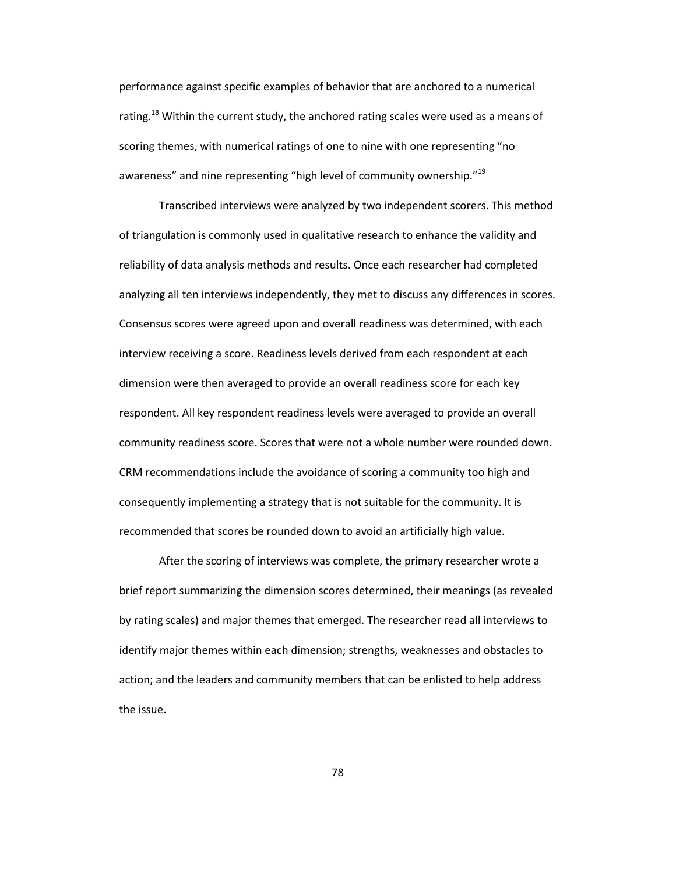performance against specific examples of behavior that are anchored to a numerical rating.<sup>18</sup> Within the current study, the anchored rating scales were used as a means of scoring themes, with numerical ratings of one to nine with one representing "no awareness" and nine representing "high level of community ownership."<sup>19</sup>

Transcribed interviews were analyzed by two independent scorers. This method of triangulation is commonly used in qualitative research to enhance the validity and reliability of data analysis methods and results. Once each researcher had completed analyzing all ten interviews independently, they met to discuss any differences in scores. Consensus scores were agreed upon and overall readiness was determined, with each interview receiving a score. Readiness levels derived from each respondent at each dimension were then averaged to provide an overall readiness score for each key respondent. All key respondent readiness levels were averaged to provide an overall community readiness score. Scores that were not a whole number were rounded down. CRM recommendations include the avoidance of scoring a community too high and consequently implementing a strategy that is not suitable for the community. It is recommended that scores be rounded down to avoid an artificially high value.

After the scoring of interviews was complete, the primary researcher wrote a brief report summarizing the dimension scores determined, their meanings (as revealed by rating scales) and major themes that emerged. The researcher read all interviews to identify major themes within each dimension; strengths, weaknesses and obstacles to action; and the leaders and community members that can be enlisted to help address the issue.

78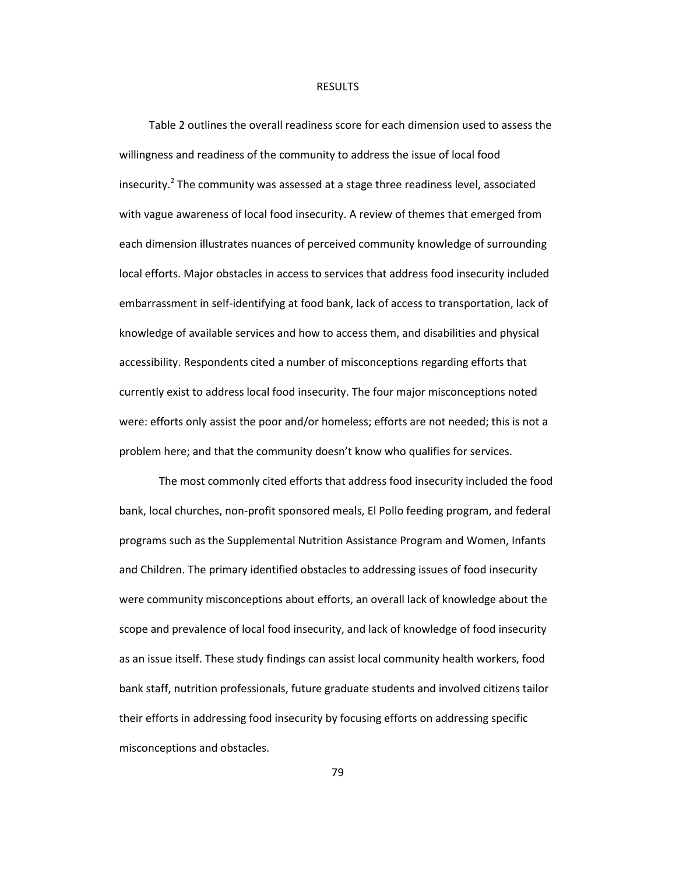#### RESULTS

Table 2 outlines the overall readiness score for each dimension used to assess the willingness and readiness of the community to address the issue of local food insecurity.<sup>2</sup> The community was assessed at a stage three readiness level, associated with vague awareness of local food insecurity. A review of themes that emerged from each dimension illustrates nuances of perceived community knowledge of surrounding local efforts. Major obstacles in access to services that address food insecurity included embarrassment in self-identifying at food bank, lack of access to transportation, lack of knowledge of available services and how to access them, and disabilities and physical accessibility. Respondents cited a number of misconceptions regarding efforts that currently exist to address local food insecurity. The four major misconceptions noted were: efforts only assist the poor and/or homeless; efforts are not needed; this is not a problem here; and that the community doesn't know who qualifies for services.

The most commonly cited efforts that address food insecurity included the food bank, local churches, non-profit sponsored meals, El Pollo feeding program, and federal programs such as the Supplemental Nutrition Assistance Program and Women, Infants and Children. The primary identified obstacles to addressing issues of food insecurity were community misconceptions about efforts, an overall lack of knowledge about the scope and prevalence of local food insecurity, and lack of knowledge of food insecurity as an issue itself. These study findings can assist local community health workers, food bank staff, nutrition professionals, future graduate students and involved citizens tailor their efforts in addressing food insecurity by focusing efforts on addressing specific misconceptions and obstacles.

79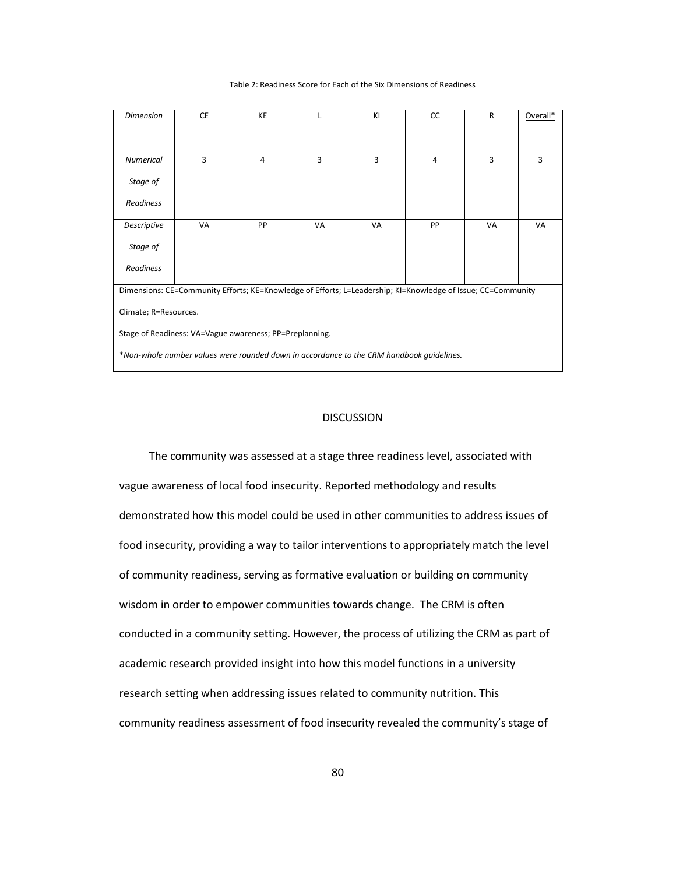Table 2: Readiness Score for Each of the Six Dimensions of Readiness

| <b>Dimension</b>                                                                                             | <b>CE</b> | KE |                | KI | cc | R  | Overall* |
|--------------------------------------------------------------------------------------------------------------|-----------|----|----------------|----|----|----|----------|
|                                                                                                              |           |    |                |    |    |    |          |
| Numerical                                                                                                    | 3         | 4  | $\overline{3}$ | 3  | 4  | 3  | 3        |
| Stage of                                                                                                     |           |    |                |    |    |    |          |
| Readiness                                                                                                    |           |    |                |    |    |    |          |
| Descriptive                                                                                                  | <b>VA</b> | PP | VA             | VA | PP | VA | VA       |
| Stage of                                                                                                     |           |    |                |    |    |    |          |
| Readiness                                                                                                    |           |    |                |    |    |    |          |
| Dimensions: CE=Community Efforts; KE=Knowledge of Efforts; L=Leadership; KI=Knowledge of Issue; CC=Community |           |    |                |    |    |    |          |
| Climate; R=Resources.                                                                                        |           |    |                |    |    |    |          |
| Stage of Readiness: VA=Vague awareness; PP=Preplanning.                                                      |           |    |                |    |    |    |          |
| *Non-whole number values were rounded down in accordance to the CRM handbook guidelines.                     |           |    |                |    |    |    |          |

# DISCUSSION

The community was assessed at a stage three readiness level, associated with vague awareness of local food insecurity. Reported methodology and results demonstrated how this model could be used in other communities to address issues of food insecurity, providing a way to tailor interventions to appropriately match the level of community readiness, serving as formative evaluation or building on community wisdom in order to empower communities towards change. The CRM is often conducted in a community setting. However, the process of utilizing the CRM as part of academic research provided insight into how this model functions in a university research setting when addressing issues related to community nutrition. This community readiness assessment of food insecurity revealed the community's stage of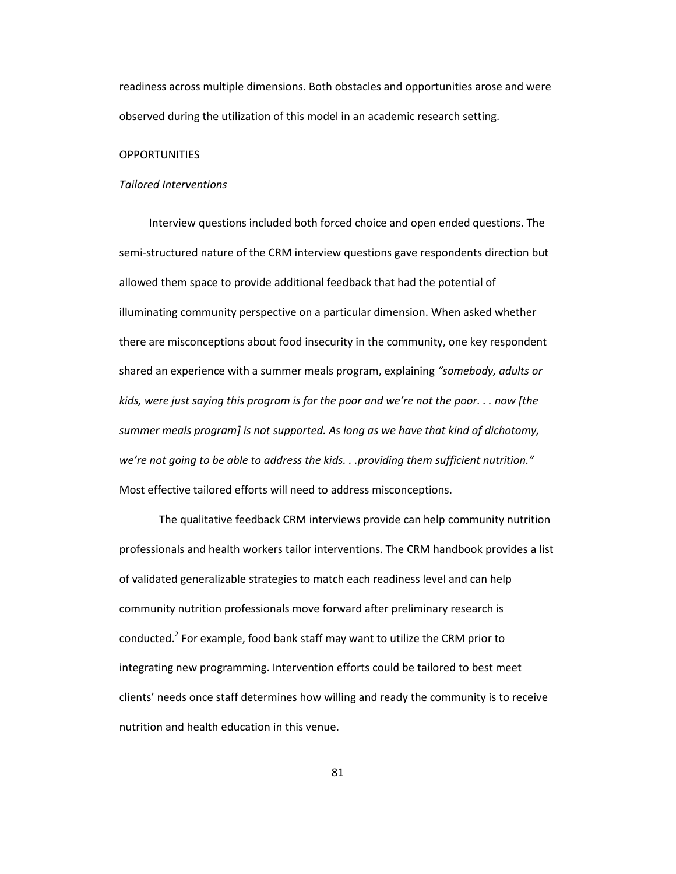readiness across multiple dimensions. Both obstacles and opportunities arose and were observed during the utilization of this model in an academic research setting.

### **OPPORTUNITIES**

### *Tailored Interventions*

Interview questions included both forced choice and open ended questions. The semi-structured nature of the CRM interview questions gave respondents direction but allowed them space to provide additional feedback that had the potential of illuminating community perspective on a particular dimension. When asked whether there are misconceptions about food insecurity in the community, one key respondent shared an experience with a summer meals program, explaining *"somebody, adults or kids, were just saying this program is for the poor and we're not the poor. . . now [the summer meals program] is not supported. As long as we have that kind of dichotomy, we're not going to be able to address the kids. . .providing them sufficient nutrition."* Most effective tailored efforts will need to address misconceptions.

The qualitative feedback CRM interviews provide can help community nutrition professionals and health workers tailor interventions. The CRM handbook provides a list of validated generalizable strategies to match each readiness level and can help community nutrition professionals move forward after preliminary research is conducted.<sup>2</sup> For example, food bank staff may want to utilize the CRM prior to integrating new programming. Intervention efforts could be tailored to best meet clients' needs once staff determines how willing and ready the community is to receive nutrition and health education in this venue.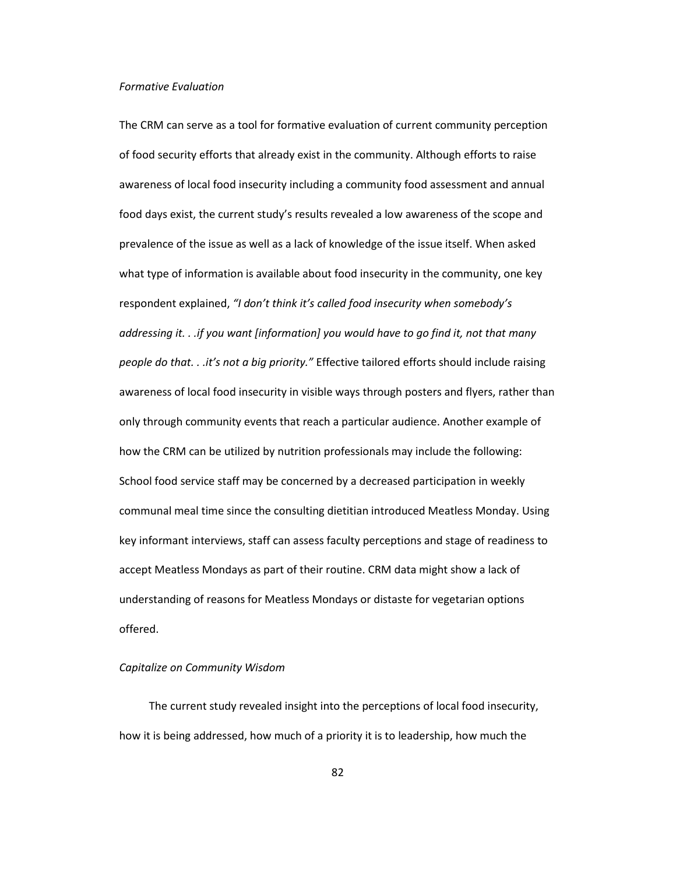### *Formative Evaluation*

The CRM can serve as a tool for formative evaluation of current community perception of food security efforts that already exist in the community. Although efforts to raise awareness of local food insecurity including a community food assessment and annual food days exist, the current study's results revealed a low awareness of the scope and prevalence of the issue as well as a lack of knowledge of the issue itself. When asked what type of information is available about food insecurity in the community, one key respondent explained, *"I don't think it's called food insecurity when somebody's addressing it. . .if you want [information] you would have to go find it, not that many people do that. . .it's not a big priority."* Effective tailored efforts should include raising awareness of local food insecurity in visible ways through posters and flyers, rather than only through community events that reach a particular audience. Another example of how the CRM can be utilized by nutrition professionals may include the following: School food service staff may be concerned by a decreased participation in weekly communal meal time since the consulting dietitian introduced Meatless Monday. Using key informant interviews, staff can assess faculty perceptions and stage of readiness to accept Meatless Mondays as part of their routine. CRM data might show a lack of understanding of reasons for Meatless Mondays or distaste for vegetarian options offered.

# *Capitalize on Community Wisdom*

The current study revealed insight into the perceptions of local food insecurity, how it is being addressed, how much of a priority it is to leadership, how much the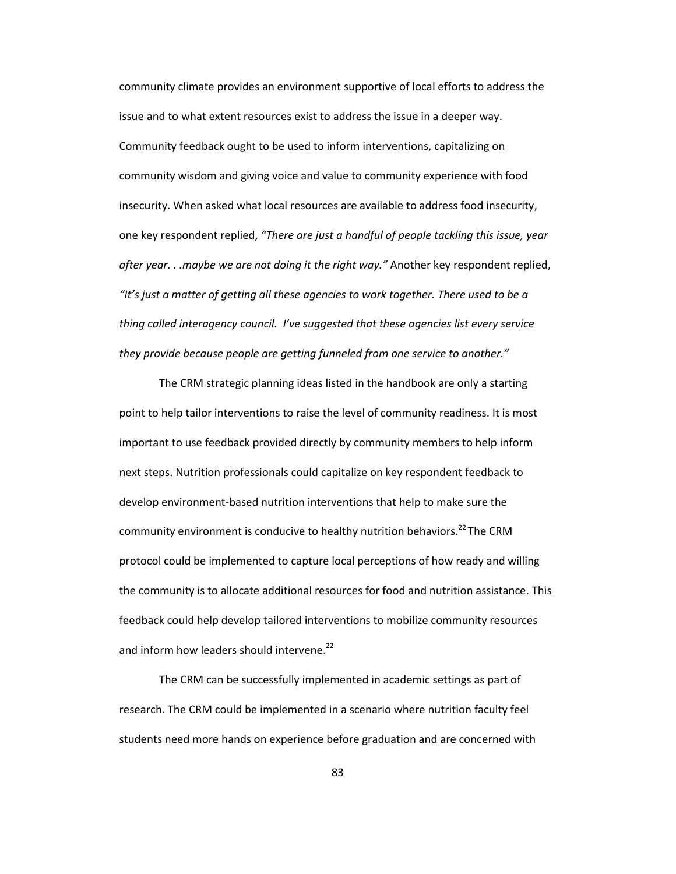community climate provides an environment supportive of local efforts to address the issue and to what extent resources exist to address the issue in a deeper way. Community feedback ought to be used to inform interventions, capitalizing on community wisdom and giving voice and value to community experience with food insecurity. When asked what local resources are available to address food insecurity, one key respondent replied, *"There are just a handful of people tackling this issue, year after year. . .maybe we are not doing it the right way."* Another key respondent replied, *"It's just a matter of getting all these agencies to work together. There used to be a thing called interagency council. I've suggested that these agencies list every service they provide because people are getting funneled from one service to another."*

The CRM strategic planning ideas listed in the handbook are only a starting point to help tailor interventions to raise the level of community readiness. It is most important to use feedback provided directly by community members to help inform next steps. Nutrition professionals could capitalize on key respondent feedback to develop environment-based nutrition interventions that help to make sure the community environment is conducive to healthy nutrition behaviors.<sup>22</sup> The CRM protocol could be implemented to capture local perceptions of how ready and willing the community is to allocate additional resources for food and nutrition assistance. This feedback could help develop tailored interventions to mobilize community resources and inform how leaders should intervene.<sup>22</sup>

The CRM can be successfully implemented in academic settings as part of research. The CRM could be implemented in a scenario where nutrition faculty feel students need more hands on experience before graduation and are concerned with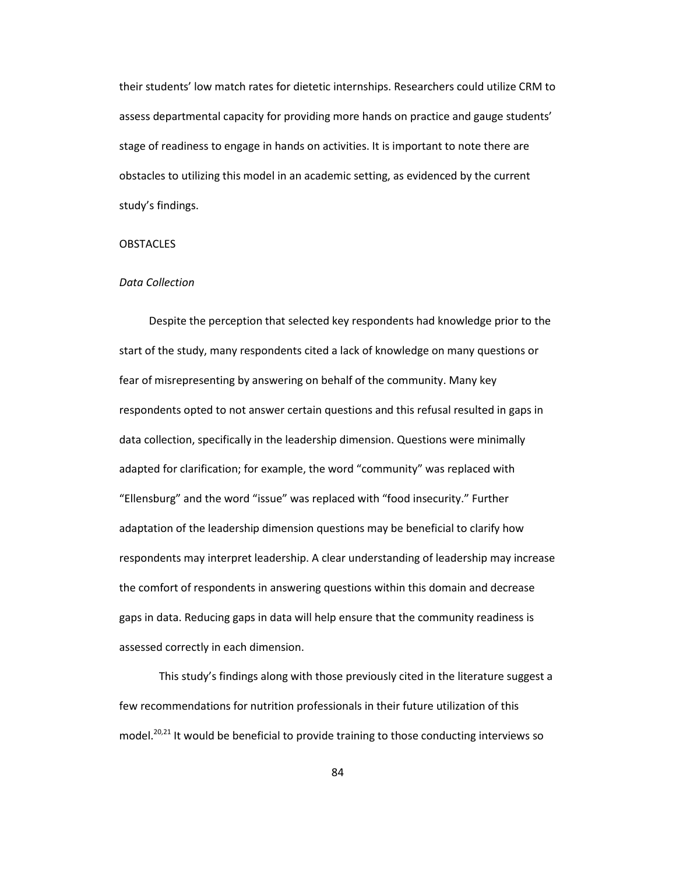their students' low match rates for dietetic internships. Researchers could utilize CRM to assess departmental capacity for providing more hands on practice and gauge students' stage of readiness to engage in hands on activities. It is important to note there are obstacles to utilizing this model in an academic setting, as evidenced by the current study's findings.

## **OBSTACLES**

#### *Data Collection*

Despite the perception that selected key respondents had knowledge prior to the start of the study, many respondents cited a lack of knowledge on many questions or fear of misrepresenting by answering on behalf of the community. Many key respondents opted to not answer certain questions and this refusal resulted in gaps in data collection, specifically in the leadership dimension. Questions were minimally adapted for clarification; for example, the word "community" was replaced with "Ellensburg" and the word "issue" was replaced with "food insecurity." Further adaptation of the leadership dimension questions may be beneficial to clarify how respondents may interpret leadership. A clear understanding of leadership may increase the comfort of respondents in answering questions within this domain and decrease gaps in data. Reducing gaps in data will help ensure that the community readiness is assessed correctly in each dimension.

This study's findings along with those previously cited in the literature suggest a few recommendations for nutrition professionals in their future utilization of this model.<sup>20,21</sup> It would be beneficial to provide training to those conducting interviews so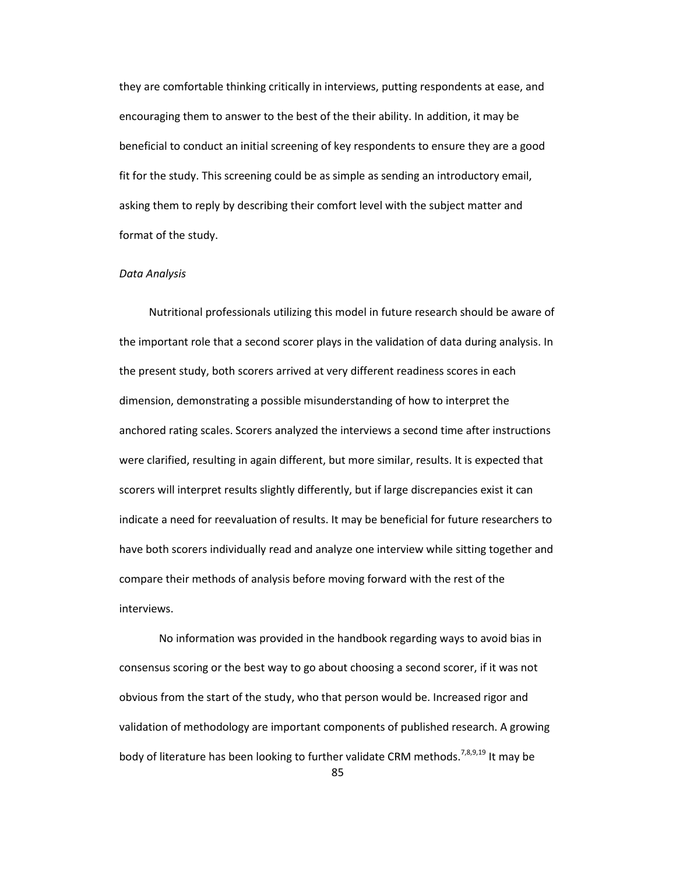they are comfortable thinking critically in interviews, putting respondents at ease, and encouraging them to answer to the best of the their ability. In addition, it may be beneficial to conduct an initial screening of key respondents to ensure they are a good fit for the study. This screening could be as simple as sending an introductory email, asking them to reply by describing their comfort level with the subject matter and format of the study.

## *Data Analysis*

Nutritional professionals utilizing this model in future research should be aware of the important role that a second scorer plays in the validation of data during analysis. In the present study, both scorers arrived at very different readiness scores in each dimension, demonstrating a possible misunderstanding of how to interpret the anchored rating scales. Scorers analyzed the interviews a second time after instructions were clarified, resulting in again different, but more similar, results. It is expected that scorers will interpret results slightly differently, but if large discrepancies exist it can indicate a need for reevaluation of results. It may be beneficial for future researchers to have both scorers individually read and analyze one interview while sitting together and compare their methods of analysis before moving forward with the rest of the interviews.

No information was provided in the handbook regarding ways to avoid bias in consensus scoring or the best way to go about choosing a second scorer, if it was not obvious from the start of the study, who that person would be. Increased rigor and validation of methodology are important components of published research. A growing body of literature has been looking to further validate CRM methods.<sup>7,8,9,19</sup> It may be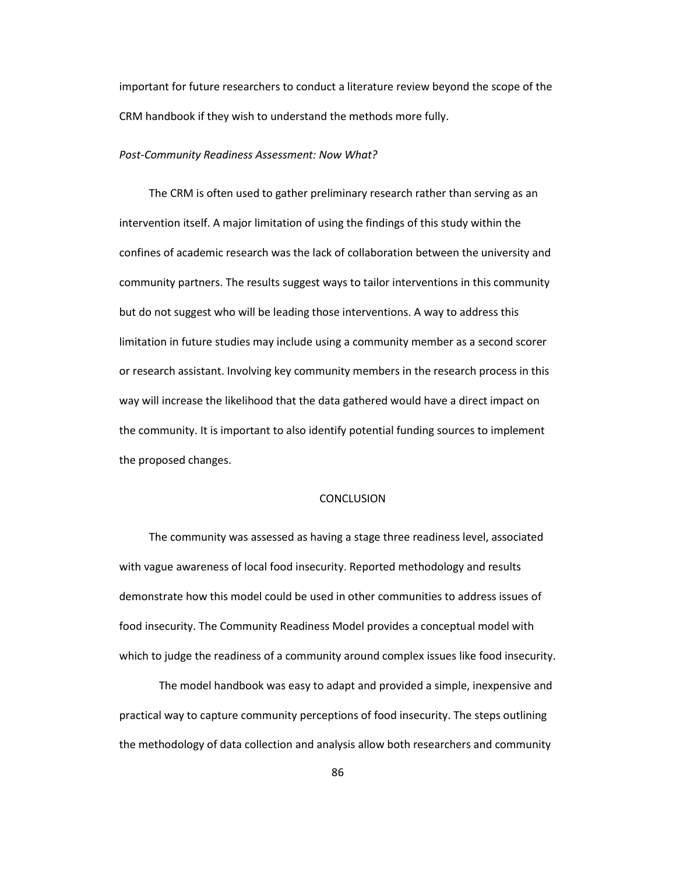important for future researchers to conduct a literature review beyond the scope of the CRM handbook if they wish to understand the methods more fully.

### *Post-Community Readiness Assessment: Now What?*

The CRM is often used to gather preliminary research rather than serving as an intervention itself. A major limitation of using the findings of this study within the confines of academic research was the lack of collaboration between the university and community partners. The results suggest ways to tailor interventions in this community but do not suggest who will be leading those interventions. A way to address this limitation in future studies may include using a community member as a second scorer or research assistant. Involving key community members in the research process in this way will increase the likelihood that the data gathered would have a direct impact on the community. It is important to also identify potential funding sources to implement the proposed changes.

# **CONCLUSION**

The community was assessed as having a stage three readiness level, associated with vague awareness of local food insecurity. Reported methodology and results demonstrate how this model could be used in other communities to address issues of food insecurity. The Community Readiness Model provides a conceptual model with which to judge the readiness of a community around complex issues like food insecurity.

The model handbook was easy to adapt and provided a simple, inexpensive and practical way to capture community perceptions of food insecurity. The steps outlining the methodology of data collection and analysis allow both researchers and community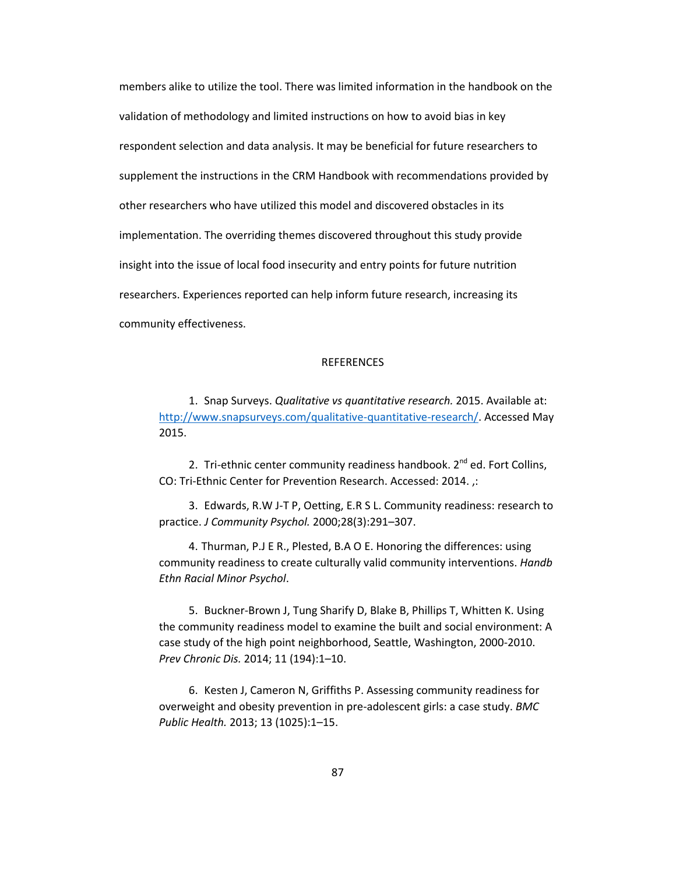members alike to utilize the tool. There was limited information in the handbook on the validation of methodology and limited instructions on how to avoid bias in key respondent selection and data analysis. It may be beneficial for future researchers to supplement the instructions in the CRM Handbook with recommendations provided by other researchers who have utilized this model and discovered obstacles in its implementation. The overriding themes discovered throughout this study provide insight into the issue of local food insecurity and entry points for future nutrition researchers. Experiences reported can help inform future research, increasing its community effectiveness.

## **REFERENCES**

1. Snap Surveys. *Qualitative vs quantitative research.* 2015. Available at: [http://www.snapsurveys.com/qualitative-quantitative-research/.](http://www.snapsurveys.com/qualitative-quantitative-research/) Accessed May 2015.

2. Tri-ethnic center community readiness handbook.  $2^{nd}$  ed. Fort Collins, CO: Tri-Ethnic Center for Prevention Research. Accessed: 2014. ,:

3. Edwards, R.W J-T P, Oetting, E.R S L. Community readiness: research to practice. *J Community Psychol.* 2000;28(3):291–307.

4. Thurman, P.J E R., Plested, B.A O E. Honoring the differences: using community readiness to create culturally valid community interventions. *Handb Ethn Racial Minor Psychol*.

5. Buckner-Brown J, Tung Sharify D, Blake B, Phillips T, Whitten K. Using the community readiness model to examine the built and social environment: A case study of the high point neighborhood, Seattle, Washington, 2000-2010. *Prev Chronic Dis.* 2014; 11 (194):1–10.

6. Kesten J, Cameron N, Griffiths P. Assessing community readiness for overweight and obesity prevention in pre-adolescent girls: a case study. *BMC Public Health.* 2013; 13 (1025):1–15.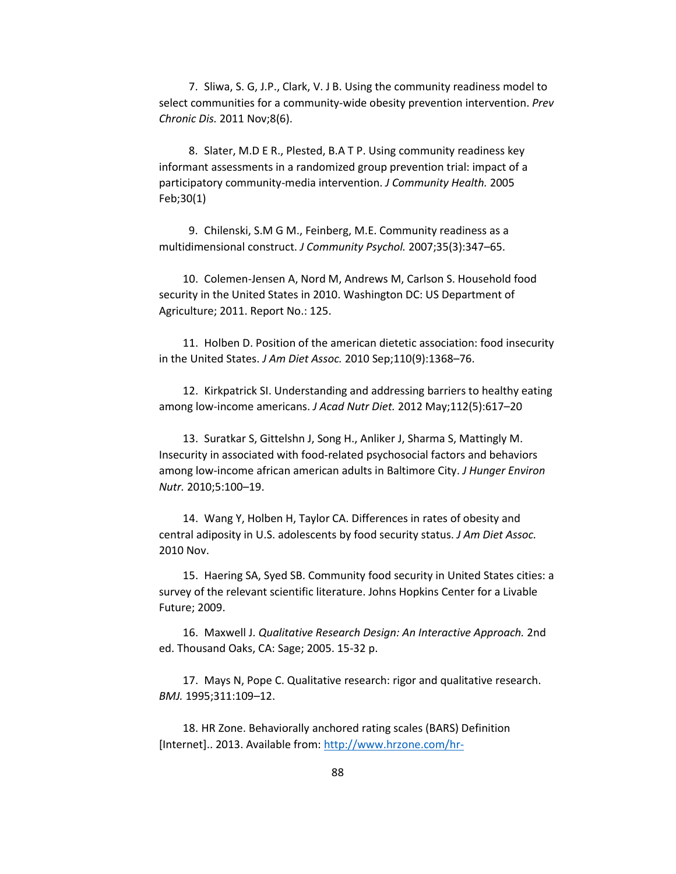7. Sliwa, S. G, J.P., Clark, V. J B. Using the community readiness model to select communities for a community-wide obesity prevention intervention. *Prev Chronic Dis.* 2011 Nov;8(6).

8. Slater, M.D E R., Plested, B.A T P. Using community readiness key informant assessments in a randomized group prevention trial: impact of a participatory community-media intervention. *J Community Health.* 2005 Feb;30(1)

9. Chilenski, S.M G M., Feinberg, M.E. Community readiness as a multidimensional construct. *J Community Psychol.* 2007;35(3):347–65.

10. Colemen-Jensen A, Nord M, Andrews M, Carlson S. Household food security in the United States in 2010. Washington DC: US Department of Agriculture; 2011. Report No.: 125.

11. Holben D. Position of the american dietetic association: food insecurity in the United States. *J Am Diet Assoc.* 2010 Sep;110(9):1368–76.

12. Kirkpatrick SI. Understanding and addressing barriers to healthy eating among low-income americans. *J Acad Nutr Diet.* 2012 May;112(5):617–20

13. Suratkar S, Gittelshn J, Song H., Anliker J, Sharma S, Mattingly M. Insecurity in associated with food-related psychosocial factors and behaviors among low-income african american adults in Baltimore City. *J Hunger Environ Nutr.* 2010;5:100–19.

14. Wang Y, Holben H, Taylor CA. Differences in rates of obesity and central adiposity in U.S. adolescents by food security status. *J Am Diet Assoc.* 2010 Nov.

15. Haering SA, Syed SB. Community food security in United States cities: a survey of the relevant scientific literature. Johns Hopkins Center for a Livable Future; 2009.

16. Maxwell J. *Qualitative Research Design: An Interactive Approach.* 2nd ed. Thousand Oaks, CA: Sage; 2005. 15-32 p.

17. Mays N, Pope C. Qualitative research: rigor and qualitative research. *BMJ.* 1995;311:109–12.

18. HR Zone. Behaviorally anchored rating scales (BARS) Definition [Internet].. 2013. Available from: [http://www.hrzone.com/hr-](http://www.hrzone.com/hr-glossary/behaviourally-anchored-rating-scale-definition)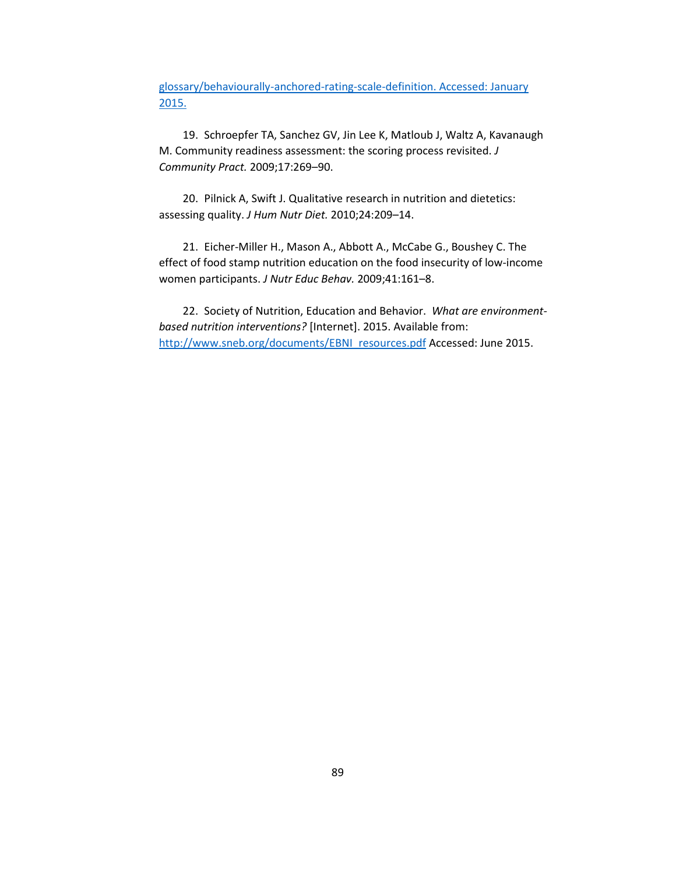[glossary/behaviourally-anchored-rating-scale-definition.](http://www.hrzone.com/hr-glossary/behaviourally-anchored-rating-scale-definition) Accessed: January 2015.

19. Schroepfer TA, Sanchez GV, Jin Lee K, Matloub J, Waltz A, Kavanaugh M. Community readiness assessment: the scoring process revisited. *J Community Pract.* 2009;17:269–90.

20. Pilnick A, Swift J. Qualitative research in nutrition and dietetics: assessing quality. *J Hum Nutr Diet.* 2010;24:209–14.

21. Eicher-Miller H., Mason A., Abbott A., McCabe G., Boushey C. The effect of food stamp nutrition education on the food insecurity of low-income women participants. *J Nutr Educ Behav.* 2009;41:161–8.

22. Society of Nutrition, Education and Behavior. *What are environmentbased nutrition interventions?* [Internet]. 2015. Available from: [http://www.sneb.org/documents/EBNI\\_resources.pdf](http://www.sneb.org/documents/EBNI_resources.pdf) Accessed: June 2015.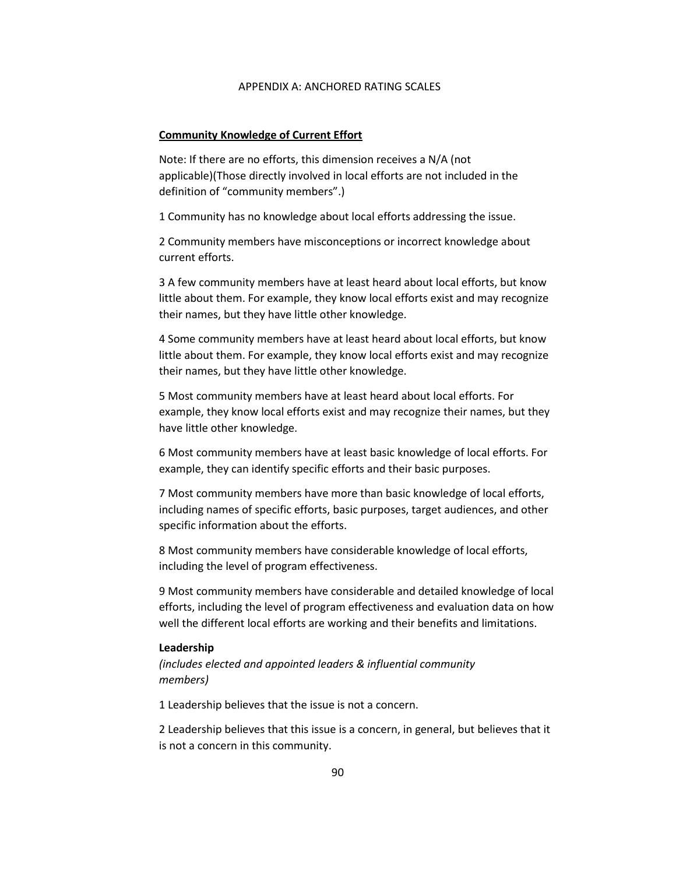#### APPENDIX A: ANCHORED RATING SCALES

## **Community Knowledge of Current Effort**

Note: If there are no efforts, this dimension receives a N/A (not applicable)(Those directly involved in local efforts are not included in the definition of "community members".)

1 Community has no knowledge about local efforts addressing the issue.

2 Community members have misconceptions or incorrect knowledge about current efforts.

3 A few community members have at least heard about local efforts, but know little about them. For example, they know local efforts exist and may recognize their names, but they have little other knowledge.

4 Some community members have at least heard about local efforts, but know little about them. For example, they know local efforts exist and may recognize their names, but they have little other knowledge.

5 Most community members have at least heard about local efforts. For example, they know local efforts exist and may recognize their names, but they have little other knowledge.

6 Most community members have at least basic knowledge of local efforts. For example, they can identify specific efforts and their basic purposes.

7 Most community members have more than basic knowledge of local efforts, including names of specific efforts, basic purposes, target audiences, and other specific information about the efforts.

8 Most community members have considerable knowledge of local efforts, including the level of program effectiveness.

9 Most community members have considerable and detailed knowledge of local efforts, including the level of program effectiveness and evaluation data on how well the different local efforts are working and their benefits and limitations.

## **Leadership**

*(includes elected and appointed leaders & influential community members)*

1 Leadership believes that the issue is not a concern.

2 Leadership believes that this issue is a concern, in general, but believes that it is not a concern in this community.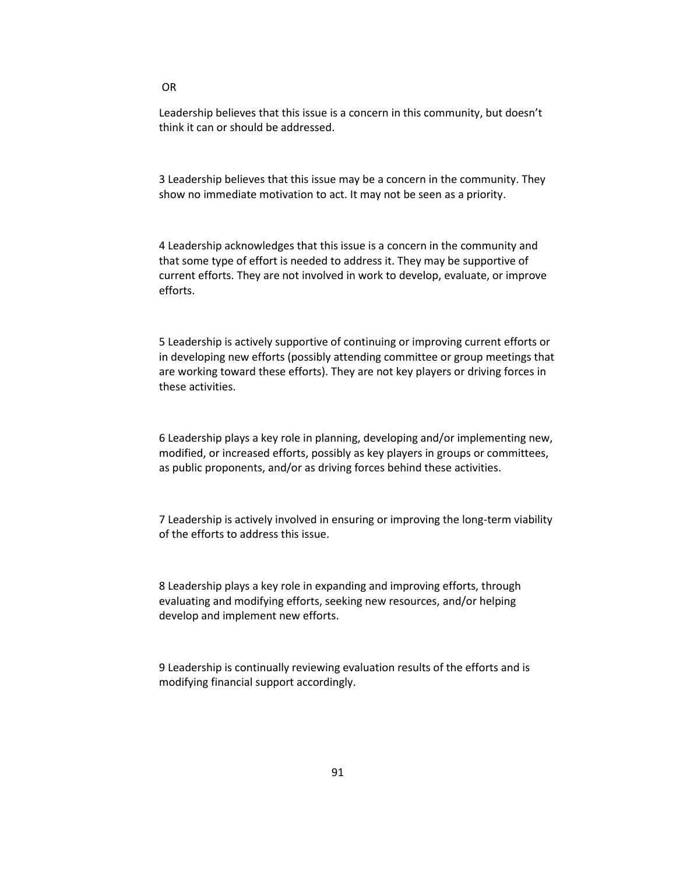Leadership believes that this issue is a concern in this community, but doesn't think it can or should be addressed.

3 Leadership believes that this issue may be a concern in the community. They show no immediate motivation to act. It may not be seen as a priority.

4 Leadership acknowledges that this issue is a concern in the community and that some type of effort is needed to address it. They may be supportive of current efforts. They are not involved in work to develop, evaluate, or improve efforts.

5 Leadership is actively supportive of continuing or improving current efforts or in developing new efforts (possibly attending committee or group meetings that are working toward these efforts). They are not key players or driving forces in these activities.

6 Leadership plays a key role in planning, developing and/or implementing new, modified, or increased efforts, possibly as key players in groups or committees, as public proponents, and/or as driving forces behind these activities.

7 Leadership is actively involved in ensuring or improving the long-term viability of the efforts to address this issue.

8 Leadership plays a key role in expanding and improving efforts, through evaluating and modifying efforts, seeking new resources, and/or helping develop and implement new efforts.

9 Leadership is continually reviewing evaluation results of the efforts and is modifying financial support accordingly.

OR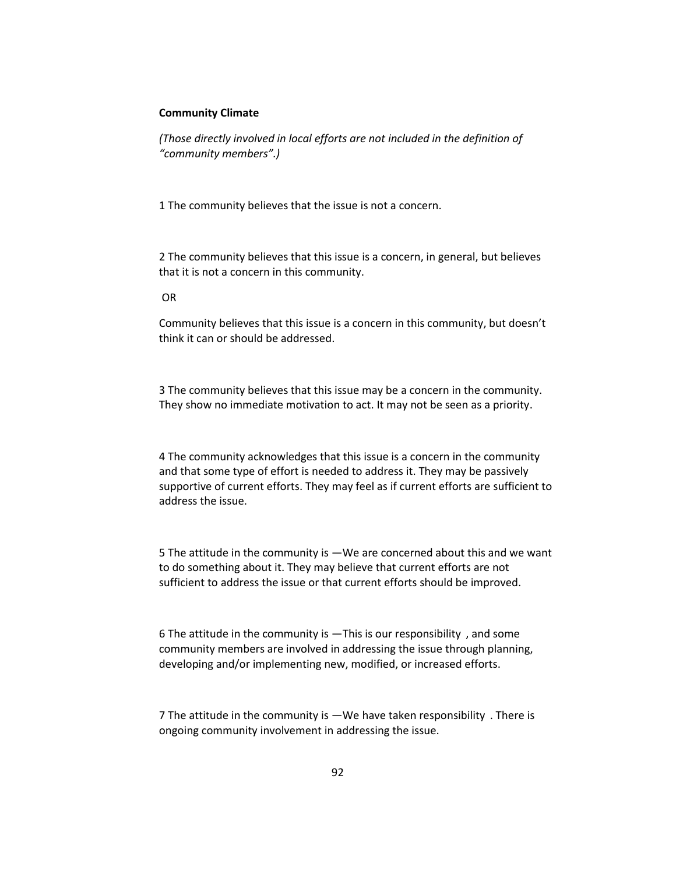### **Community Climate**

*(Those directly involved in local efforts are not included in the definition of "community members".)*

1 The community believes that the issue is not a concern.

2 The community believes that this issue is a concern, in general, but believes that it is not a concern in this community.

## OR

Community believes that this issue is a concern in this community, but doesn't think it can or should be addressed.

3 The community believes that this issue may be a concern in the community. They show no immediate motivation to act. It may not be seen as a priority.

4 The community acknowledges that this issue is a concern in the community and that some type of effort is needed to address it. They may be passively supportive of current efforts. They may feel as if current efforts are sufficient to address the issue.

5 The attitude in the community is —We are concerned about this and we want to do something about it. They may believe that current efforts are not sufficient to address the issue or that current efforts should be improved.

6 The attitude in the community is  $-$ This is our responsibility, and some community members are involved in addressing the issue through planning, developing and/or implementing new, modified, or increased efforts.

7 The attitude in the community is —We have taken responsibility. There is ongoing community involvement in addressing the issue.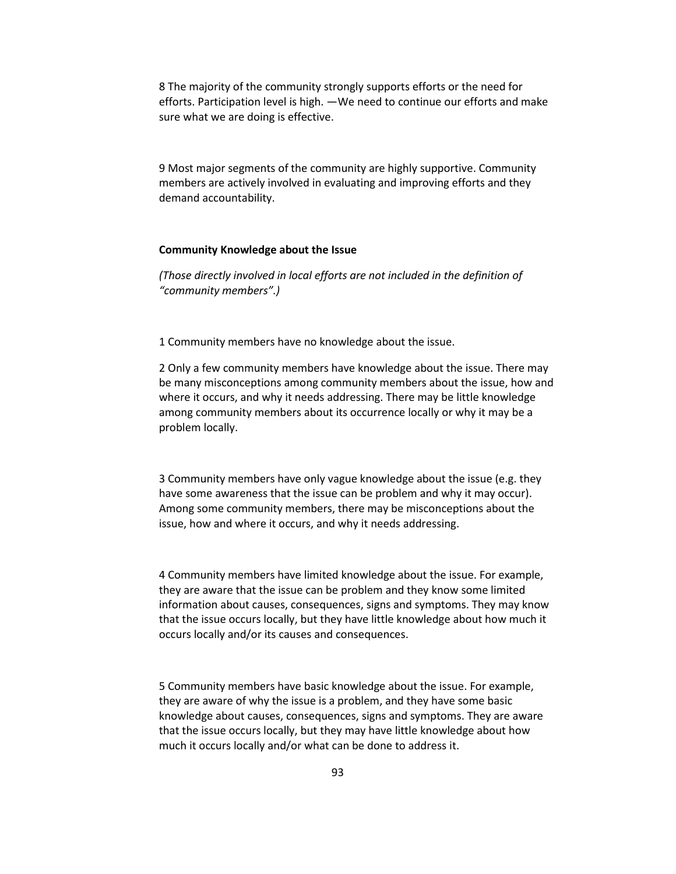8 The majority of the community strongly supports efforts or the need for efforts. Participation level is high. ―We need to continue our efforts and make sure what we are doing is effective.

9 Most major segments of the community are highly supportive. Community members are actively involved in evaluating and improving efforts and they demand accountability.

### **Community Knowledge about the Issue**

*(Those directly involved in local efforts are not included in the definition of "community members".)*

1 Community members have no knowledge about the issue.

2 Only a few community members have knowledge about the issue. There may be many misconceptions among community members about the issue, how and where it occurs, and why it needs addressing. There may be little knowledge among community members about its occurrence locally or why it may be a problem locally.

3 Community members have only vague knowledge about the issue (e.g. they have some awareness that the issue can be problem and why it may occur). Among some community members, there may be misconceptions about the issue, how and where it occurs, and why it needs addressing.

4 Community members have limited knowledge about the issue. For example, they are aware that the issue can be problem and they know some limited information about causes, consequences, signs and symptoms. They may know that the issue occurs locally, but they have little knowledge about how much it occurs locally and/or its causes and consequences.

5 Community members have basic knowledge about the issue. For example, they are aware of why the issue is a problem, and they have some basic knowledge about causes, consequences, signs and symptoms. They are aware that the issue occurs locally, but they may have little knowledge about how much it occurs locally and/or what can be done to address it.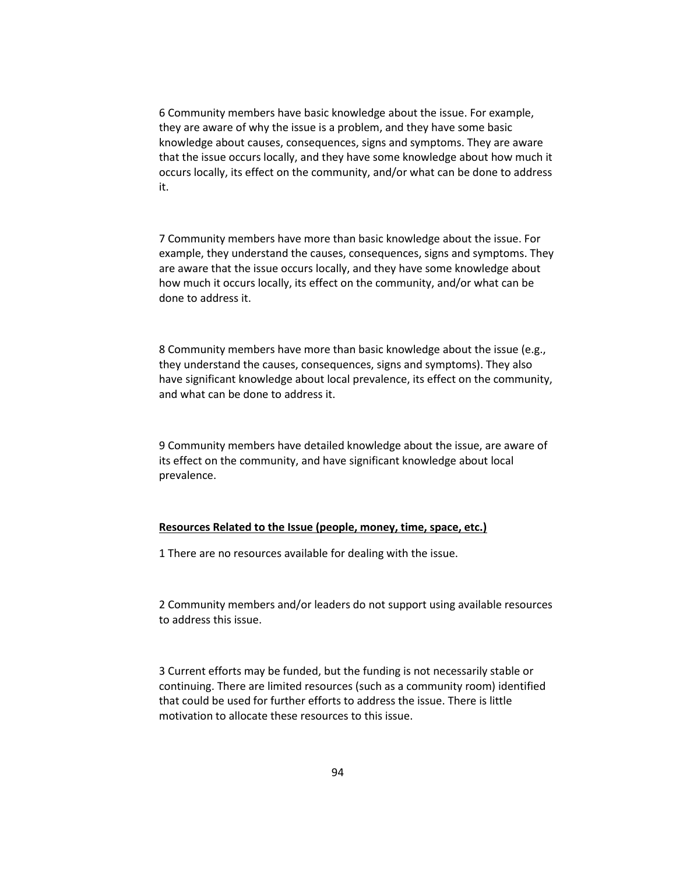6 Community members have basic knowledge about the issue. For example, they are aware of why the issue is a problem, and they have some basic knowledge about causes, consequences, signs and symptoms. They are aware that the issue occurs locally, and they have some knowledge about how much it occurs locally, its effect on the community, and/or what can be done to address it.

7 Community members have more than basic knowledge about the issue. For example, they understand the causes, consequences, signs and symptoms. They are aware that the issue occurs locally, and they have some knowledge about how much it occurs locally, its effect on the community, and/or what can be done to address it.

8 Community members have more than basic knowledge about the issue (e.g., they understand the causes, consequences, signs and symptoms). They also have significant knowledge about local prevalence, its effect on the community, and what can be done to address it.

9 Community members have detailed knowledge about the issue, are aware of its effect on the community, and have significant knowledge about local prevalence.

# **Resources Related to the Issue (people, money, time, space, etc.)**

1 There are no resources available for dealing with the issue.

2 Community members and/or leaders do not support using available resources to address this issue.

3 Current efforts may be funded, but the funding is not necessarily stable or continuing. There are limited resources (such as a community room) identified that could be used for further efforts to address the issue. There is little motivation to allocate these resources to this issue.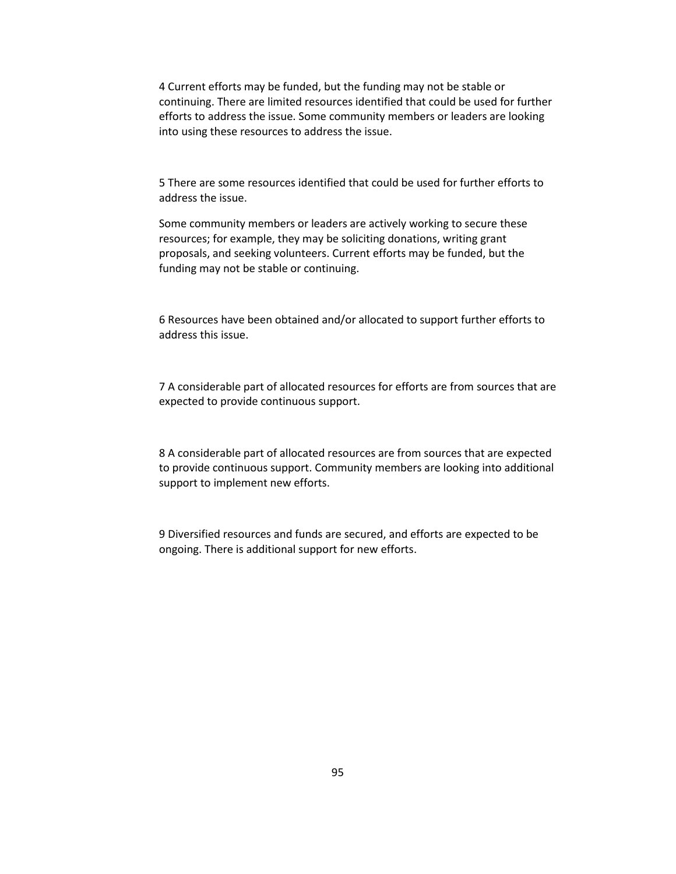4 Current efforts may be funded, but the funding may not be stable or continuing. There are limited resources identified that could be used for further efforts to address the issue. Some community members or leaders are looking into using these resources to address the issue.

5 There are some resources identified that could be used for further efforts to address the issue.

Some community members or leaders are actively working to secure these resources; for example, they may be soliciting donations, writing grant proposals, and seeking volunteers. Current efforts may be funded, but the funding may not be stable or continuing.

6 Resources have been obtained and/or allocated to support further efforts to address this issue.

7 A considerable part of allocated resources for efforts are from sources that are expected to provide continuous support.

8 A considerable part of allocated resources are from sources that are expected to provide continuous support. Community members are looking into additional support to implement new efforts.

9 Diversified resources and funds are secured, and efforts are expected to be ongoing. There is additional support for new efforts.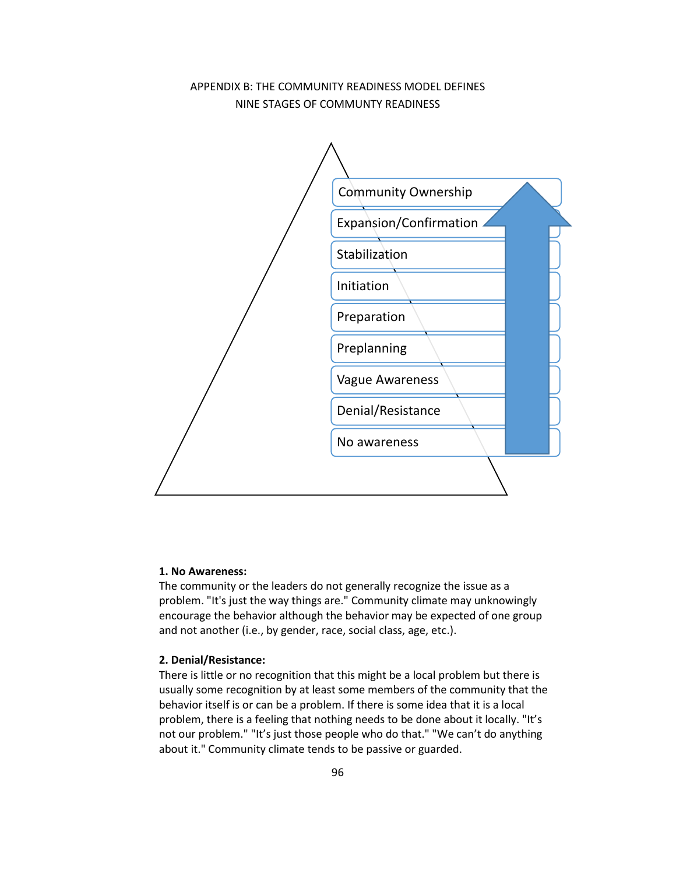# APPENDIX B: THE COMMUNITY READINESS MODEL DEFINES NINE STAGES OF COMMUNTY READINESS



# **1. No Awareness:**

The community or the leaders do not generally recognize the issue as a problem. "It's just the way things are." Community climate may unknowingly encourage the behavior although the behavior may be expected of one group and not another (i.e., by gender, race, social class, age, etc.).

## **2. Denial/Resistance:**

There is little or no recognition that this might be a local problem but there is usually some recognition by at least some members of the community that the behavior itself is or can be a problem. If there is some idea that it is a local problem, there is a feeling that nothing needs to be done about it locally. "It's not our problem." "It's just those people who do that." "We can't do anything about it." Community climate tends to be passive or guarded.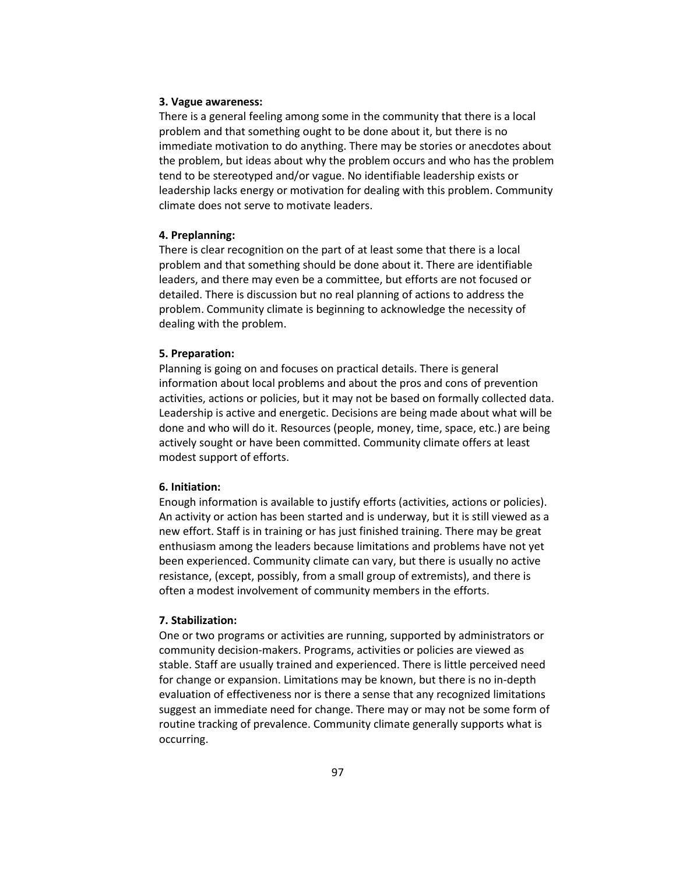# **3. Vague awareness:**

There is a general feeling among some in the community that there is a local problem and that something ought to be done about it, but there is no immediate motivation to do anything. There may be stories or anecdotes about the problem, but ideas about why the problem occurs and who has the problem tend to be stereotyped and/or vague. No identifiable leadership exists or leadership lacks energy or motivation for dealing with this problem. Community climate does not serve to motivate leaders.

## **4. Preplanning:**

There is clear recognition on the part of at least some that there is a local problem and that something should be done about it. There are identifiable leaders, and there may even be a committee, but efforts are not focused or detailed. There is discussion but no real planning of actions to address the problem. Community climate is beginning to acknowledge the necessity of dealing with the problem.

### **5. Preparation:**

Planning is going on and focuses on practical details. There is general information about local problems and about the pros and cons of prevention activities, actions or policies, but it may not be based on formally collected data. Leadership is active and energetic. Decisions are being made about what will be done and who will do it. Resources (people, money, time, space, etc.) are being actively sought or have been committed. Community climate offers at least modest support of efforts.

## **6. Initiation:**

Enough information is available to justify efforts (activities, actions or policies). An activity or action has been started and is underway, but it is still viewed as a new effort. Staff is in training or has just finished training. There may be great enthusiasm among the leaders because limitations and problems have not yet been experienced. Community climate can vary, but there is usually no active resistance, (except, possibly, from a small group of extremists), and there is often a modest involvement of community members in the efforts.

## **7. Stabilization:**

One or two programs or activities are running, supported by administrators or community decision-makers. Programs, activities or policies are viewed as stable. Staff are usually trained and experienced. There is little perceived need for change or expansion. Limitations may be known, but there is no in-depth evaluation of effectiveness nor is there a sense that any recognized limitations suggest an immediate need for change. There may or may not be some form of routine tracking of prevalence. Community climate generally supports what is occurring.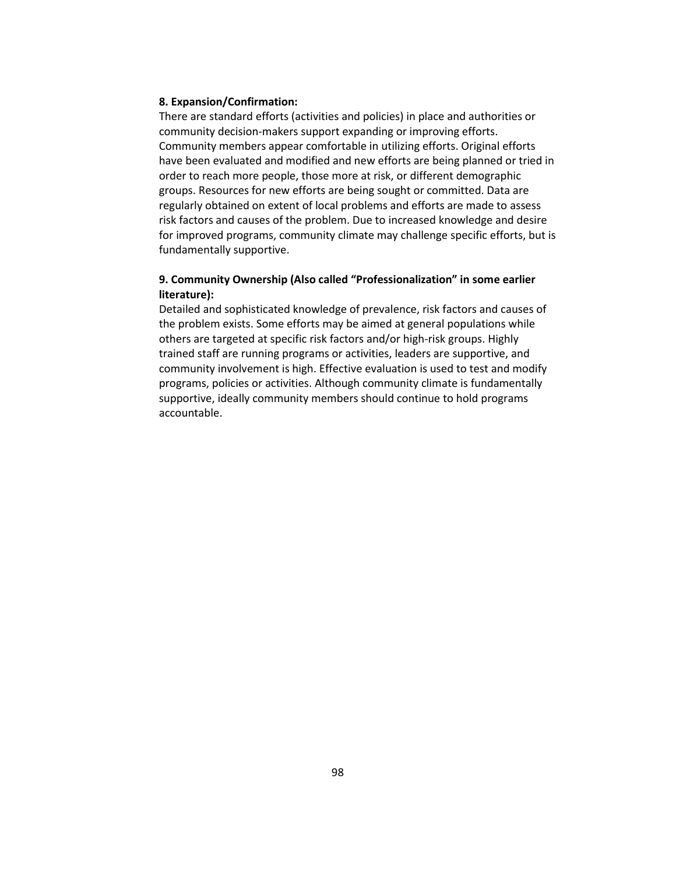# **8. Expansion/Confirmation:**

There are standard efforts (activities and policies) in place and authorities or community decision-makers support expanding or improving efforts. Community members appear comfortable in utilizing efforts. Original efforts have been evaluated and modified and new efforts are being planned or tried in order to reach more people, those more at risk, or different demographic groups. Resources for new efforts are being sought or committed. Data are regularly obtained on extent of local problems and efforts are made to assess risk factors and causes of the problem. Due to increased knowledge and desire for improved programs, community climate may challenge specific efforts, but is fundamentally supportive.

# **9. Community Ownership (Also called "Professionalization" in some earlier literature):**

Detailed and sophisticated knowledge of prevalence, risk factors and causes of the problem exists. Some efforts may be aimed at general populations while others are targeted at specific risk factors and/or high-risk groups. Highly trained staff are running programs or activities, leaders are supportive, and community involvement is high. Effective evaluation is used to test and modify programs, policies or activities. Although community climate is fundamentally supportive, ideally community members should continue to hold programs accountable.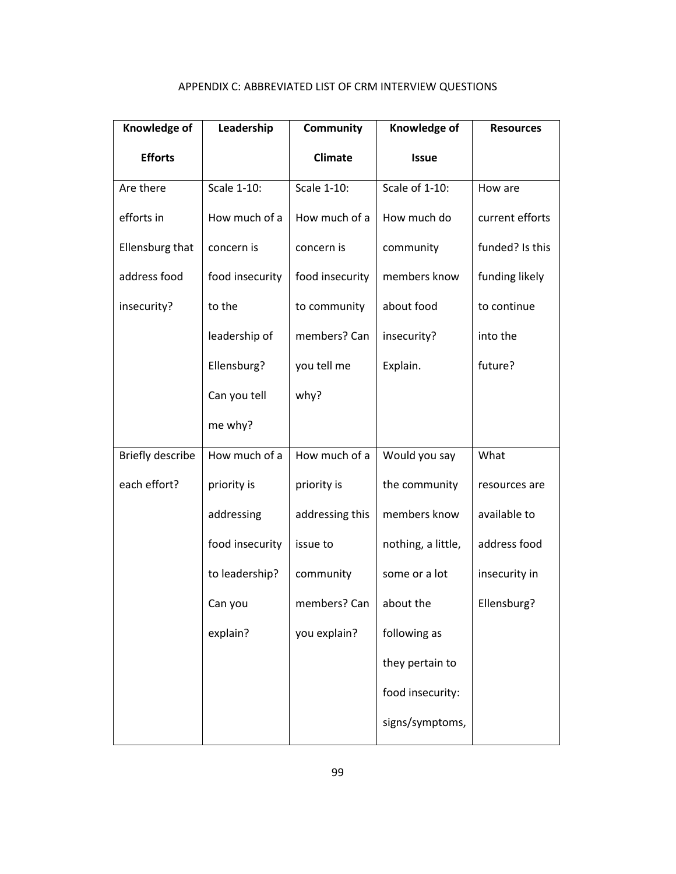| Knowledge of            | Leadership         | <b>Community</b>   | Knowledge of       | <b>Resources</b> |
|-------------------------|--------------------|--------------------|--------------------|------------------|
| <b>Efforts</b>          |                    | Climate            | <b>Issue</b>       |                  |
| Are there               | <b>Scale 1-10:</b> | <b>Scale 1-10:</b> | Scale of 1-10:     | How are          |
| efforts in              | How much of a      | How much of a      | How much do        | current efforts  |
| Ellensburg that         | concern is         | concern is         | community          | funded? Is this  |
| address food            | food insecurity    | food insecurity    | members know       | funding likely   |
| insecurity?             | to the             | to community       | about food         | to continue      |
|                         | leadership of      | members? Can       | insecurity?        | into the         |
|                         | Ellensburg?        | you tell me        | Explain.           | future?          |
|                         | Can you tell       | why?               |                    |                  |
|                         | me why?            |                    |                    |                  |
| <b>Briefly describe</b> | How much of a      | How much of a      | Would you say      | What             |
| each effort?            | priority is        | priority is        | the community      | resources are    |
|                         | addressing         | addressing this    | members know       | available to     |
|                         | food insecurity    | issue to           | nothing, a little, | address food     |
|                         | to leadership?     | community          | some or a lot      | insecurity in    |
|                         | Can you            | members? Can       | about the          | Ellensburg?      |
|                         | explain?           | you explain?       | following as       |                  |
|                         |                    |                    | they pertain to    |                  |
|                         |                    |                    | food insecurity:   |                  |
|                         |                    |                    | signs/symptoms,    |                  |

# APPENDIX C: ABBREVIATED LIST OF CRM INTERVIEW QUESTIONS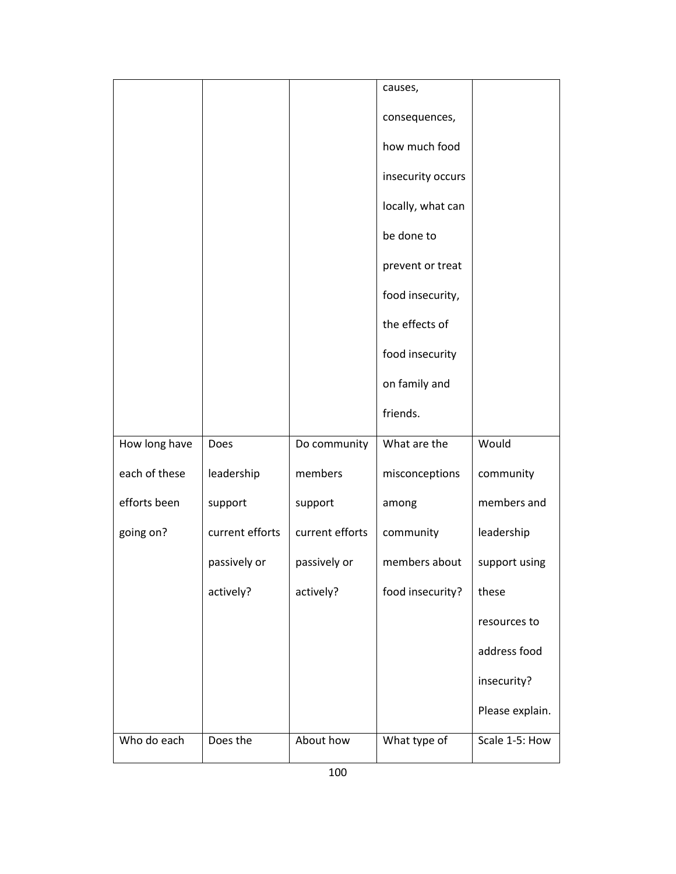|               |                 |                 | causes,           |                 |
|---------------|-----------------|-----------------|-------------------|-----------------|
|               |                 |                 | consequences,     |                 |
|               |                 |                 | how much food     |                 |
|               |                 |                 | insecurity occurs |                 |
|               |                 |                 | locally, what can |                 |
|               |                 |                 | be done to        |                 |
|               |                 |                 | prevent or treat  |                 |
|               |                 |                 | food insecurity,  |                 |
|               |                 |                 | the effects of    |                 |
|               |                 |                 | food insecurity   |                 |
|               |                 |                 | on family and     |                 |
|               |                 |                 | friends.          |                 |
| How long have | Does            | Do community    | What are the      | Would           |
| each of these | leadership      | members         | misconceptions    | community       |
| efforts been  | support         | support         | among             | members and     |
| going on?     | current efforts | current efforts | community         | leadership      |
|               | passively or    | passively or    | members about     | support using   |
|               | actively?       | actively?       | food insecurity?  | these           |
|               |                 |                 |                   | resources to    |
|               |                 |                 |                   | address food    |
|               |                 |                 |                   | insecurity?     |
|               |                 |                 |                   | Please explain. |
| Who do each   | Does the        | About how       | What type of      | Scale 1-5: How  |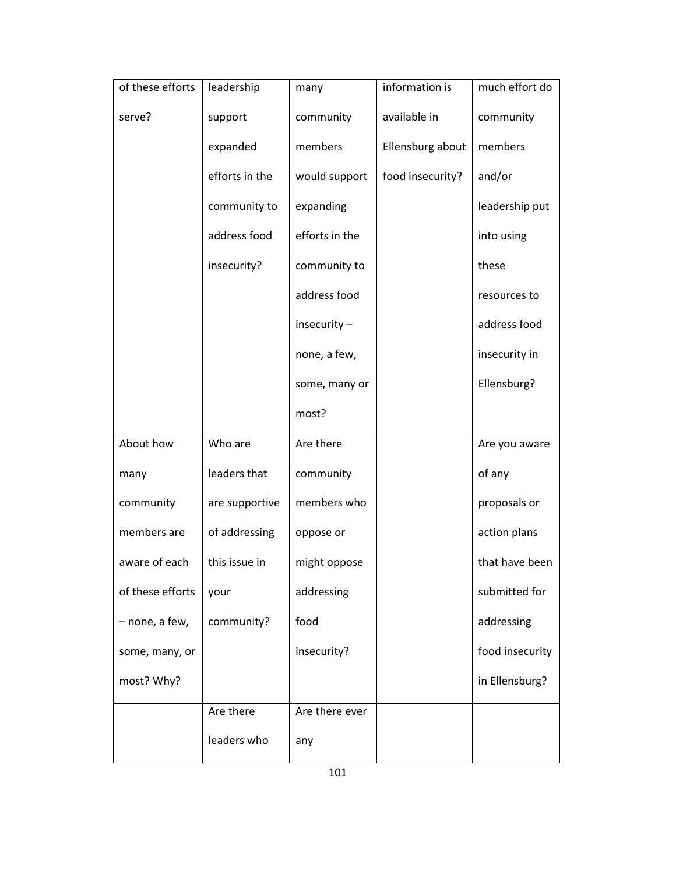| of these efforts | leadership     | many           | information is   | much effort do  |
|------------------|----------------|----------------|------------------|-----------------|
| serve?           | support        | community      | available in     | community       |
|                  | expanded       | members        | Ellensburg about | members         |
|                  | efforts in the | would support  | food insecurity? | and/or          |
|                  | community to   | expanding      |                  | leadership put  |
|                  | address food   | efforts in the |                  | into using      |
|                  | insecurity?    | community to   |                  | these           |
|                  |                | address food   |                  | resources to    |
|                  |                | $insecurity -$ |                  | address food    |
|                  |                | none, a few,   |                  | insecurity in   |
|                  |                | some, many or  |                  | Ellensburg?     |
|                  |                | most?          |                  |                 |
| About how        | Who are        | Are there      |                  | Are you aware   |
| many             | leaders that   | community      |                  | of any          |
| community        | are supportive | members who    |                  | proposals or    |
| members are      | of addressing  | oppose or      |                  | action plans    |
| aware of each    | this issue in  | might oppose   |                  | that have been  |
| of these efforts | your           | addressing     |                  | submitted for   |
| - none, a few,   | community?     | food           |                  | addressing      |
| some, many, or   |                | insecurity?    |                  | food insecurity |
| most? Why?       |                |                |                  | in Ellensburg?  |
|                  | Are there      | Are there ever |                  |                 |
|                  | leaders who    | any            |                  |                 |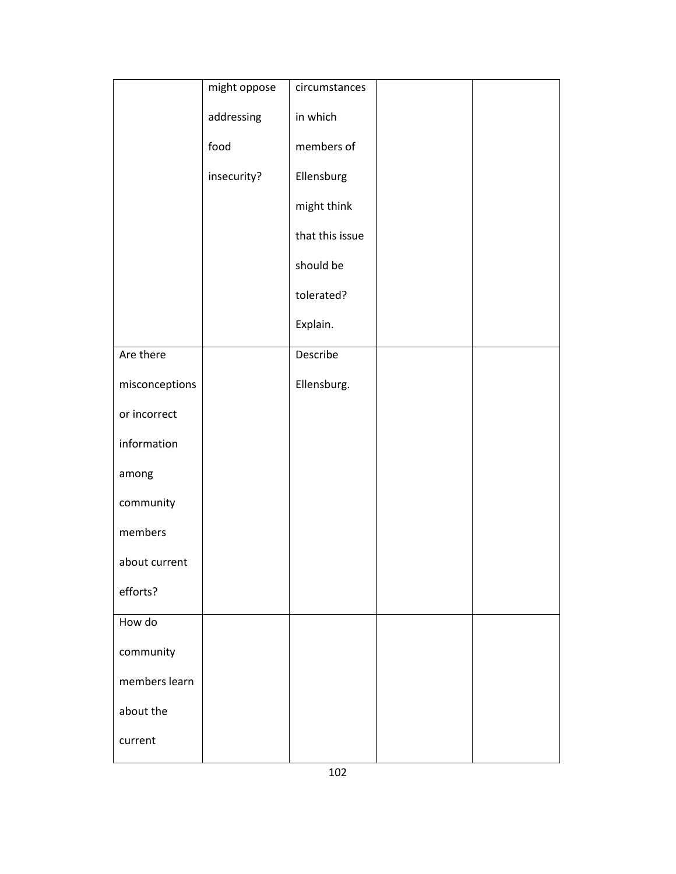|                | might oppose | circumstances   |  |
|----------------|--------------|-----------------|--|
|                | addressing   | in which        |  |
|                | food         | members of      |  |
|                | insecurity?  | Ellensburg      |  |
|                |              | might think     |  |
|                |              | that this issue |  |
|                |              | should be       |  |
|                |              | tolerated?      |  |
|                |              | Explain.        |  |
| Are there      |              | Describe        |  |
| misconceptions |              | Ellensburg.     |  |
| or incorrect   |              |                 |  |
| information    |              |                 |  |
| among          |              |                 |  |
| community      |              |                 |  |
| members        |              |                 |  |
| about current  |              |                 |  |
| efforts?       |              |                 |  |
| How do         |              |                 |  |
| community      |              |                 |  |
| members learn  |              |                 |  |
| about the      |              |                 |  |
| current        |              |                 |  |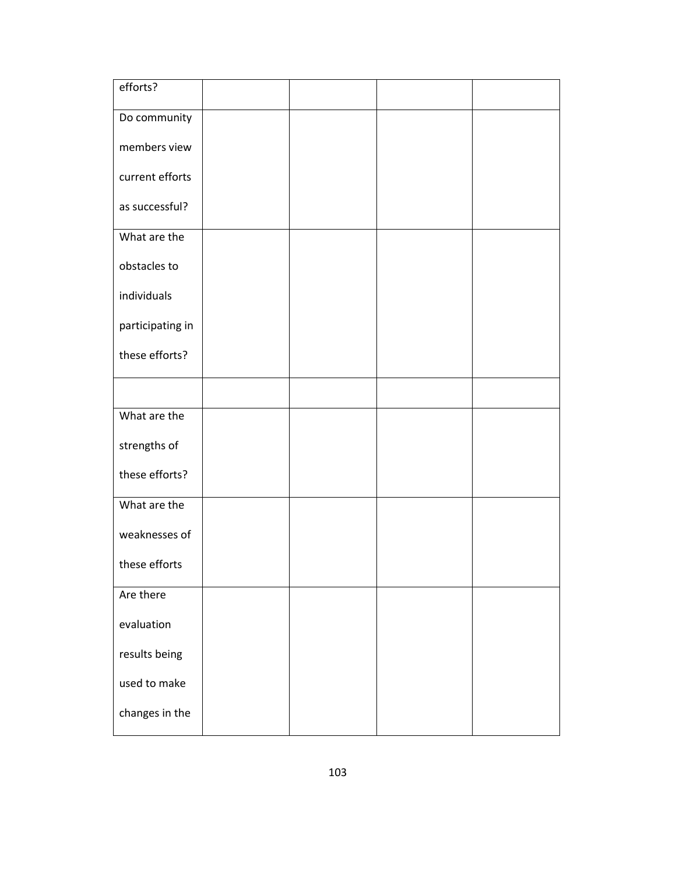| efforts?         |  |  |
|------------------|--|--|
| Do community     |  |  |
| members view     |  |  |
| current efforts  |  |  |
| as successful?   |  |  |
| What are the     |  |  |
| obstacles to     |  |  |
| individuals      |  |  |
| participating in |  |  |
| these efforts?   |  |  |
|                  |  |  |
| What are the     |  |  |
| strengths of     |  |  |
| these efforts?   |  |  |
| What are the     |  |  |
| weaknesses of    |  |  |
| these efforts    |  |  |
| Are there        |  |  |
| evaluation       |  |  |
| results being    |  |  |
| used to make     |  |  |
| changes in the   |  |  |